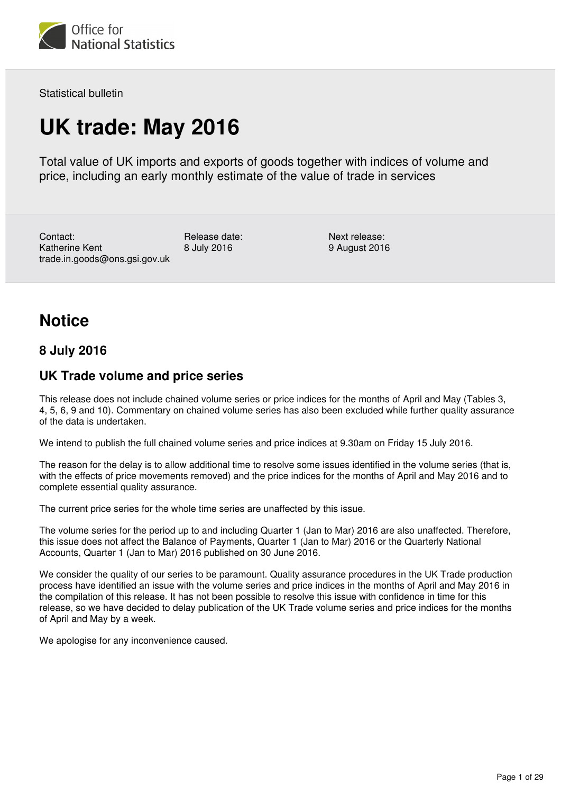

Statistical bulletin

## **UK trade: May 2016**

Total value of UK imports and exports of goods together with indices of volume and price, including an early monthly estimate of the value of trade in services

Contact: Katherine Kent trade.in.goods@ons.gsi.gov.uk

Release date: 8 July 2016

Next release: 9 August 2016

## **Notice**

## **8 July 2016**

## **UK Trade volume and price series**

This release does not include chained volume series or price indices for the months of April and May (Tables 3, 4, 5, 6, 9 and 10). Commentary on chained volume series has also been excluded while further quality assurance of the data is undertaken.

We intend to publish the full chained volume series and price indices at 9.30am on Friday 15 July 2016.

The reason for the delay is to allow additional time to resolve some issues identified in the volume series (that is, with the effects of price movements removed) and the price indices for the months of April and May 2016 and to complete essential quality assurance.

The current price series for the whole time series are unaffected by this issue.

The volume series for the period up to and including Quarter 1 (Jan to Mar) 2016 are also unaffected. Therefore, this issue does not affect the Balance of Payments, Quarter 1 (Jan to Mar) 2016 or the Quarterly National Accounts, Quarter 1 (Jan to Mar) 2016 published on 30 June 2016.

We consider the quality of our series to be paramount. Quality assurance procedures in the UK Trade production process have identified an issue with the volume series and price indices in the months of April and May 2016 in the compilation of this release. It has not been possible to resolve this issue with confidence in time for this release, so we have decided to delay publication of the UK Trade volume series and price indices for the months of April and May by a week.

We apologise for any inconvenience caused.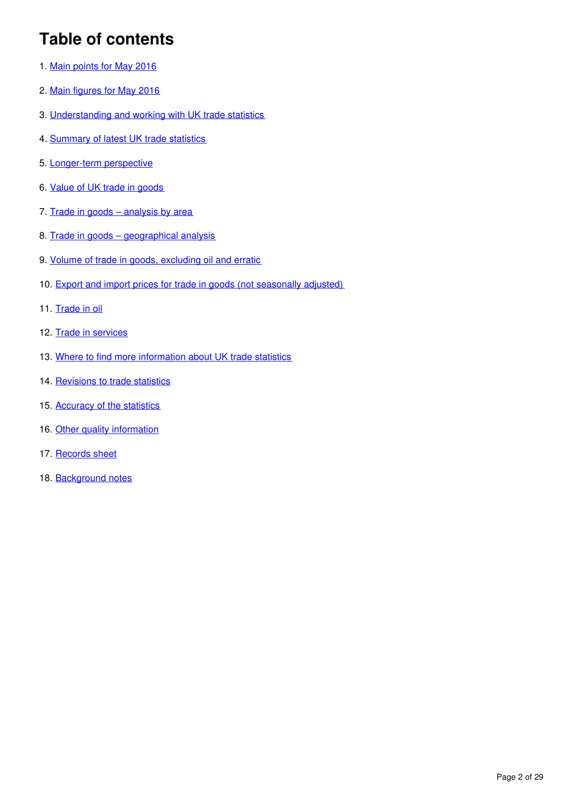## **Table of contents**

- 1. [Main points for May 2016](#page-2-0)
- 2. [Main figures for May 2016](#page-2-1)
- 3. [Understanding and working with UK trade statistics](#page-3-0)
- 4. [Summary of latest UK trade statistics](#page-6-0)
- 5. [Longer-term perspective](#page-8-0)
- 6. [Value of UK trade in goods](#page-10-0)
- 7. Trade in goods analysis by area
- 8. [Trade in goods geographical analysis](#page-16-0)
- 9. [Volume of trade in goods, excluding oil and erratic](#page-19-0)
- 10. [Export and import prices for trade in goods \(not seasonally adjusted\)](#page-19-1)
- 11. [Trade in oil](#page-19-2)
- 12. [Trade in services](#page-20-0)
- 13. [Where to find more information about UK trade statistics](#page-23-0)
- 14. [Revisions to trade statistics](#page-24-0)
- 15. [Accuracy of the statistics](#page-25-0)
- 16. [Other quality information](#page-26-0)
- 17. [Records sheet](#page-28-0)
- 18. [Background notes](#page-28-1)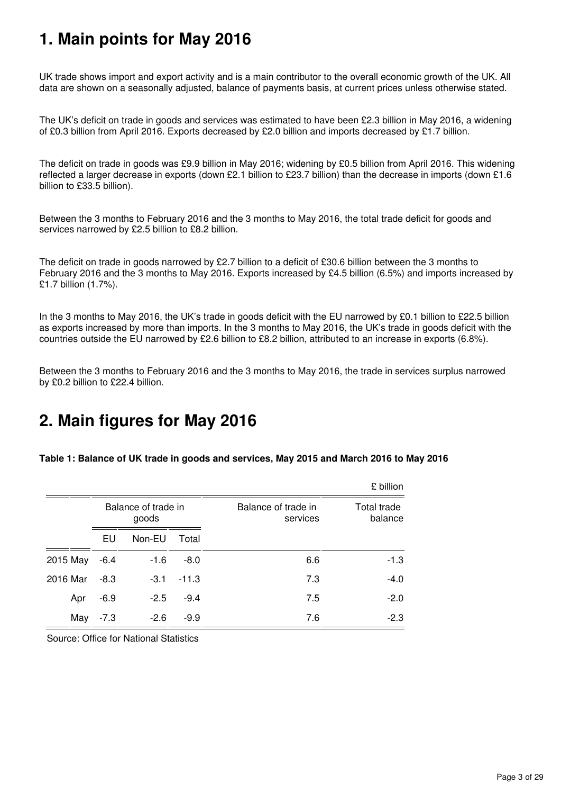## <span id="page-2-0"></span>**1. Main points for May 2016**

UK trade shows import and export activity and is a main contributor to the overall economic growth of the UK. All data are shown on a seasonally adjusted, balance of payments basis, at current prices unless otherwise stated.

The UK's deficit on trade in goods and services was estimated to have been £2.3 billion in May 2016, a widening of £0.3 billion from April 2016. Exports decreased by £2.0 billion and imports decreased by £1.7 billion.

The deficit on trade in goods was £9.9 billion in May 2016; widening by £0.5 billion from April 2016. This widening reflected a larger decrease in exports (down £2.1 billion to £23.7 billion) than the decrease in imports (down £1.6 billion to £33.5 billion).

Between the 3 months to February 2016 and the 3 months to May 2016, the total trade deficit for goods and services narrowed by £2.5 billion to £8.2 billion.

The deficit on trade in goods narrowed by £2.7 billion to a deficit of £30.6 billion between the 3 months to February 2016 and the 3 months to May 2016. Exports increased by £4.5 billion (6.5%) and imports increased by £1.7 billion (1.7%).

In the 3 months to May 2016, the UK's trade in goods deficit with the EU narrowed by £0.1 billion to £22.5 billion as exports increased by more than imports. In the 3 months to May 2016, the UK's trade in goods deficit with the countries outside the EU narrowed by £2.6 billion to £8.2 billion, attributed to an increase in exports (6.8%).

Between the 3 months to February 2016 and the 3 months to May 2016, the trade in services surplus narrowed by £0.2 billion to £22.4 billion.

## <span id="page-2-1"></span>**2. Main figures for May 2016**

**Table 1: Balance of UK trade in goods and services, May 2015 and March 2016 to May 2016**

|          |        |                              |         |                                 | £ billion              |
|----------|--------|------------------------------|---------|---------------------------------|------------------------|
|          |        | Balance of trade in<br>goods |         | Balance of trade in<br>services | Total trade<br>balance |
|          | EU     | Non-EU                       | Total   |                                 |                        |
| 2015 May | $-6.4$ | $-1.6$                       | $-8.0$  | 6.6                             | $-1.3$                 |
| 2016 Mar | $-8.3$ | $-3.1$                       | $-11.3$ | 7.3                             | $-4.0$                 |
| Apr      | $-6.9$ | $-2.5$                       | $-9.4$  | 7.5                             | $-2.0$                 |
| May      | $-7.3$ | $-2.6$                       | $-9.9$  | 7.6                             | $-2.3$                 |

Source: Office for National Statistics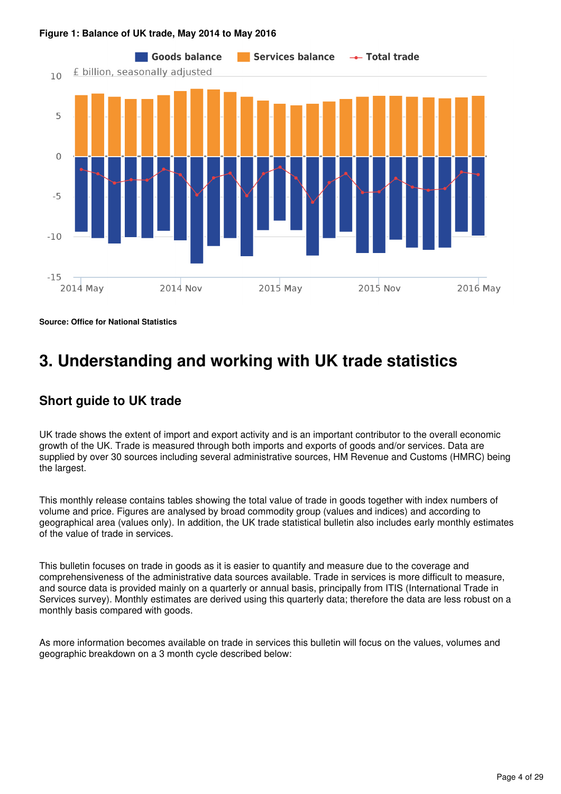

#### **Figure 1: Balance of UK trade, May 2014 to May 2016**

**Source: Office for National Statistics**

## <span id="page-3-0"></span>**3. Understanding and working with UK trade statistics**

## **Short guide to UK trade**

UK trade shows the extent of import and export activity and is an important contributor to the overall economic growth of the UK. Trade is measured through both imports and exports of goods and/or services. Data are supplied by over 30 sources including several administrative sources, HM Revenue and Customs (HMRC) being the largest.

This monthly release contains tables showing the total value of trade in goods together with index numbers of volume and price. Figures are analysed by broad commodity group (values and indices) and according to geographical area (values only). In addition, the UK trade statistical bulletin also includes early monthly estimates of the value of trade in services.

This bulletin focuses on trade in goods as it is easier to quantify and measure due to the coverage and comprehensiveness of the administrative data sources available. Trade in services is more difficult to measure, and source data is provided mainly on a quarterly or annual basis, principally from ITIS (International Trade in Services survey). Monthly estimates are derived using this quarterly data; therefore the data are less robust on a monthly basis compared with goods.

As more information becomes available on trade in services this bulletin will focus on the values, volumes and geographic breakdown on a 3 month cycle described below: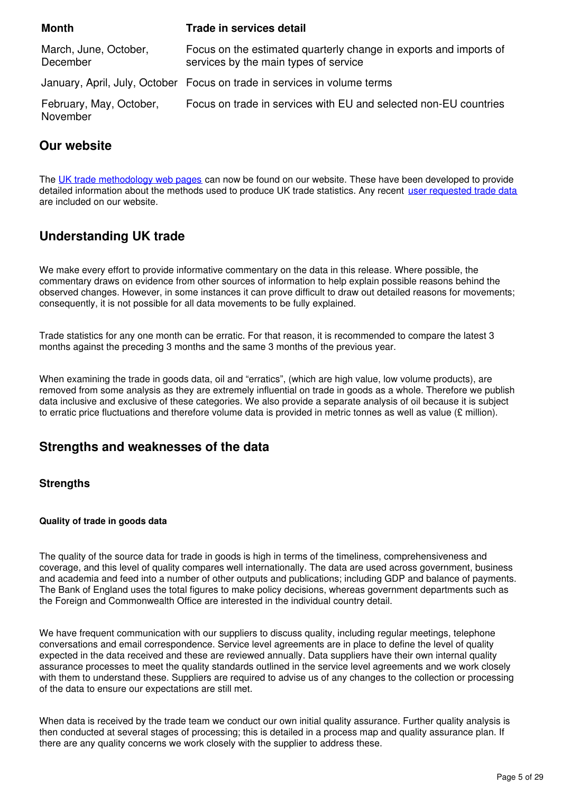| <b>Month</b>                        | <b>Trade in services detail</b>                                                                            |
|-------------------------------------|------------------------------------------------------------------------------------------------------------|
| March, June, October,<br>December   | Focus on the estimated quarterly change in exports and imports of<br>services by the main types of service |
|                                     | January, April, July, October Focus on trade in services in volume terms                                   |
| February, May, October,<br>November | Focus on trade in services with EU and selected non-EU countries                                           |

## **Our website**

The [UK trade methodology web pages](http://www.ons.gov.uk/economy/nationalaccounts/balanceofpayments/methodologies/uktrade) can now be found on our website. These have been developed to provide detailed information about the methods used to produce UK trade statistics. Any recent [user requested trade data](https://www.ons.gov.uk/search?q=uk%20trade&sortBy=relevance&filter=user_requested_data&q=uk%20trade) are included on our website.

## **Understanding UK trade**

We make every effort to provide informative commentary on the data in this release. Where possible, the commentary draws on evidence from other sources of information to help explain possible reasons behind the observed changes. However, in some instances it can prove difficult to draw out detailed reasons for movements; consequently, it is not possible for all data movements to be fully explained.

Trade statistics for any one month can be erratic. For that reason, it is recommended to compare the latest 3 months against the preceding 3 months and the same 3 months of the previous year.

When examining the trade in goods data, oil and "erratics", (which are high value, low volume products), are removed from some analysis as they are extremely influential on trade in goods as a whole. Therefore we publish data inclusive and exclusive of these categories. We also provide a separate analysis of oil because it is subject to erratic price fluctuations and therefore volume data is provided in metric tonnes as well as value (£ million).

## **Strengths and weaknesses of the data**

## **Strengths**

#### **Quality of trade in goods data**

The quality of the source data for trade in goods is high in terms of the timeliness, comprehensiveness and coverage, and this level of quality compares well internationally. The data are used across government, business and academia and feed into a number of other outputs and publications; including GDP and balance of payments. The Bank of England uses the total figures to make policy decisions, whereas government departments such as the Foreign and Commonwealth Office are interested in the individual country detail.

We have frequent communication with our suppliers to discuss quality, including regular meetings, telephone conversations and email correspondence. Service level agreements are in place to define the level of quality expected in the data received and these are reviewed annually. Data suppliers have their own internal quality assurance processes to meet the quality standards outlined in the service level agreements and we work closely with them to understand these. Suppliers are required to advise us of any changes to the collection or processing of the data to ensure our expectations are still met.

When data is received by the trade team we conduct our own initial quality assurance. Further quality analysis is then conducted at several stages of processing; this is detailed in a process map and quality assurance plan. If there are any quality concerns we work closely with the supplier to address these.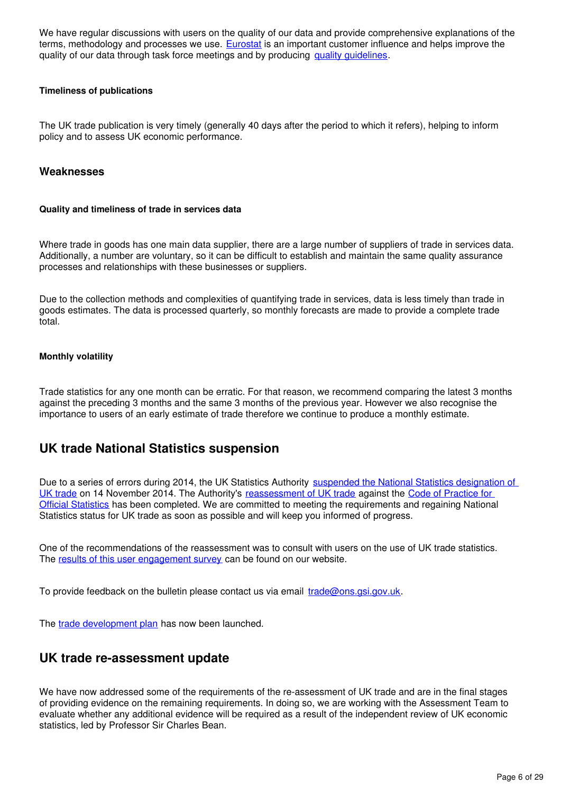We have regular discussions with users on the quality of our data and provide comprehensive explanations of the terms, methodology and processes we use. **[Eurostat](http://ec.europa.eu/eurostat)** is an important customer influence and helps improve the quality of our data through task force meetings and by producing quality quidelines[.](http://ec.europa.eu/eurostat/documents/3888793/6182577/KS-TC-14-009-EN-N.pdf/fc46caf3-5c6d-4359-af64-af0a0952e231)

#### **Timeliness of publications**

The UK trade publication is very timely (generally 40 days after the period to which it refers), helping to inform policy and to assess UK economic performance.

#### **Weaknesses**

#### **Quality and timeliness of trade in services data**

Where trade in goods has one main data supplier, there are a large number of suppliers of trade in services data. Additionally, a number are voluntary, so it can be difficult to establish and maintain the same quality assurance processes and relationships with these businesses or suppliers.

Due to the collection methods and complexities of quantifying trade in services, data is less timely than trade in goods estimates. The data is processed quarterly, so monthly forecasts are made to provide a complete trade total.

#### **Monthly volatility**

Trade statistics for any one month can be erratic. For that reason, we recommend comparing the latest 3 months against the preceding 3 months and the same 3 months of the previous year. However we also recognise the importance to users of an early estimate of trade therefore we continue to produce a monthly estimate.

## **UK trade National Statistics suspension**

Due to a series of errors during 2014, the UK Statistics Authority [suspended the National Statistics designation of](http://www.statisticsauthority.gov.uk/reports---correspondence/correspondence/letter-from-sir-andrew-dilnot-to-john-pullinger-141114.pdf)  [UK trade](http://www.statisticsauthority.gov.uk/reports---correspondence/correspondence/letter-from-sir-andrew-dilnot-to-john-pullinger-141114.pdf) on 14 November 2014. The Authority's [reassessment of UK trade](https://www.statisticsauthority.gov.uk/publication/statistics-on-uk-trade/) against the Code of Practice for [Official Statistics](https://www.statisticsauthority.gov.uk/monitoring-and-assessment/code-of-practice/) has been completed. We are committed to meeting the requirements and regaining National Statistics status for UK trade as soon as possible and will keep you informed of progress.

One of the recommendations of the reassessment was to consult with users on the use of UK trade statistics. The [results of this user engagement survey](http://www.ons.gov.uk/ons/about-ons/get-involved/consultations-and-user-surveys/consultations/uk-trade-survey/feedback-from-consultations-on-ons-uk-trade-outputs.doc) can be found on our website.

To provide feedback on the bulletin please contact us via email  $\frac{1}{2}$  rade@ons.gsi.gov.uk.

The trade development plan has now been launched.

## **UK trade re-assessment update**

We have now addressed some of the requirements of the re-assessment of UK trade and are in the final stages of providing evidence on the remaining requirements. In doing so, we are working with the Assessment Team to evaluate whether any additional evidence will be required as a result of the independent review of UK economic statistics, led by Professor Sir Charles Bean.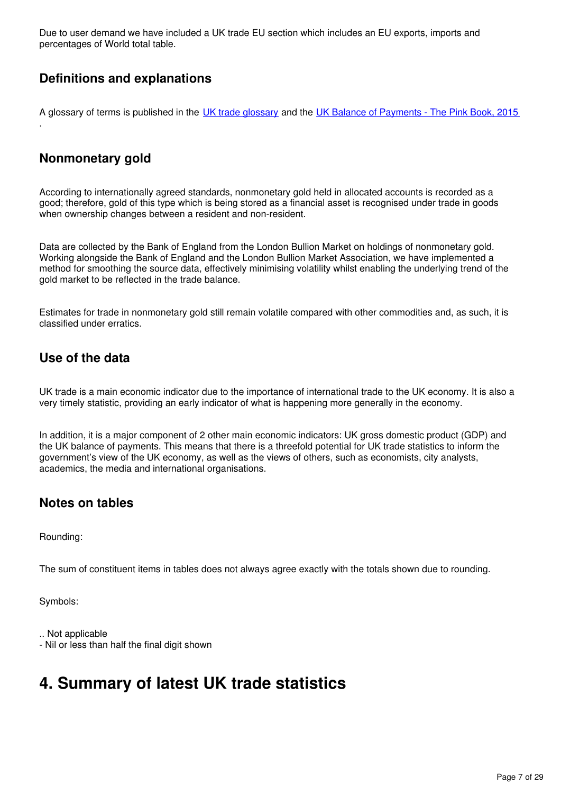Due to user demand we have included a UK trade EU section which includes an EU exports, imports and percentages of World total table.

## **Definitions and explanations**

A glossary of terms is published in the [UK trade glossary](http://www.ons.gov.uk/economy/nationalaccounts/balanceofpayments/methodologies/uktrade) and the [UK Balance of Payments - The Pink Book, 2015](https://www.ons.gov.uk/economy/nationalaccounts/balanceofpayments/compendium/unitedkingdombalanceofpaymentsthepinkbook/2015-10-30) .

## **Nonmonetary gold**

According to internationally agreed standards, nonmonetary gold held in allocated accounts is recorded as a good; therefore, gold of this type which is being stored as a financial asset is recognised under trade in goods when ownership changes between a resident and non-resident.

Data are collected by the Bank of England from the London Bullion Market on holdings of nonmonetary gold. Working alongside the Bank of England and the London Bullion Market Association, we have implemented a method for smoothing the source data, effectively minimising volatility whilst enabling the underlying trend of the gold market to be reflected in the trade balance.

Estimates for trade in nonmonetary gold still remain volatile compared with other commodities and, as such, it is classified under erratics.

## **Use of the data**

UK trade is a main economic indicator due to the importance of international trade to the UK economy. It is also a very timely statistic, providing an early indicator of what is happening more generally in the economy.

In addition, it is a major component of 2 other main economic indicators: UK gross domestic product (GDP) and the UK balance of payments. This means that there is a threefold potential for UK trade statistics to inform the government's view of the UK economy, as well as the views of others, such as economists, city analysts, academics, the media and international organisations.

## **Notes on tables**

Rounding:

The sum of constituent items in tables does not always agree exactly with the totals shown due to rounding.

Symbols:

.. Not applicable - Nil or less than half the final digit shown

## <span id="page-6-0"></span>**4. Summary of latest UK trade statistics**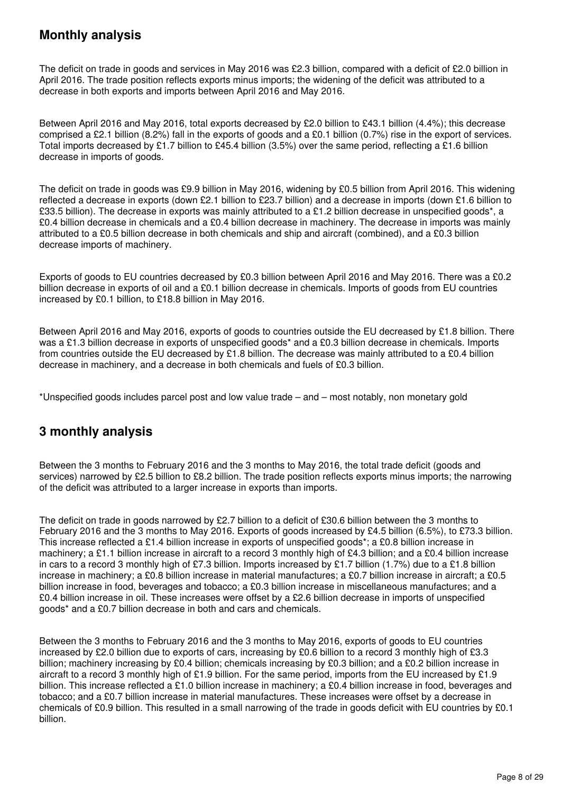## **Monthly analysis**

The deficit on trade in goods and services in May 2016 was £2.3 billion, compared with a deficit of £2.0 billion in April 2016. The trade position reflects exports minus imports; the widening of the deficit was attributed to a decrease in both exports and imports between April 2016 and May 2016.

Between April 2016 and May 2016, total exports decreased by £2.0 billion to £43.1 billion (4.4%); this decrease comprised a £2.1 billion (8.2%) fall in the exports of goods and a £0.1 billion (0.7%) rise in the export of services. Total imports decreased by £1.7 billion to £45.4 billion (3.5%) over the same period, reflecting a £1.6 billion decrease in imports of goods.

The deficit on trade in goods was £9.9 billion in May 2016, widening by £0.5 billion from April 2016. This widening reflected a decrease in exports (down £2.1 billion to £23.7 billion) and a decrease in imports (down £1.6 billion to £33.5 billion). The decrease in exports was mainly attributed to a £1.2 billion decrease in unspecified goods\*, a £0.4 billion decrease in chemicals and a £0.4 billion decrease in machinery. The decrease in imports was mainly attributed to a £0.5 billion decrease in both chemicals and ship and aircraft (combined), and a £0.3 billion decrease imports of machinery.

Exports of goods to EU countries decreased by £0.3 billion between April 2016 and May 2016. There was a £0.2 billion decrease in exports of oil and a £0.1 billion decrease in chemicals. Imports of goods from EU countries increased by £0.1 billion, to £18.8 billion in May 2016.

Between April 2016 and May 2016, exports of goods to countries outside the EU decreased by £1.8 billion. There was a £1.3 billion decrease in exports of unspecified goods<sup>\*</sup> and a £0.3 billion decrease in chemicals. Imports from countries outside the EU decreased by £1.8 billion. The decrease was mainly attributed to a £0.4 billion decrease in machinery, and a decrease in both chemicals and fuels of £0.3 billion.

\*Unspecified goods includes parcel post and low value trade – and – most notably, non monetary gold

## **3 monthly analysis**

Between the 3 months to February 2016 and the 3 months to May 2016, the total trade deficit (goods and services) narrowed by £2.5 billion to £8.2 billion. The trade position reflects exports minus imports; the narrowing of the deficit was attributed to a larger increase in exports than imports.

The deficit on trade in goods narrowed by £2.7 billion to a deficit of £30.6 billion between the 3 months to February 2016 and the 3 months to May 2016. Exports of goods increased by £4.5 billion (6.5%), to £73.3 billion. This increase reflected a £1.4 billion increase in exports of unspecified goods\*; a £0.8 billion increase in machinery; a £1.1 billion increase in aircraft to a record 3 monthly high of £4.3 billion; and a £0.4 billion increase in cars to a record 3 monthly high of £7.3 billion. Imports increased by £1.7 billion (1.7%) due to a £1.8 billion increase in machinery; a £0.8 billion increase in material manufactures; a £0.7 billion increase in aircraft; a £0.5 billion increase in food, beverages and tobacco; a £0.3 billion increase in miscellaneous manufactures; and a £0.4 billion increase in oil. These increases were offset by a £2.6 billion decrease in imports of unspecified goods\* and a £0.7 billion decrease in both and cars and chemicals.

Between the 3 months to February 2016 and the 3 months to May 2016, exports of goods to EU countries increased by £2.0 billion due to exports of cars, increasing by £0.6 billion to a record 3 monthly high of £3.3 billion; machinery increasing by £0.4 billion; chemicals increasing by £0.3 billion; and a £0.2 billion increase in aircraft to a record 3 monthly high of £1.9 billion. For the same period, imports from the EU increased by £1.9 billion. This increase reflected a £1.0 billion increase in machinery; a £0.4 billion increase in food, beverages and tobacco; and a £0.7 billion increase in material manufactures. These increases were offset by a decrease in chemicals of £0.9 billion. This resulted in a small narrowing of the trade in goods deficit with EU countries by £0.1 billion.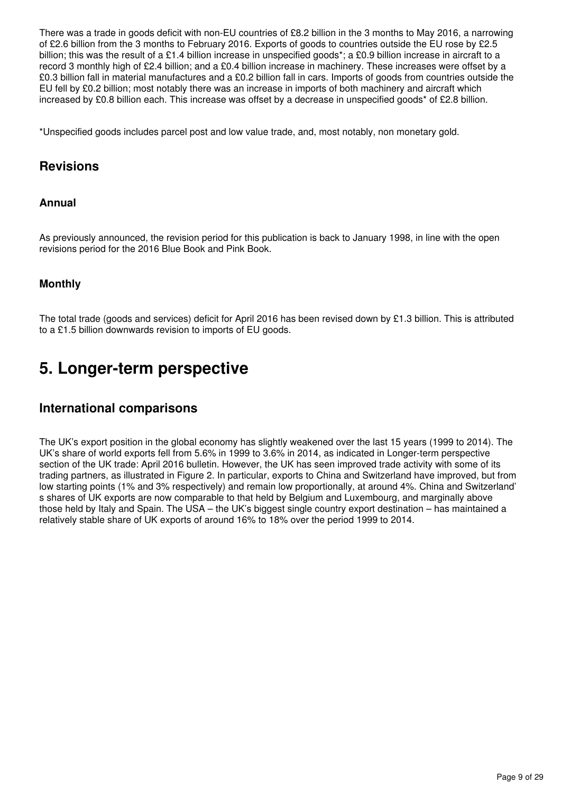There was a trade in goods deficit with non-EU countries of £8.2 billion in the 3 months to May 2016, a narrowing of £2.6 billion from the 3 months to February 2016. Exports of goods to countries outside the EU rose by £2.5 billion; this was the result of a £1.4 billion increase in unspecified goods<sup>\*</sup>; a £0.9 billion increase in aircraft to a record 3 monthly high of £2.4 billion; and a £0.4 billion increase in machinery. These increases were offset by a £0.3 billion fall in material manufactures and a £0.2 billion fall in cars. Imports of goods from countries outside the EU fell by £0.2 billion; most notably there was an increase in imports of both machinery and aircraft which increased by £0.8 billion each. This increase was offset by a decrease in unspecified goods\* of £2.8 billion.

\*Unspecified goods includes parcel post and low value trade, and, most notably, non monetary gold.

## **Revisions**

### **Annual**

As previously announced, the revision period for this publication is back to January 1998, in line with the open revisions period for the 2016 Blue Book and Pink Book.

## **Monthly**

The total trade (goods and services) deficit for April 2016 has been revised down by £1.3 billion. This is attributed to a £1.5 billion downwards revision to imports of EU goods.

## <span id="page-8-0"></span>**5. Longer-term perspective**

## **International comparisons**

The UK's export position in the global economy has slightly weakened over the last 15 years (1999 to 2014). The UK's share of world exports fell from 5.6% in 1999 to 3.6% in 2014, as indicated in Longer-term perspective section of the UK trade: April 2016 bulletin. However, the UK has seen improved trade activity with some of its trading partners, as illustrated in Figure 2. In particular, exports to China and Switzerland have improved, but from low starting points (1% and 3% respectively) and remain low proportionally, at around 4%. China and Switzerland' s shares of UK exports are now comparable to that held by Belgium and Luxembourg, and marginally above those held by Italy and Spain. The USA – the UK's biggest single country export destination – has maintained a relatively stable share of UK exports of around 16% to 18% over the period 1999 to 2014.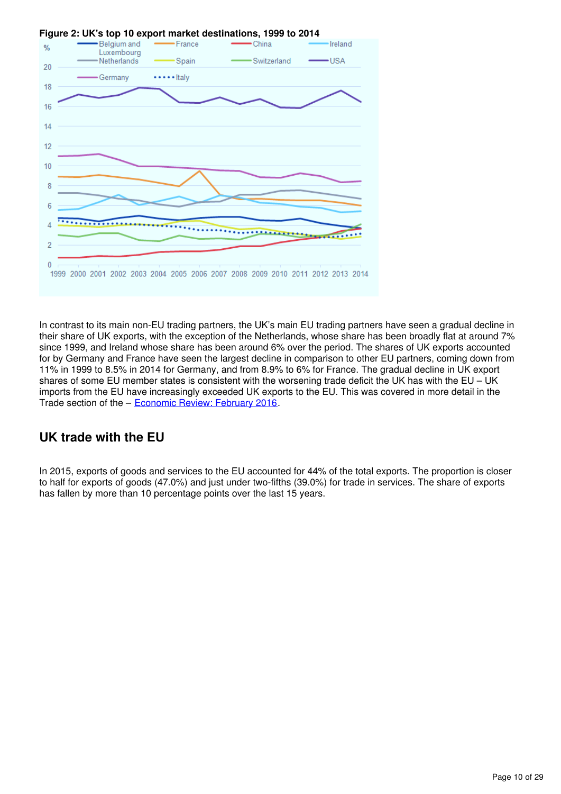

### In contrast to its main non-EU trading partners, the UK's main EU trading partners have seen a gradual decline in their share of UK exports, with the exception of the Netherlands, whose share has been broadly flat at around 7% since 1999, and Ireland whose share has been around 6% over the period. The shares of UK exports accounted for by Germany and France have seen the largest decline in comparison to other EU partners, coming down from 11% in 1999 to 8.5% in 2014 for Germany, and from 8.9% to 6% for France. The gradual decline in UK export shares of some EU member states is consistent with the worsening trade deficit the UK has with the EU – UK imports from the EU have increasingly exceeded UK exports to the EU. This was covered in more detail in the Trade section of the - Economic Review: February 2016[.](https://www.ons.gov.uk/economy/nationalaccounts/uksectoraccounts/articles/economicreview/february2016)

## **UK trade with the EU**

In 2015, exports of goods and services to the EU accounted for 44% of the total exports. The proportion is closer to half for exports of goods (47.0%) and just under two-fifths (39.0%) for trade in services. The share of exports has fallen by more than 10 percentage points over the last 15 years.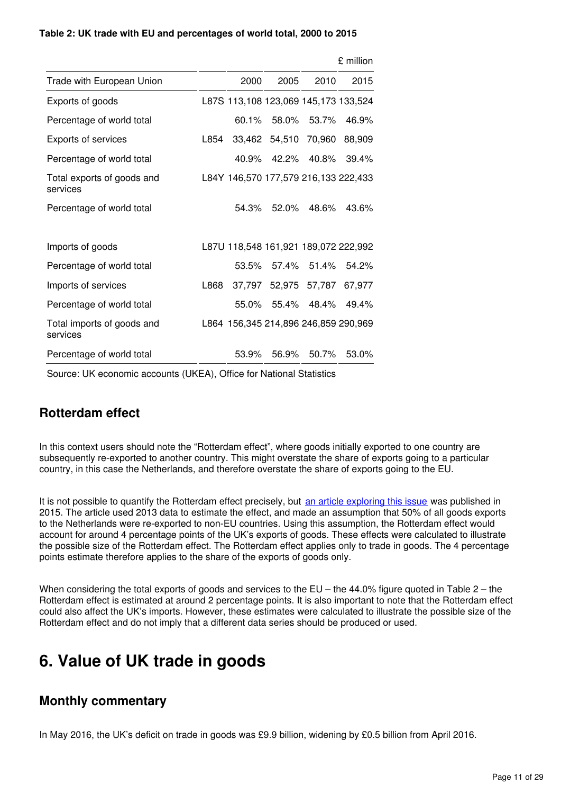#### **Table 2: UK trade with EU and percentages of world total, 2000 to 2015**

|                                        |      |                                      |               |                      | £ million |
|----------------------------------------|------|--------------------------------------|---------------|----------------------|-----------|
| Trade with European Union              |      | 2000                                 | 2005          | 2010                 | 2015      |
| Exports of goods                       |      | L87S 113,108 123,069 145,173 133,524 |               |                      |           |
| Percentage of world total              |      | 60.1%                                | 58.0%         | 53.7%                | 46.9%     |
| Exports of services                    | L854 |                                      | 33,462 54,510 | 70,960               | 88,909    |
| Percentage of world total              |      | 40.9%                                | 42.2%         | 40.8%                | 39.4%     |
| Total exports of goods and<br>services |      | L84Y 146,570 177,579 216,133 222,433 |               |                      |           |
| Percentage of world total              |      | 54.3%                                | 52.0%         | 48.6%                | 43.6%     |
| Imports of goods                       |      | L87U 118,548 161,921 189,072 222,992 |               |                      |           |
| Percentage of world total              |      | 53.5%                                |               | 57.4% 51.4%          | 54.2%     |
| Imports of services                    | L868 |                                      |               | 37,797 52,975 57,787 | 67,977    |
| Percentage of world total              |      | 55.0%                                |               | 55.4% 48.4%          | 49.4%     |
| Total imports of goods and<br>services |      | L864 156,345 214,896 246,859 290,969 |               |                      |           |
| Percentage of world total              |      | 53.9%                                | 56.9%         | 50.7%                | 53.0%     |

Source: UK economic accounts (UKEA), Office for National Statistics

## **Rotterdam effect**

In this context users should note the "Rotterdam effect", where goods initially exported to one country are subsequently re-exported to another country. This might overstate the share of exports going to a particular country, in this case the Netherlands, and therefore overstate the share of exports going to the EU.

It is not possible to quantify the Rotterdam effect precisely, but [an article exploring this issue](http://webarchive.nationalarchives.gov.uk/20160105160709/http:/www.ons.gov.uk/ons/rel/uktrade/uk-trade/december-2014/sty-trade-rotterdam-effect-.html) was published in 2015. The article used 2013 data to estimate the effect, and made an assumption that 50% of all goods exports to the Netherlands were re-exported to non-EU countries. Using this assumption, the Rotterdam effect would account for around 4 percentage points of the UK's exports of goods. These effects were calculated to illustrate the possible size of the Rotterdam effect. The Rotterdam effect applies only to trade in goods. The 4 percentage points estimate therefore applies to the share of the exports of goods only.

When considering the total exports of goods and services to the EU – the 44.0% figure quoted in Table 2 – the Rotterdam effect is estimated at around 2 percentage points. It is also important to note that the Rotterdam effect could also affect the UK's imports. However, these estimates were calculated to illustrate the possible size of the Rotterdam effect and do not imply that a different data series should be produced or used.

## <span id="page-10-0"></span>**6. Value of UK trade in goods**

## **Monthly commentary**

In May 2016, the UK's deficit on trade in goods was £9.9 billion, widening by £0.5 billion from April 2016.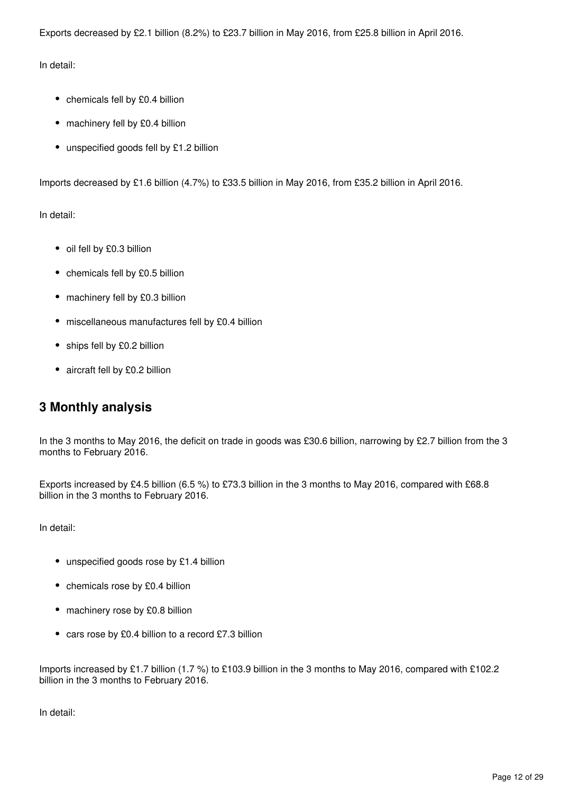Exports decreased by £2.1 billion (8.2%) to £23.7 billion in May 2016, from £25.8 billion in April 2016.

In detail:

- chemicals fell by £0.4 billion
- machinery fell by £0.4 billion
- unspecified goods fell by £1.2 billion

Imports decreased by £1.6 billion (4.7%) to £33.5 billion in May 2016, from £35.2 billion in April 2016.

In detail:

- oil fell by £0.3 billion
- chemicals fell by £0.5 billion
- machinery fell by £0.3 billion
- miscellaneous manufactures fell by £0.4 billion
- ships fell by £0.2 billion
- aircraft fell by £0.2 billion

## **3 Monthly analysis**

In the 3 months to May 2016, the deficit on trade in goods was £30.6 billion, narrowing by £2.7 billion from the 3 months to February 2016.

Exports increased by £4.5 billion (6.5 %) to £73.3 billion in the 3 months to May 2016, compared with £68.8 billion in the 3 months to February 2016.

In detail:

- unspecified goods rose by £1.4 billion
- chemicals rose by £0.4 billion
- machinery rose by £0.8 billion
- cars rose by £0.4 billion to a record £7.3 billion

Imports increased by £1.7 billion (1.7 %) to £103.9 billion in the 3 months to May 2016, compared with £102.2 billion in the 3 months to February 2016.

In detail: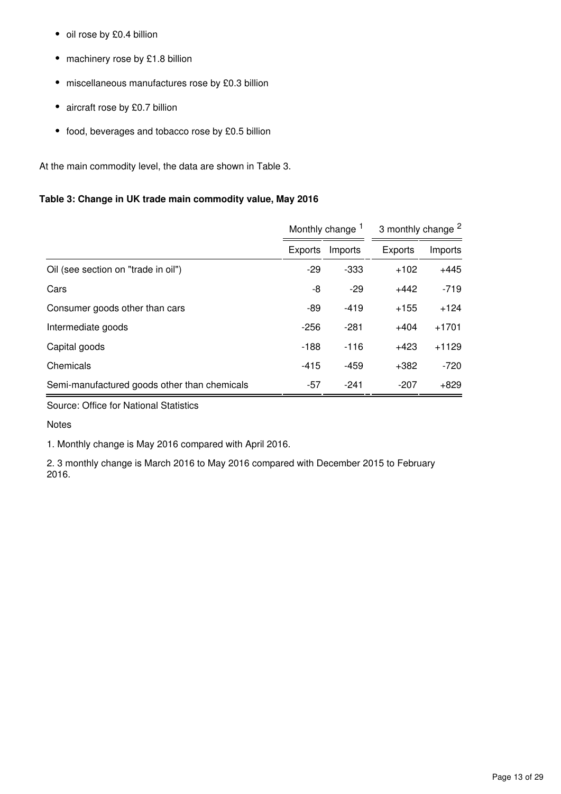- oil rose by £0.4 billion
- machinery rose by £1.8 billion
- miscellaneous manufactures rose by £0.3 billion
- aircraft rose by £0.7 billion
- food, beverages and tobacco rose by £0.5 billion

At the main commodity level, the data are shown in Table 3.

## **Table 3: Change in UK trade main commodity value, May 2016**

|                                              |         | Monthly change <sup>1</sup> | 3 monthly change <sup>2</sup> |         |  |
|----------------------------------------------|---------|-----------------------------|-------------------------------|---------|--|
|                                              | Exports | Imports                     | <b>Exports</b>                | Imports |  |
| Oil (see section on "trade in oil")          | $-29$   | $-333$                      | $+102$                        | $+445$  |  |
| Cars                                         | -8      | $-29$                       | $+442$                        | $-719$  |  |
| Consumer goods other than cars               | -89     | $-419$                      | $+155$                        | $+124$  |  |
| Intermediate goods                           | $-256$  | -281                        | $+404$                        | $+1701$ |  |
| Capital goods                                | $-188$  | $-116$                      | $+423$                        | $+1129$ |  |
| Chemicals                                    | $-415$  | $-459$                      | $+382$                        | $-720$  |  |
| Semi-manufactured goods other than chemicals | -57     | -241                        | $-207$                        | $+829$  |  |

Source: Office for National Statistics

Notes

1. Monthly change is May 2016 compared with April 2016.

2. 3 monthly change is March 2016 to May 2016 compared with December 2015 to February 2016.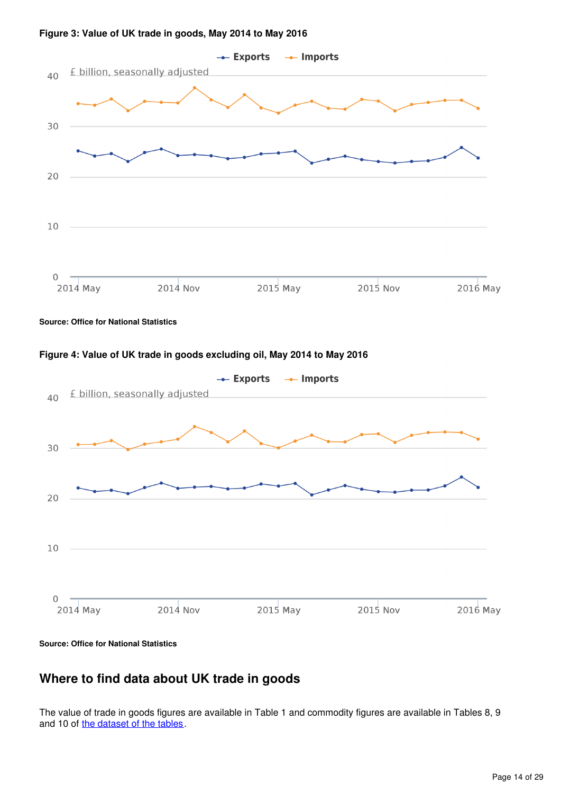

#### **Figure 3: Value of UK trade in goods, May 2014 to May 2016**

**Source: Office for National Statistics**





**Source: Office for National Statistics**

## **Where to find data about UK trade in goods**

The value of trade in goods figures are available in Table 1 and commodity figures are available in Tables 8, 9 and 10 of the dataset of the tables.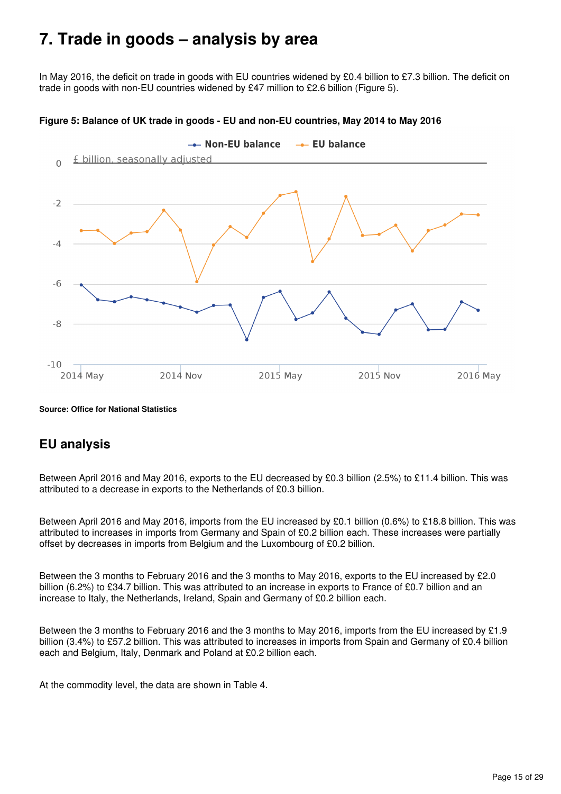## <span id="page-14-0"></span>**7. Trade in goods – analysis by area**

In May 2016, the deficit on trade in goods with EU countries widened by £0.4 billion to £7.3 billion. The deficit on trade in goods with non-EU countries widened by £47 million to £2.6 billion (Figure 5).



#### **Figure 5: Balance of UK trade in goods - EU and non-EU countries, May 2014 to May 2016**

**Source: Office for National Statistics**

## **EU analysis**

Between April 2016 and May 2016, exports to the EU decreased by £0.3 billion (2.5%) to £11.4 billion. This was attributed to a decrease in exports to the Netherlands of £0.3 billion.

Between April 2016 and May 2016, imports from the EU increased by £0.1 billion (0.6%) to £18.8 billion. This was attributed to increases in imports from Germany and Spain of £0.2 billion each. These increases were partially offset by decreases in imports from Belgium and the Luxombourg of £0.2 billion.

Between the 3 months to February 2016 and the 3 months to May 2016, exports to the EU increased by £2.0 billion (6.2%) to £34.7 billion. This was attributed to an increase in exports to France of £0.7 billion and an increase to Italy, the Netherlands, Ireland, Spain and Germany of £0.2 billion each.

Between the 3 months to February 2016 and the 3 months to May 2016, imports from the EU increased by £1.9 billion (3.4%) to £57.2 billion. This was attributed to increases in imports from Spain and Germany of £0.4 billion each and Belgium, Italy, Denmark and Poland at £0.2 billion each.

At the commodity level, the data are shown in Table 4.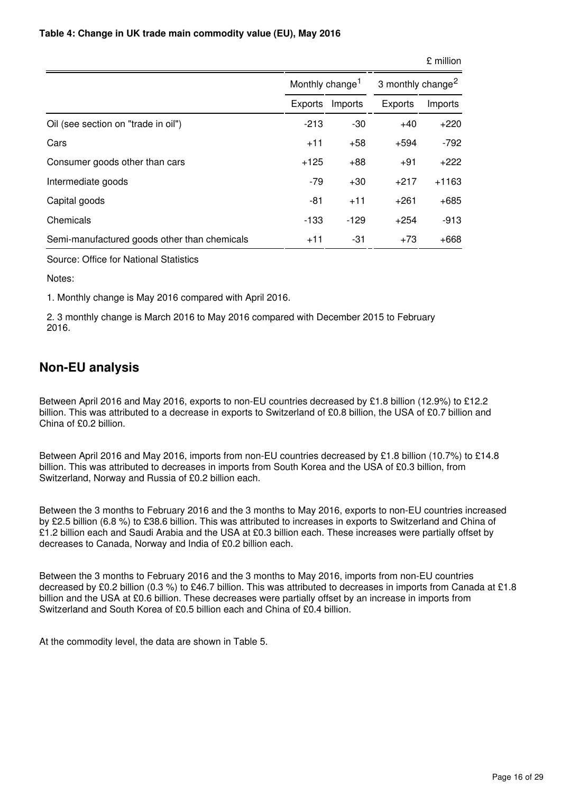#### **Table 4: Change in UK trade main commodity value (EU), May 2016**

| 3 monthly change <sup>2</sup> |  |  |
|-------------------------------|--|--|
| Imports                       |  |  |
| $+220$                        |  |  |
| $-792$                        |  |  |
| $+222$                        |  |  |
| $+1163$                       |  |  |
| $+685$                        |  |  |
| $-913$                        |  |  |
| $+668$                        |  |  |
|                               |  |  |

Source: Office for National Statistics

Notes:

1. Monthly change is May 2016 compared with April 2016.

2. 3 monthly change is March 2016 to May 2016 compared with December 2015 to February 2016.

## **Non-EU analysis**

Between April 2016 and May 2016, exports to non-EU countries decreased by £1.8 billion (12.9%) to £12.2 billion. This was attributed to a decrease in exports to Switzerland of £0.8 billion, the USA of £0.7 billion and China of £0.2 billion.

Between April 2016 and May 2016, imports from non-EU countries decreased by £1.8 billion (10.7%) to £14.8 billion. This was attributed to decreases in imports from South Korea and the USA of £0.3 billion, from Switzerland, Norway and Russia of £0.2 billion each.

Between the 3 months to February 2016 and the 3 months to May 2016, exports to non-EU countries increased by £2.5 billion (6.8 %) to £38.6 billion. This was attributed to increases in exports to Switzerland and China of £1.2 billion each and Saudi Arabia and the USA at £0.3 billion each. These increases were partially offset by decreases to Canada, Norway and India of £0.2 billion each.

Between the 3 months to February 2016 and the 3 months to May 2016, imports from non-EU countries decreased by £0.2 billion (0.3 %) to £46.7 billion. This was attributed to decreases in imports from Canada at £1.8 billion and the USA at £0.6 billion. These decreases were partially offset by an increase in imports from Switzerland and South Korea of £0.5 billion each and China of £0.4 billion.

At the commodity level, the data are shown in Table 5.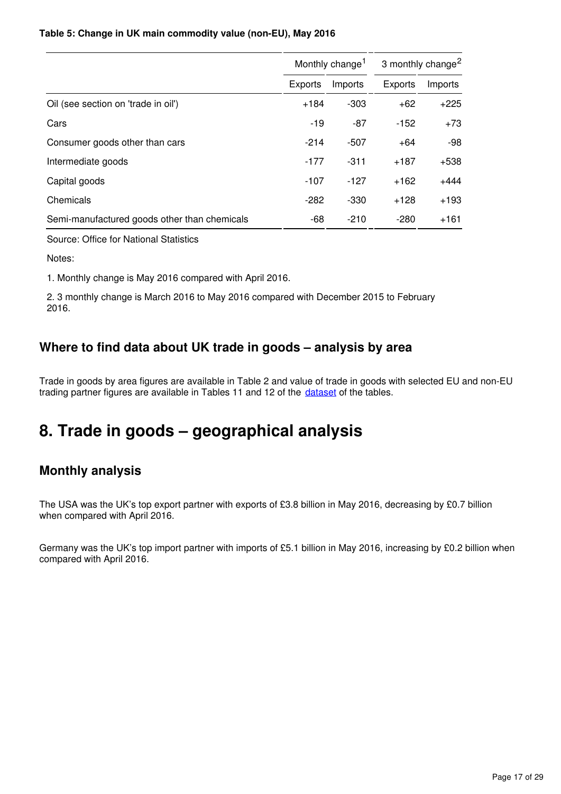### **Table 5: Change in UK main commodity value (non-EU), May 2016**

|                                              |         | Monthly change <sup>1</sup> | 3 monthly change <sup>2</sup> |         |  |
|----------------------------------------------|---------|-----------------------------|-------------------------------|---------|--|
|                                              | Exports | Imports                     | Exports                       | Imports |  |
| Oil (see section on 'trade in oil')          | $+184$  | -303                        | $+62$                         | $+225$  |  |
| Cars                                         | $-19$   | -87                         | $-152$                        | $+73$   |  |
| Consumer goods other than cars               | $-214$  | $-507$                      | $+64$                         | -98     |  |
| Intermediate goods                           | $-177$  | $-311$                      | $+187$                        | +538    |  |
| Capital goods                                | $-107$  | $-127$                      | $+162$                        | $+444$  |  |
| Chemicals                                    | $-282$  | $-330$                      | $+128$                        | $+193$  |  |
| Semi-manufactured goods other than chemicals | -68     | $-210$                      | $-280$                        | $+161$  |  |

Source: Office for National Statistics

Notes:

1. Monthly change is May 2016 compared with April 2016.

2. 3 monthly change is March 2016 to May 2016 compared with December 2015 to February 2016.

## **Where to find data about UK trade in goods – analysis by area**

Trade in goods by area figures are available in Table 2 and value of trade in goods with selected EU and non-EU trading partner figures are available in Tables 11 and 12 of the dataset of the tables.

## <span id="page-16-0"></span>**8. Trade in goods – geographical analysis**

## **Monthly analysis**

The USA was the UK's top export partner with exports of £3.8 billion in May 2016, decreasing by £0.7 billion when compared with April 2016.

Germany was the UK's top import partner with imports of £5.1 billion in May 2016, increasing by £0.2 billion when compared with April 2016.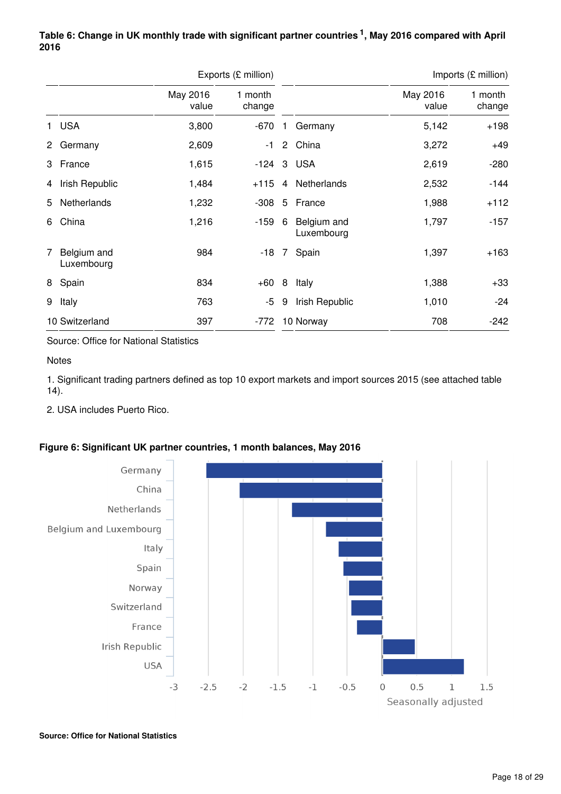## Table 6: Change in UK monthly trade with significant partner countries<sup>1</sup>, May 2016 compared with April **2016**

|                |                           |                   | Exports (£ million) |                 |                           | Imports (£ million) |                   |  |  |
|----------------|---------------------------|-------------------|---------------------|-----------------|---------------------------|---------------------|-------------------|--|--|
|                |                           | May 2016<br>value | 1 month<br>change   |                 |                           | May 2016<br>value   | 1 month<br>change |  |  |
|                | 1 USA                     | 3,800             | $-670$              |                 | Germany                   | 5,142               | $+198$            |  |  |
| $^{2}$         | Germany                   | 2,609             | $-1$                | $2^{\circ}$     | China                     | 3,272               | $+49$             |  |  |
|                | 3 France                  | 1,615             | $-124$              |                 | 3 USA                     | 2,619               | $-280$            |  |  |
| 4              | Irish Republic            | 1,484             | $+115$              | 4               | Netherlands               | 2,532               | $-144$            |  |  |
| 5              | Netherlands               | 1,232             | $-308$              | 5               | France                    | 1,988               | $+112$            |  |  |
| 6              | China                     | 1,216             | $-159$              | 6               | Belgium and<br>Luxembourg | 1,797               | -157              |  |  |
| $\overline{7}$ | Belgium and<br>Luxembourg | 984               | -18                 | $7\overline{ }$ | Spain                     | 1,397               | $+163$            |  |  |
|                | 8 Spain                   | 834               | $+60$               | 8               | Italy                     | 1,388               | $+33$             |  |  |
| 9              | Italy                     | 763               | -5                  | 9               | Irish Republic            | 1,010               | $-24$             |  |  |
|                | 10 Switzerland            | 397               | $-772$              |                 | 10 Norway                 | 708                 | $-242$            |  |  |

Source: Office for National Statistics

**Notes** 

1. Significant trading partners defined as top 10 export markets and import sources 2015 (see attached table 14).

2. USA includes Puerto Rico.



## **Figure 6: Significant UK partner countries, 1 month balances, May 2016**

**Source: Office for National Statistics**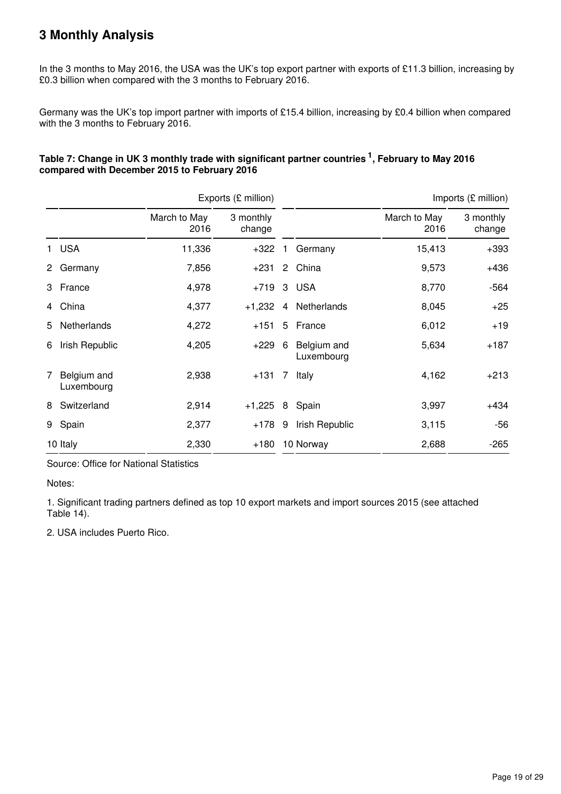## **3 Monthly Analysis**

In the 3 months to May 2016, the USA was the UK's top export partner with exports of £11.3 billion, increasing by £0.3 billion when compared with the 3 months to February 2016.

Germany was the UK's top import partner with imports of £15.4 billion, increasing by £0.4 billion when compared with the 3 months to February 2016.

## Table 7: Change in UK 3 monthly trade with significant partner countries <sup>1</sup>, February to May 2016 **compared with December 2015 to February 2016**

|             |                           |                      | Exports (£ million) |             |                           |                      | Imports (£ million) |  |
|-------------|---------------------------|----------------------|---------------------|-------------|---------------------------|----------------------|---------------------|--|
|             |                           | March to May<br>2016 |                     |             |                           | March to May<br>2016 | 3 monthly<br>change |  |
|             | 1 USA                     | 11,336               | $+322$              | 1.          | Germany                   | 15,413               | $+393$              |  |
| $^{2}$      | Germany                   | 7,856                | $+231$              |             | 2 China                   | 9,573                | $+436$              |  |
|             | 3 France                  | 4,978                | $+719$              |             | 3 USA                     | 8,770                | $-564$              |  |
|             | 4 China                   | 4,377                | $+1,232$            |             | 4 Netherlands             | 8,045                | $+25$               |  |
| 5           | <b>Netherlands</b>        | 4,272                | $+151$              | 5           | France                    | 6,012                | $+19$               |  |
| 6           | Irish Republic            | 4,205                | +229                | 6           | Belgium and<br>Luxembourg | 5,634                | $+187$              |  |
| $7^{\circ}$ | Belgium and<br>Luxembourg | 2,938                | $+131$              | $7^{\circ}$ | Italy                     | 4,162                | $+213$              |  |
| 8           | Switzerland               | 2,914                | $+1,225$            | 8           | Spain                     | 3,997                | $+434$              |  |
|             | 9 Spain                   | 2,377                | $+178$ 9            |             | Irish Republic            | 3,115                | $-56$               |  |
|             | 10 Italy                  | 2,330                | +180                |             | 10 Norway                 | 2,688                | $-265$              |  |

Source: Office for National Statistics

Notes:

1. Significant trading partners defined as top 10 export markets and import sources 2015 (see attached Table 14).

2. USA includes Puerto Rico.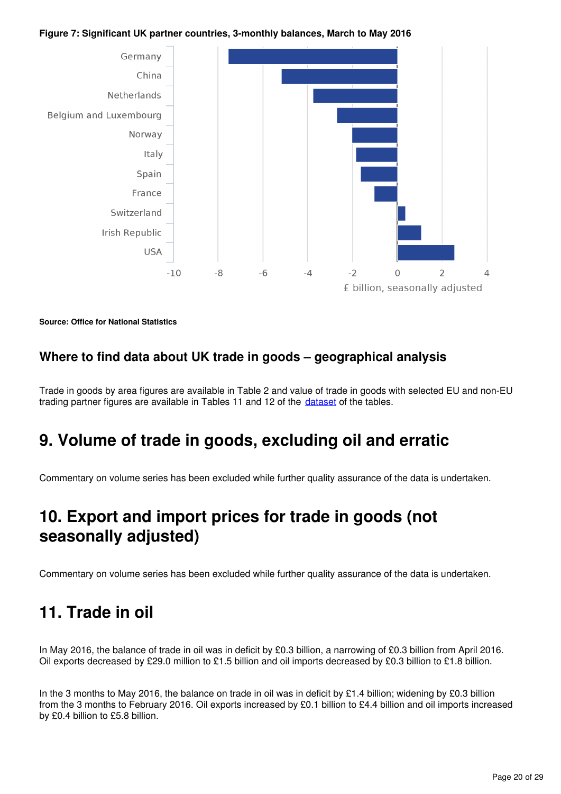### **Figure 7: Significant UK partner countries, 3-monthly balances, March to May 2016**



**Source: Office for National Statistics**

## **Where to find data about UK trade in goods – geographical analysis**

Trade in goods by area figures are available in Table 2 and value of trade in goods with selected EU and non-EU trading partner figures are available in Tables 11 and 12 of the *dataset* of the tables.

## <span id="page-19-0"></span>**9. Volume of trade in goods, excluding oil and erratic**

Commentary on volume series has been excluded while further quality assurance of the data is undertaken.

## <span id="page-19-1"></span>**10. Export and import prices for trade in goods (not seasonally adjusted)**

Commentary on volume series has been excluded while further quality assurance of the data is undertaken.

## <span id="page-19-2"></span>**11. Trade in oil**

In May 2016, the balance of trade in oil was in deficit by £0.3 billion, a narrowing of £0.3 billion from April 2016. Oil exports decreased by £29.0 million to £1.5 billion and oil imports decreased by £0.3 billion to £1.8 billion.

In the 3 months to May 2016, the balance on trade in oil was in deficit by £1.4 billion; widening by £0.3 billion from the 3 months to February 2016. Oil exports increased by £0.1 billion to £4.4 billion and oil imports increased by £0.4 billion to £5.8 billion.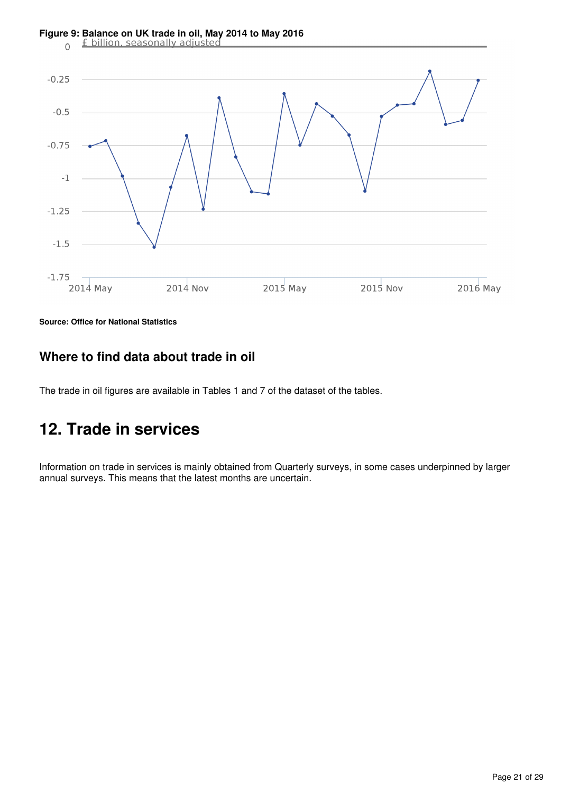

**Source: Office for National Statistics**

## **Where to find data about trade in oil**

The trade in oil figures are available in Tables 1 and 7 of the dataset of the tables.

## <span id="page-20-0"></span>**12. Trade in services**

Information on trade in services is mainly obtained from Quarterly surveys, in some cases underpinned by larger annual surveys. This means that the latest months are uncertain.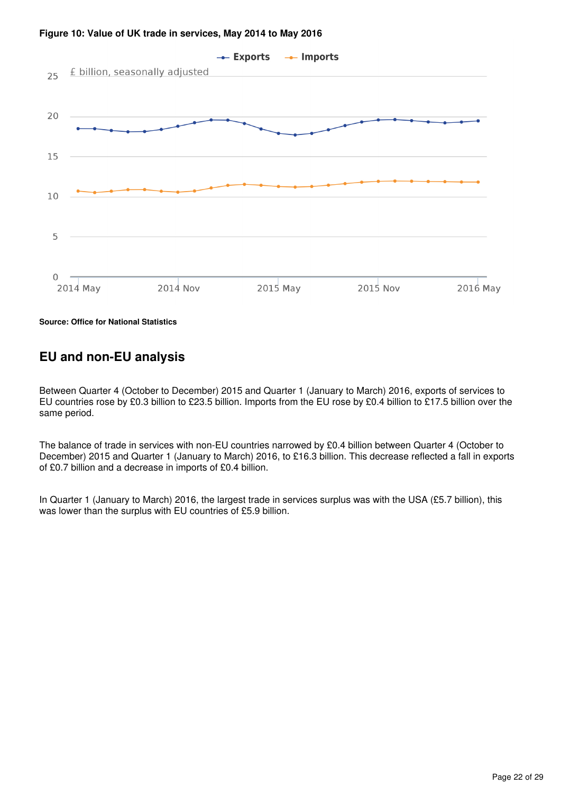

#### **Figure 10: Value of UK trade in services, May 2014 to May 2016**

**Source: Office for National Statistics**

## **EU and non-EU analysis**

Between Quarter 4 (October to December) 2015 and Quarter 1 (January to March) 2016, exports of services to EU countries rose by £0.3 billion to £23.5 billion. Imports from the EU rose by £0.4 billion to £17.5 billion over the same period.

The balance of trade in services with non-EU countries narrowed by £0.4 billion between Quarter 4 (October to December) 2015 and Quarter 1 (January to March) 2016, to £16.3 billion. This decrease reflected a fall in exports of £0.7 billion and a decrease in imports of £0.4 billion.

In Quarter 1 (January to March) 2016, the largest trade in services surplus was with the USA (£5.7 billion), this was lower than the surplus with EU countries of £5.9 billion.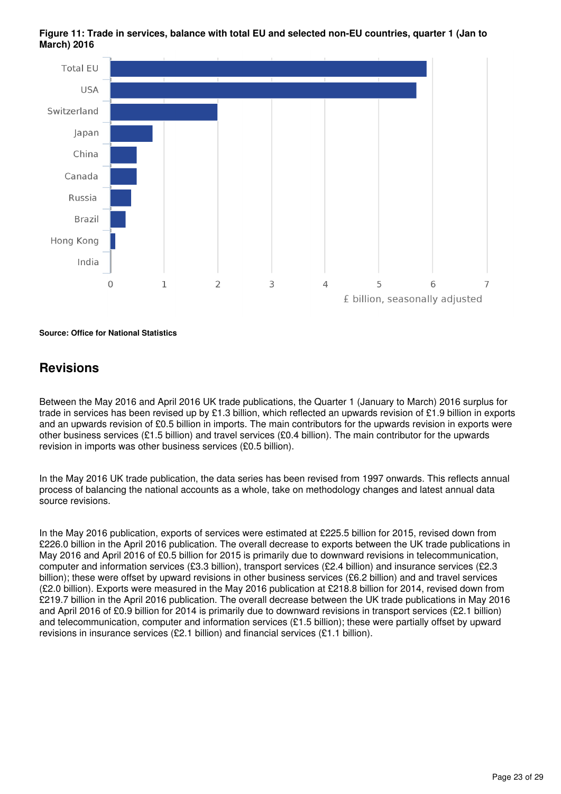**Figure 11: Trade in services, balance with total EU and selected non-EU countries, quarter 1 (Jan to March) 2016**



**Source: Office for National Statistics**

## **Revisions**

Between the May 2016 and April 2016 UK trade publications, the Quarter 1 (January to March) 2016 surplus for trade in services has been revised up by £1.3 billion, which reflected an upwards revision of £1.9 billion in exports and an upwards revision of £0.5 billion in imports. The main contributors for the upwards revision in exports were other business services (£1.5 billion) and travel services (£0.4 billion). The main contributor for the upwards revision in imports was other business services (£0.5 billion).

In the May 2016 UK trade publication, the data series has been revised from 1997 onwards. This reflects annual process of balancing the national accounts as a whole, take on methodology changes and latest annual data source revisions.

In the May 2016 publication, exports of services were estimated at £225.5 billion for 2015, revised down from £226.0 billion in the April 2016 publication. The overall decrease to exports between the UK trade publications in May 2016 and April 2016 of £0.5 billion for 2015 is primarily due to downward revisions in telecommunication, computer and information services (£3.3 billion), transport services (£2.4 billion) and insurance services (£2.3 billion); these were offset by upward revisions in other business services (£6.2 billion) and and travel services (£2.0 billion). Exports were measured in the May 2016 publication at £218.8 billion for 2014, revised down from £219.7 billion in the April 2016 publication. The overall decrease between the UK trade publications in May 2016 and April 2016 of £0.9 billion for 2014 is primarily due to downward revisions in transport services (£2.1 billion) and telecommunication, computer and information services (£1.5 billion); these were partially offset by upward revisions in insurance services (£2.1 billion) and financial services (£1.1 billion).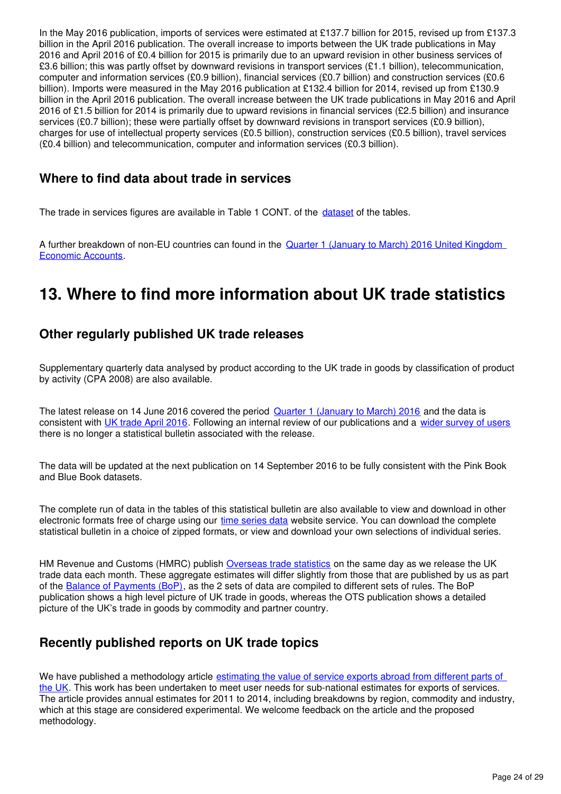In the May 2016 publication, imports of services were estimated at £137.7 billion for 2015, revised up from £137.3 billion in the April 2016 publication. The overall increase to imports between the UK trade publications in May 2016 and April 2016 of £0.4 billion for 2015 is primarily due to an upward revision in other business services of £3.6 billion; this was partly offset by downward revisions in transport services (£1.1 billion), telecommunication, computer and information services (£0.9 billion), financial services (£0.7 billion) and construction services (£0.6 billion). Imports were measured in the May 2016 publication at £132.4 billion for 2014, revised up from £130.9 billion in the April 2016 publication. The overall increase between the UK trade publications in May 2016 and April 2016 of £1.5 billion for 2014 is primarily due to upward revisions in financial services (£2.5 billion) and insurance services (£0.7 billion); these were partially offset by downward revisions in transport services (£0.9 billion), charges for use of intellectual property services (£0.5 billion), construction services (£0.5 billion), travel services (£0.4 billion) and telecommunication, computer and information services (£0.3 billion).

## **Where to find data about trade in services**

The trade in services figures are available in Table 1 CONT. of the dataset of the tables.

A further breakdown of non-EU countries can found in the [Quarter 1 \(January to March\) 2016 United Kingdom](https://www.ons.gov.uk/economy/nationalaccounts/uksectoraccounts/datasets/unitedkingdomeconomicaccountsbalanceofpaymentscurrentaccount)  [Economic Accounts.](https://www.ons.gov.uk/economy/nationalaccounts/uksectoraccounts/datasets/unitedkingdomeconomicaccountsbalanceofpaymentscurrentaccount)

## <span id="page-23-0"></span>**13. Where to find more information about UK trade statistics**

## **Other regularly published UK trade releases**

Supplementary quarterly data analysed by product according to the UK trade in goods by classification of product by activity (CPA 2008) are also available.

The latest release on 14 June 2016 covered the period [Quarter 1 \(January to March\) 2016](https://www.ons.gov.uk/economy/nationalaccounts/balanceofpayments/datasets/publicationtablesuktradecpa08) and the data is consistent with [UK trade April 2016](https://www.ons.gov.uk/economy/nationalaccounts/balanceofpayments/bulletins/uktrade/apr2016). Following an internal review of our publications and a [wider survey of users](http://www.ons.gov.uk/ons/about-ons/get-involved/consultations-and-user-surveys/consultations/uk-trade-survey/feedback-from-consultations-on-ons-uk-trade-outputs.doc) there is no longer a statistical bulletin associated with the release.

The data will be updated at the next publication on 14 September 2016 to be fully consistent with the Pink Book and Blue Book datasets.

The complete run of data in the tables of this statistical bulletin are also available to view and download in other electronic formats free of charge using our [time series data](https://www.ons.gov.uk/economy/nationalaccounts/balanceofpayments/datasets/tradeingoodsmretsallbopeu2013timeseriesspreadsheet) website service. You can download the complete statistical bulletin in a choice of zipped formats, or view and download your own selections of individual series.

HMRevenue and Customs (HMRC) publish [Overseas trade statistics](https://www.uktradeinfo.com/Statistics/Pages/MonthlyTimetableofReleases.aspx) on the same day as we release the UK trade data each month. These aggregate estimates will differ slightly from those that are published by us as part of the [Balance of Payments \(BoP\)](https://www.ons.gov.uk/economy/nationalaccounts/balanceofpayments/bulletins/balanceofpayments/previousReleases), as the 2 sets of data are compiled to different sets of rules. The BoP publication shows a high level picture of UK trade in goods, whereas the OTS publication shows a detailed picture of the UK's trade in goods by commodity and partner country.

## **Recently published reports on UK trade topics**

We have published a methodology article estimating the value of service exports abroad from different parts of [the UK.](https://www.ons.gov.uk/releases/estimatingthevalueofservicesexportsabroadfromdifferentpartsoftheuk) This work has been undertaken to meet user needs for sub-national estimates for exports of services. The article provides annual estimates for 2011 to 2014, including breakdowns by region, commodity and industry, which at this stage are considered experimental. We welcome feedback on the article and the proposed methodology.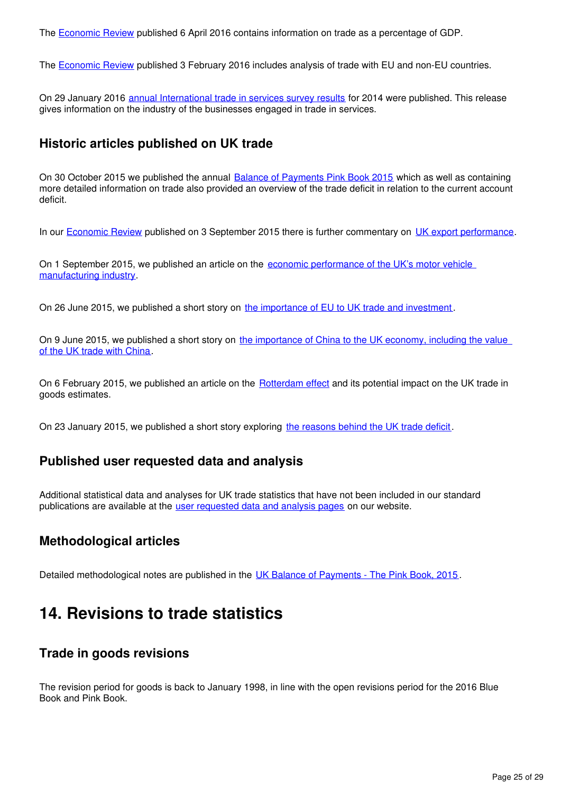The **Economic Review published 6 April 2016 contains information on trade as a percentage of GDP.** 

The **Economic Review published 3 February 2016 includes analysis of trade with EU and non-EU countries.** 

On 29 January 2016 [annual International trade in services survey results](https://www.ons.gov.uk/businessindustryandtrade/internationaltrade/bulletins/internationaltradeinservices/2014) for 2014 were published. This release gives information on the industry of the businesses engaged in trade in services.

## **Historic articles published on UK trade**

On 30 October 2015 we published the annual [Balance of Payments Pink Book 2015](http://www.ons.gov.uk/economy/nationalaccounts/balanceofpayments/compendium/unitedkingdombalanceofpaymentsthepinkbook/2015-10-30) which as well as containing more detailed information on trade also provided an overview of the trade deficit in relation to the current account deficit.

In our **Economic Review** published on 3 September 2015 there is further commentary on UK export performance[.](http://www.ons.gov.uk/economy/nationalaccounts/uksectoraccounts/articles/economicreview/2015-09-03#exports)

On 1 September 2015, we published an article on the [economic performance of the UK's motor vehicle](http://webarchive.nationalarchives.gov.uk/20160105160709/http:/www.ons.gov.uk/ons/rel/abs/annual-business-survey/car-production/sty-car.html)  [manufacturing industry](http://webarchive.nationalarchives.gov.uk/20160105160709/http:/www.ons.gov.uk/ons/rel/abs/annual-business-survey/car-production/sty-car.html).

On 26 June 2015, we published a short story on [the importance of EU to UK trade and investment](http://webarchive.nationalarchives.gov.uk/20160105160709/http:/www.ons.gov.uk/ons/rel/international-transactions/outward-foreign-affiliates-statistics/how-important-is-the-european-union-to-uk-trade-and-investment-/index.html) .

On 9 June 2015, we published a short story on the importance of China to the UK economy, including the value [of the UK trade with China](http://webarchive.nationalarchives.gov.uk/20160105160709/http:/www.ons.gov.uk/ons/rel/international-transactions/outward-foreign-affiliates-statistics/how-important-is-the-european-union-to-uk-trade-and-investment-/index.html).

On 6 February 2015, we published an article on the **[Rotterdam effect](http://webarchive.nationalarchives.gov.uk/20160105160709/http:/www.ons.gov.uk/ons/rel/uktrade/uk-trade/december-2014/sty-trade-rotterdam-effect-.html)** and its potential impact on the UK trade in goods estimates.

On 23 January 2015, we published a short story exploring [the reasons behind the UK trade deficit](http://webarchive.nationalarchives.gov.uk/20160105160709/http:/www.ons.gov.uk/ons/rel/uktrade/uk-trade/december-2014/sty-trade-rotterdam-effect-.html).

## **Published user requested data and analysis**

Additional statistical data and analyses for UK trade statistics that have not been included in our standard publications are available at the [user requested data and analysis pages](https://www.ons.gov.uk/search?q=uk%20trade&sortBy=relevance&filter=user_requested_data&q=uk%20trade) on our website.

## **Methodological articles**

Detailed methodological notes are published in the [UK Balance of Payments - The Pink Book, 2015](https://www.ons.gov.uk/economy/nationalaccounts/balanceofpayments/compendium/unitedkingdombalanceofpaymentsthepinkbook/2015-10-30).

## <span id="page-24-0"></span>**14. Revisions to trade statistics**

## **Trade in goods revisions**

The revision period for goods is back to January 1998, in line with the open revisions period for the 2016 Blue Book and Pink Book.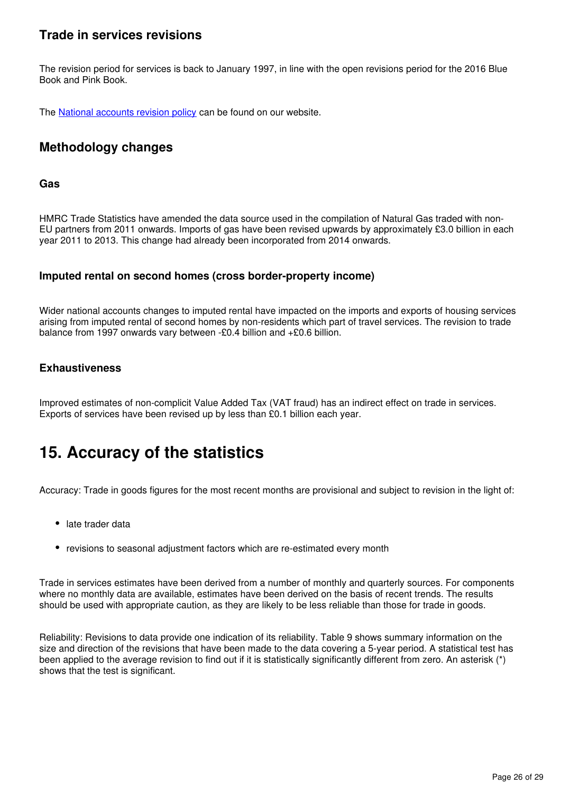## **Trade in services revisions**

The revision period for services is back to January 1997, in line with the open revisions period for the 2016 Blue Book and Pink Book.

The National accounts revision policy can be found on our website.

## **Methodology changes**

### **Gas**

HMRC Trade Statistics have amended the data source used in the compilation of Natural Gas traded with non-EU partners from 2011 onwards. Imports of gas have been revised upwards by approximately £3.0 billion in each year 2011 to 2013. This change had already been incorporated from 2014 onwards.

## **Imputed rental on second homes (cross border-property income)**

Wider national accounts changes to imputed rental have impacted on the imports and exports of housing services arising from imputed rental of second homes by non-residents which part of travel services. The revision to trade balance from 1997 onwards vary between -£0.4 billion and +£0.6 billion.

## **Exhaustiveness**

Improved estimates of non-complicit Value Added Tax (VAT fraud) has an indirect effect on trade in services. Exports of services have been revised up by less than £0.1 billion each year.

## <span id="page-25-0"></span>**15. Accuracy of the statistics**

Accuracy: Trade in goods figures for the most recent months are provisional and subject to revision in the light of:

- late trader data
- revisions to seasonal adjustment factors which are re-estimated every month

Trade in services estimates have been derived from a number of monthly and quarterly sources. For components where no monthly data are available, estimates have been derived on the basis of recent trends. The results should be used with appropriate caution, as they are likely to be less reliable than those for trade in goods.

Reliability: Revisions to data provide one indication of its reliability. Table 9 shows summary information on the size and direction of the revisions that have been made to the data covering a 5-year period. A statistical test has been applied to the average revision to find out if it is statistically significantly different from zero. An asterisk (\*) shows that the test is significant.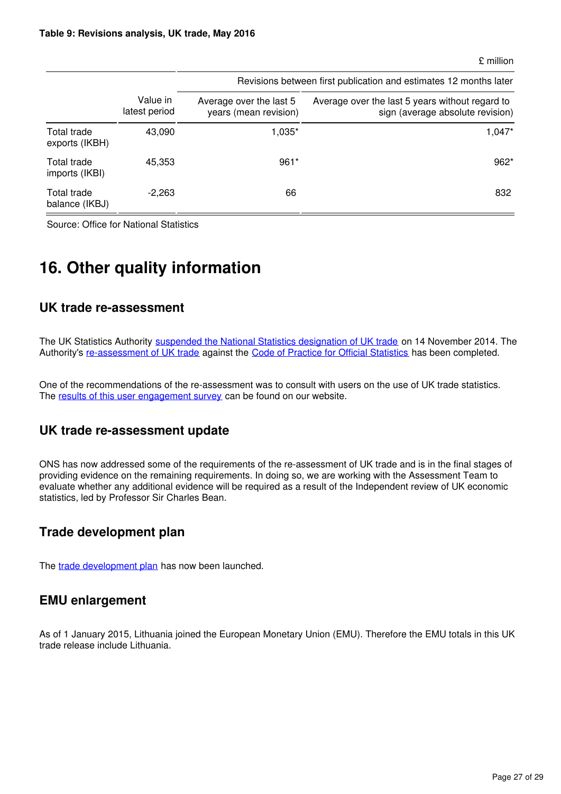#### £ million

|                               |                           | Revisions between first publication and estimates 12 months later |                                                                                     |  |  |  |  |  |  |  |
|-------------------------------|---------------------------|-------------------------------------------------------------------|-------------------------------------------------------------------------------------|--|--|--|--|--|--|--|
|                               | Value in<br>latest period | Average over the last 5<br>years (mean revision)                  | Average over the last 5 years without regard to<br>sign (average absolute revision) |  |  |  |  |  |  |  |
| Total trade<br>exports (IKBH) | 43,090                    | 1,035*                                                            | $1,047*$                                                                            |  |  |  |  |  |  |  |
| Total trade<br>imports (IKBI) | 45,353                    | $961*$                                                            | $962*$                                                                              |  |  |  |  |  |  |  |
| Total trade<br>balance (IKBJ) | $-2,263$                  | 66                                                                | 832                                                                                 |  |  |  |  |  |  |  |

Source: Office for National Statistics

## <span id="page-26-0"></span>**16. Other quality information**

## **UK trade re-assessment**

The UK Statistics Authority [suspended the National Statistics designation of UK trade](http://www.statisticsauthority.gov.uk/reports---correspondence/correspondence/letter-from-sir-andrew-dilnot-to-john-pullinger-141114.pdf) on 14 November 2014. The Authority's[re-assessment of UK trade](https://www.statisticsauthority.gov.uk/publication/statistics-on-uk-trade/) against the [Code of Practice for Official Statistics](https://www.statisticsauthority.gov.uk/monitoring-and-assessment/code-of-practice/) has been completed.

One of the recommendations of the re-assessment was to consult with users on the use of UK trade statistics. The [results of this user engagement survey](http://www.ons.gov.uk/ons/about-ons/get-involved/consultations-and-user-surveys/consultations/uk-trade-survey/feedback-from-consultations-on-ons-uk-trade-outputs.doc) can be found on our website.

## **UK trade re-assessment update**

ONS has now addressed some of the requirements of the re-assessment of UK trade and is in the final stages of providing evidence on the remaining requirements. In doing so, we are working with the Assessment Team to evaluate whether any additional evidence will be required as a result of the Independent review of UK economic statistics, led by Professor Sir Charles Bean.

## **Trade development plan**

The trade development plan has now been launched.

## **EMU enlargement**

As of 1 January 2015, Lithuania joined the European Monetary Union (EMU). Therefore the EMU totals in this UK trade release include Lithuania.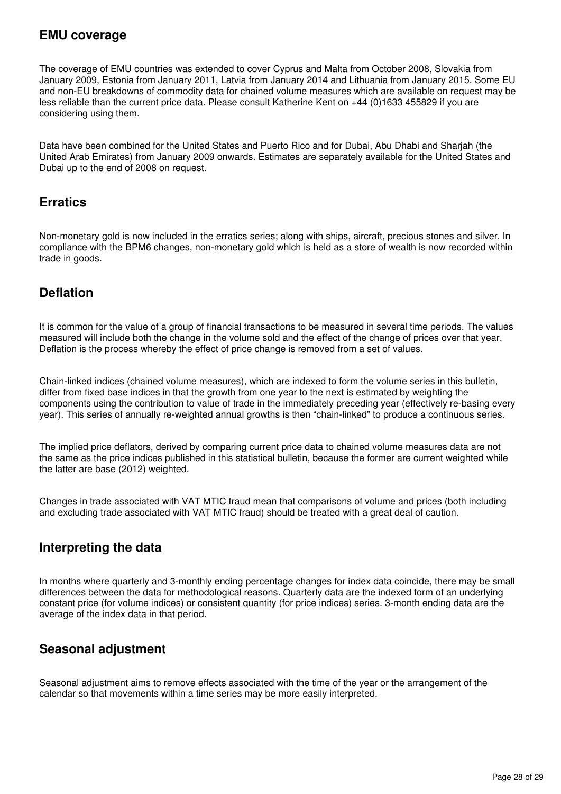## **EMU coverage**

The coverage of EMU countries was extended to cover Cyprus and Malta from October 2008, Slovakia from January 2009, Estonia from January 2011, Latvia from January 2014 and Lithuania from January 2015. Some EU and non-EU breakdowns of commodity data for chained volume measures which are available on request may be less reliable than the current price data. Please consult Katherine Kent on +44 (0)1633 455829 if you are considering using them.

Data have been combined for the United States and Puerto Rico and for Dubai, Abu Dhabi and Sharjah (the United Arab Emirates) from January 2009 onwards. Estimates are separately available for the United States and Dubai up to the end of 2008 on request.

## **Erratics**

Non-monetary gold is now included in the erratics series; along with ships, aircraft, precious stones and silver. In compliance with the BPM6 changes, non-monetary gold which is held as a store of wealth is now recorded within trade in goods.

## **Deflation**

It is common for the value of a group of financial transactions to be measured in several time periods. The values measured will include both the change in the volume sold and the effect of the change of prices over that year. Deflation is the process whereby the effect of price change is removed from a set of values.

Chain-linked indices (chained volume measures), which are indexed to form the volume series in this bulletin, differ from fixed base indices in that the growth from one year to the next is estimated by weighting the components using the contribution to value of trade in the immediately preceding year (effectively re-basing every year). This series of annually re-weighted annual growths is then "chain-linked" to produce a continuous series.

The implied price deflators, derived by comparing current price data to chained volume measures data are not the same as the price indices published in this statistical bulletin, because the former are current weighted while the latter are base (2012) weighted.

Changes in trade associated with VAT MTIC fraud mean that comparisons of volume and prices (both including and excluding trade associated with VAT MTIC fraud) should be treated with a great deal of caution.

## **Interpreting the data**

In months where quarterly and 3-monthly ending percentage changes for index data coincide, there may be small differences between the data for methodological reasons. Quarterly data are the indexed form of an underlying constant price (for volume indices) or consistent quantity (for price indices) series. 3-month ending data are the average of the index data in that period.

## **Seasonal adjustment**

Seasonal adjustment aims to remove effects associated with the time of the year or the arrangement of the calendar so that movements within a time series may be more easily interpreted.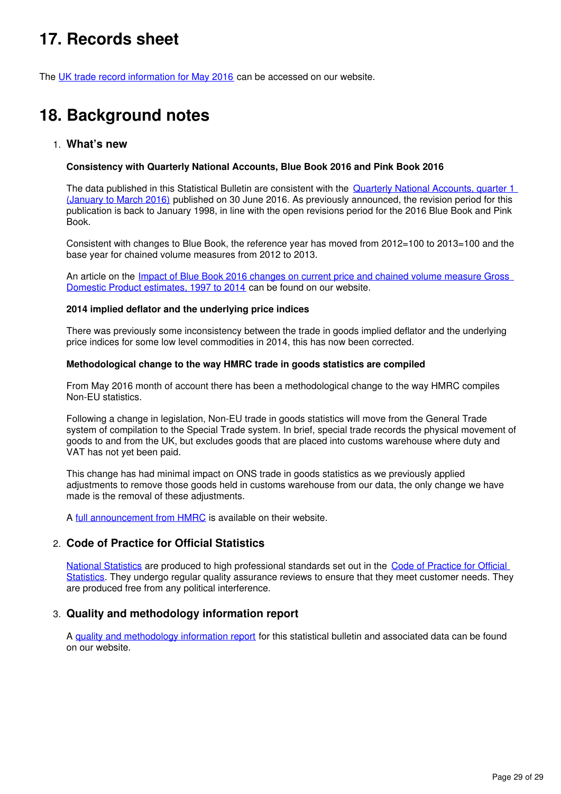## <span id="page-28-0"></span>**17. Records sheet**

The [UK trade record information for May 2016](https://www.ons.gov.uk/economy/nationalaccounts/balanceofpayments/datasets/uktraderecordssheet) can be accessed on our website.

## <span id="page-28-1"></span>**18. Background notes**

## 1. **What's new**

#### **Consistency with Quarterly National Accounts, Blue Book 2016 and Pink Book 2016**

The data published in this Statistical Bulletin are consistent with the Quarterly National Accounts, quarter 1 [\(January to March 2016\)](https://www.ons.gov.uk/economy/grossdomesticproductgdp/bulletins/quarterlynationalaccounts/quarter1jantomar2016) published on 30 June 2016. As previously announced, the revision period for this publication is back to January 1998, in line with the open revisions period for the 2016 Blue Book and Pink Book.

Consistent with changes to Blue Book, the reference year has moved from 2012=100 to 2013=100 and the base year for chained volume measures from 2012 to 2013.

An article on the *Impact of Blue Book 2016 changes on current price and chained volume measure Gross* [Domestic Product estimates, 1997 to 2014](https://www.ons.gov.uk/economy/nationalaccounts/uksectoraccounts/articles/impactofbluebook2016changesoncurrentpriceandchainedvolumemeasuregrossdomesticproductestimates1997to2014/2016-05-199) can be found on our website.

#### **2014 implied deflator and the underlying price indices**

There was previously some inconsistency between the trade in goods implied deflator and the underlying price indices for some low level commodities in 2014, this has now been corrected.

#### **Methodological change to the way HMRC trade in goods statistics are compiled**

From May 2016 month of account there has been a methodological change to the way HMRC compiles Non-EU statistics.

Following a change in legislation, Non-EU trade in goods statistics will move from the General Trade system of compilation to the Special Trade system. In brief, special trade records the physical movement of goods to and from the UK, but excludes goods that are placed into customs warehouse where duty and VAT has not yet been paid.

This change has had minimal impact on ONS trade in goods statistics as we previously applied adjustments to remove those goods held in customs warehouse from our data, the only change we have made is the removal of these adjustments.

Afull announcement from HMRC is available on their website.

## 2. **Code of Practice for Official Statistics**

[National Statistics](https://www.statisticsauthority.gov.uk/national-statistician/types-of-official-statistics/) are produced to high professional standards set out in the [Code of Practice for Official](https://www.statisticsauthority.gov.uk/monitoring-and-assessment/code-of-practice/)  [Statistics](https://www.statisticsauthority.gov.uk/monitoring-and-assessment/code-of-practice/). They undergo regular quality assurance reviews to ensure that they meet customer needs. They are produced free from any political interference.

## 3. **Quality and methodology information report**

A [quality and methodology information report](https://www.ons.gov.uk/economy/nationalaccounts/balanceofpayments/qmis/uktradeqmi) for this statistical bulletin and associated data can be found on our website.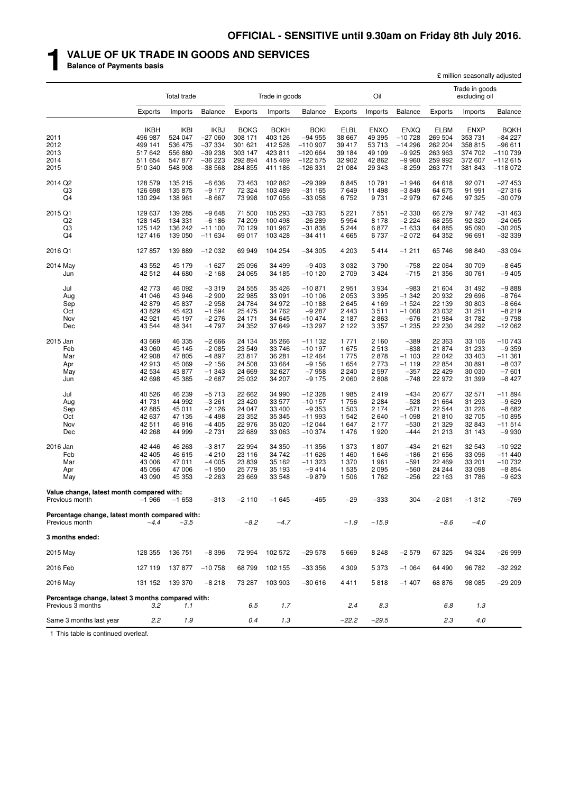## **1 VALUE OF UK TRADE IN GOODS AND SERVICES**

**Balance of Payments basis**

|                                                                        |                                                          |                                                           |                                                                |                                                            |                                                           |                                                                      |                                                          |                                                          |                                                              |                                                           |                                                          | £ million seasonally adjusted                                     |
|------------------------------------------------------------------------|----------------------------------------------------------|-----------------------------------------------------------|----------------------------------------------------------------|------------------------------------------------------------|-----------------------------------------------------------|----------------------------------------------------------------------|----------------------------------------------------------|----------------------------------------------------------|--------------------------------------------------------------|-----------------------------------------------------------|----------------------------------------------------------|-------------------------------------------------------------------|
|                                                                        |                                                          | Total trade                                               |                                                                |                                                            | Trade in goods                                            |                                                                      |                                                          | Oil                                                      |                                                              |                                                           | Trade in goods<br>excluding oil                          |                                                                   |
|                                                                        | <b>Exports</b>                                           | Imports                                                   | <b>Balance</b>                                                 | Exports                                                    | Imports                                                   | <b>Balance</b>                                                       | Exports                                                  | Imports                                                  | <b>Balance</b>                                               | Exports                                                   | Imports                                                  | <b>Balance</b>                                                    |
| 2011<br>2012<br>2013                                                   | <b>IKBH</b><br>496 987<br>499 141<br>517 642             | <b>IKBI</b><br>524 047<br>536 475<br>556 880              | <b>IKBJ</b><br>$-27060$<br>$-37334$<br>$-39238$                | <b>BOKG</b><br>308 171<br>301 621<br>303 147               | <b>BOKH</b><br>403 126<br>412 528<br>423 811              | <b>BOKI</b><br>$-94955$<br>$-110907$<br>$-120664$                    | <b>ELBL</b><br>38 667<br>39 417<br>39 184                | <b>ENXO</b><br>49 395<br>53 713<br>49 109                | <b>ENXQ</b><br>$-10728$<br>$-14296$<br>$-9925$               | <b>ELBM</b><br>269 504<br>262 204<br>263 963              | <b>ENXP</b><br>353 731<br>358 815<br>374 702             | <b>BQKH</b><br>$-84227$<br>$-96611$<br>$-110739$                  |
| 2014<br>2015                                                           | 511 654<br>510 340                                       | 547 877<br>548 908                                        | $-36223$<br>$-38568$                                           | 292 894<br>284 855                                         | 415 469<br>411 186                                        | $-122575$<br>$-126331$                                               | 32 902<br>21 084                                         | 42 862<br>29 343                                         | $-9960$<br>$-8259$                                           | 259 992<br>263 771                                        | 372 607<br>381 843                                       | -112 615<br>$-118072$                                             |
|                                                                        |                                                          |                                                           |                                                                |                                                            |                                                           |                                                                      |                                                          |                                                          |                                                              |                                                           |                                                          |                                                                   |
| 2014 Q2<br>Q3<br>Q <sub>4</sub>                                        | 128 579<br>126 698<br>130 294                            | 135 215<br>135 875<br>138 961                             | $-6636$<br>$-9177$<br>$-8667$                                  | 73 4 63<br>72 324<br>73 998                                | 102 862<br>103 489<br>107 056                             | $-29399$<br>$-31165$<br>$-33058$                                     | 8845<br>7649<br>6752                                     | 10791<br>11 498<br>9731                                  | $-1946$<br>$-3849$<br>$-2979$                                | 64 618<br>64 675<br>67 246                                | 92 071<br>91 991<br>97 325                               | $-27453$<br>$-27316$<br>$-300079$                                 |
| 2015 Q1<br>Q <sub>2</sub><br>Q3<br>Q <sub>4</sub>                      | 129 637<br>128 145<br>125 142<br>127 416                 | 139 285<br>134 331<br>136 242<br>139 050                  | $-9648$<br>$-6186$<br>$-111100$<br>$-11634$                    | 71 500<br>74 209<br>70 129<br>69 017                       | 105 293<br>100 498<br>101 967<br>103 428                  | $-33793$<br>$-26289$<br>$-31838$<br>$-34411$                         | 5 2 2 1<br>5954<br>5 2 4 4<br>4 6 6 5                    | 7 5 5 1<br>8 1 7 8<br>6877<br>6737                       | $-2330$<br>$-2224$<br>$-1633$<br>$-2072$                     | 66 279<br>68 255<br>64 885<br>64 352                      | 97 742<br>92 320<br>95 090<br>96 691                     | $-31463$<br>$-24065$<br>$-30205$<br>$-32339$                      |
| 2016 Q1                                                                | 127 857                                                  | 139 889                                                   | $-12032$                                                       | 69 949                                                     | 104 254                                                   | $-34305$                                                             | 4 2 0 3                                                  | 5414                                                     | $-1211$                                                      | 65 746                                                    | 98 840                                                   | $-33094$                                                          |
| 2014 May<br>Jun                                                        | 43 552<br>42 512                                         | 45 179<br>44 680                                          | $-1627$<br>$-2168$                                             | 25 0 96<br>24 065                                          | 34 499<br>34 185                                          | $-9403$<br>$-10120$                                                  | 3 0 3 2<br>2 709                                         | 3790<br>3424                                             | $-758$<br>$-715$                                             | 22 064<br>21 356                                          | 30 709<br>30 761                                         | $-8645$<br>$-9405$                                                |
| Jul<br>Aug<br>Sep<br>Oct<br>Nov<br>Dec                                 | 42773<br>41 046<br>42879<br>43 829<br>42 921<br>43 544   | 46 092<br>43 946<br>45 837<br>45 4 23<br>45 197<br>48 341 | $-3319$<br>$-2900$<br>$-2958$<br>$-1594$<br>$-2276$<br>$-4797$ | 24 555<br>22 985<br>24 784<br>25 4 7 5<br>24 171<br>24 352 | 35 4 26<br>33 091<br>34 972<br>34 762<br>34 645<br>37 649 | $-10.871$<br>$-10106$<br>$-10188$<br>$-9287$<br>$-10474$<br>$-13297$ | 2951<br>2 0 5 3<br>2645<br>2 4 4 3<br>2 1 8 7<br>2 1 2 2 | 3 9 3 4<br>3 3 9 5<br>4 1 6 9<br>3511<br>2863<br>3 3 5 7 | $-983$<br>$-1342$<br>$-1524$<br>$-1068$<br>$-676$<br>$-1235$ | 21 604<br>20 932<br>22 139<br>23 032<br>21 984<br>22 230  | 31 492<br>29 696<br>30 803<br>31 251<br>31 782<br>34 292 | $-9888$<br>$-8764$<br>$-8664$<br>$-8219$<br>$-9798$<br>$-12062$   |
| 2015 Jan<br>Feb<br>Mar<br>Apr<br>May<br>Jun                            | 43 669<br>43 060<br>42 908<br>42913<br>42 534<br>42 698  | 46 335<br>45 145<br>47805<br>45 069<br>43 877<br>45 385   | $-2666$<br>$-2085$<br>$-4897$<br>$-2156$<br>$-1343$<br>$-2687$ | 24 134<br>23 549<br>23 817<br>24 508<br>24 669<br>25 032   | 35 266<br>33 746<br>36 281<br>33 664<br>32 627<br>34 207  | $-11132$<br>$-10197$<br>$-12464$<br>$-9156$<br>$-7958$<br>$-9175$    | 1 7 7 1<br>1675<br>1775<br>1 6 5 4<br>2 2 4 0<br>2 0 6 0 | 2 1 6 0<br>2513<br>2878<br>2 7 7 3<br>2 5 9 7<br>2808    | $-389$<br>$-838$<br>$-1103$<br>$-1119$<br>$-357$<br>$-748$   | 22 363<br>21 874<br>22 042<br>22 854<br>22 4 29<br>22 972 | 33 106<br>31 233<br>33 403<br>30 891<br>30 030<br>31 399 | $-10743$<br>$-9359$<br>$-11.361$<br>$-8037$<br>$-7601$<br>$-8427$ |
| Jul<br>Aug<br>Sep<br>Oct<br>Nov<br>Dec                                 | 40 526<br>41 731<br>42 885<br>42 637<br>42 511<br>42 268 | 46 239<br>44 992<br>45 011<br>47 135<br>46 916<br>44 999  | $-5713$<br>$-3261$<br>$-2126$<br>$-4498$<br>$-4405$<br>$-2731$ | 22 662<br>23 4 20<br>24 047<br>23 352<br>22 976<br>22 689  | 34 990<br>33 577<br>33 400<br>35 345<br>35 0 20<br>33 063 | $-12328$<br>$-10157$<br>$-9353$<br>$-11993$<br>$-12044$<br>$-10374$  | 1985<br>1756<br>1 503<br>1 5 4 2<br>1 647<br>1476        | 2419<br>2 2 8 4<br>2 1 7 4<br>2 6 4 0<br>2 177<br>1920   | $-434$<br>$-528$<br>$-671$<br>$-1098$<br>$-530$<br>$-444$    | 20 677<br>21 664<br>22 544<br>21810<br>21 329<br>21 213   | 32 571<br>31 293<br>31 226<br>32 705<br>32 843<br>31 143 | $-11894$<br>$-9629$<br>$-8682$<br>$-10.895$<br>$-11514$<br>-9 930 |
| 2016 Jan<br>Feb<br>Mar<br>Apr<br>May                                   | 42 446<br>42 405<br>43 006<br>45 056<br>43 090           | 46 263<br>46 615<br>47 011<br>47 006<br>45 353            | $-3817$<br>$-4210$<br>$-4005$<br>$-1950$<br>$-2263$            | 22 994<br>23 116<br>23 839<br>25 779<br>23 669             | 34 350<br>34 742<br>35 162<br>35 193<br>33 548            | $-11356$<br>$-11626$<br>$-11323$<br>$-9414$<br>$-9879$               | 1 373<br>1 4 6 0<br>1 370<br>1 5 3 5<br>1 506            | 1807<br>1 646<br>1961<br>2 0 9 5<br>1762                 | $-434$<br>$-186$<br>$-591$<br>$-560$<br>$-256$               | 21 621<br>21 656<br>22 4 69<br>24 244<br>22 163           | 32 543<br>33 096<br>33 201<br>33 098<br>31 786           | $-10922$<br>$-11440$<br>$-10732$<br>$-8854$<br>-9 623             |
| Value change, latest month compared with:<br>Previous month            | $-1966$                                                  | $-1653$                                                   | $-313$                                                         | $-2110$                                                    | $-1645$                                                   | $-465$                                                               | $-29$                                                    | $-333$                                                   | 304                                                          | $-2081$                                                   | $-1312$                                                  | $-769$                                                            |
| Percentage change, latest month compared with:<br>Previous month       | $-4.4$                                                   | $-3.5$                                                    |                                                                | $-8.2$                                                     | $-4.7$                                                    |                                                                      | $-1.9$                                                   | $-15.9$                                                  |                                                              | $-8.6$                                                    | $-4.0$                                                   |                                                                   |
| 3 months ended:                                                        |                                                          |                                                           |                                                                |                                                            |                                                           |                                                                      |                                                          |                                                          |                                                              |                                                           |                                                          |                                                                   |
| 2015 May                                                               | 128 355                                                  | 136 751                                                   | $-8396$                                                        | 72 994                                                     | 102 572                                                   | $-29578$                                                             | 5 6 6 9                                                  | 8 2 4 8                                                  | $-2579$                                                      | 67 325                                                    | 94 324                                                   | $-26999$                                                          |
| 2016 Feb                                                               | 127 119                                                  | 137 877                                                   | $-10758$                                                       | 68799                                                      | 102 155                                                   | $-33356$                                                             | 4 3 0 9                                                  | 5 3 7 3                                                  | $-1064$                                                      | 64 490                                                    | 96 782                                                   | $-32292$                                                          |
| 2016 May                                                               |                                                          | 131 152 139 370                                           | $-8218$                                                        | 73 287                                                     | 103 903                                                   | $-30616$                                                             | 4411                                                     | 5818                                                     | $-1407$                                                      | 68 876                                                    | 98 085                                                   | $-29209$                                                          |
|                                                                        |                                                          |                                                           |                                                                |                                                            |                                                           |                                                                      |                                                          |                                                          |                                                              |                                                           |                                                          |                                                                   |
| Percentage change, latest 3 months compared with:<br>Previous 3 months | 3.2                                                      | 1.1                                                       |                                                                | 6.5                                                        | 1.7                                                       |                                                                      | 2.4                                                      | 8.3                                                      |                                                              | 6.8                                                       | 1.3                                                      |                                                                   |
| Same 3 months last year                                                | 2.2                                                      | 1.9                                                       |                                                                | 0.4                                                        | 1.3                                                       |                                                                      | $-22.2$                                                  | $-29.5$                                                  |                                                              | 2.3                                                       | 4.0                                                      |                                                                   |

1 This table is continued overleaf.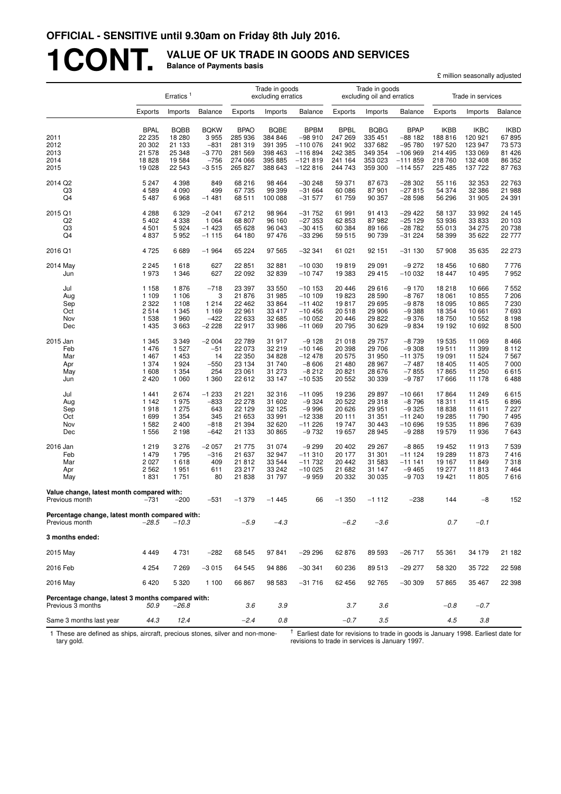## **1CONT. VALUE OF UK TRADE IN GOODS AND SERVICES Balance of Payments basis**

|                                                                        |                                           |                                           |                                          |                                              |                                              |                                                   |                                              |                                              |                                                  |                                              | £ million seasonally adjusted                |                                           |
|------------------------------------------------------------------------|-------------------------------------------|-------------------------------------------|------------------------------------------|----------------------------------------------|----------------------------------------------|---------------------------------------------------|----------------------------------------------|----------------------------------------------|--------------------------------------------------|----------------------------------------------|----------------------------------------------|-------------------------------------------|
|                                                                        |                                           | Erratics <sup>1</sup>                     |                                          |                                              | Trade in goods<br>excluding erratics         |                                                   |                                              | Trade in goods<br>excluding oil and erratics |                                                  |                                              | Trade in services                            |                                           |
|                                                                        | Exports                                   | Imports                                   | <b>Balance</b>                           | Exports                                      | Imports                                      | <b>Balance</b>                                    | Exports                                      | Imports                                      | Balance                                          | Exports                                      | Imports                                      | <b>Balance</b>                            |
| 2011<br>2012<br>2013                                                   | <b>BPAL</b><br>22 235<br>20 302<br>21 578 | <b>BQBB</b><br>18 280<br>21 133<br>25 348 | <b>BQKW</b><br>3955<br>$-831$<br>$-3770$ | <b>BPAO</b><br>285 936<br>281 319<br>281 569 | <b>BQBE</b><br>384 846<br>391 395<br>398 463 | <b>BPBM</b><br>$-98910$<br>$-110076$<br>$-116894$ | <b>BPBL</b><br>247 269<br>241 902<br>242 385 | <b>BQBG</b><br>335 451<br>337 682<br>349 354 | <b>BPAP</b><br>$-88182$<br>$-95780$<br>$-106969$ | <b>IKBB</b><br>188 816<br>197 520<br>214 495 | <b>IKBC</b><br>120 921<br>123 947<br>133 069 | <b>IKBD</b><br>67895<br>73 573<br>81 4 26 |
| 2014                                                                   | 18828                                     | 19 5 84                                   | $-756$                                   | 274 066                                      | 395 885                                      | $-121819$                                         | 241 164                                      | 353 023                                      | $-111859$                                        | 218760                                       | 132 408                                      | 86 352                                    |
| 2015                                                                   | 19 0 28                                   | 22 543                                    | $-3515$                                  | 265 827                                      | 388 643                                      | $-122816$                                         | 244 743                                      | 359 300                                      | $-114557$                                        | 225 485                                      | 137 722                                      | 87 763                                    |
| 2014 Q2                                                                | 5 2 4 7                                   | 4 3 9 8                                   | 849                                      | 68 216                                       | 98 4 64                                      | $-30248$                                          | 59 371                                       | 87 673                                       | $-28302$                                         | 55 116                                       | 32 353                                       | 22 763                                    |
| Q3<br>Q4                                                               | 4589<br>5 4 8 7                           | 4 0 9 0<br>6968                           | 499<br>$-1481$                           | 67 735<br>68 511                             | 99 399<br>100 088                            | $-31664$<br>$-31577$                              | 60 086<br>61 759                             | 87 901<br>90 357                             | $-27815$<br>$-28598$                             | 54 374<br>56 296                             | 32 386<br>31 905                             | 21 988<br>24 391                          |
| 2015 Q1                                                                | 4 2 8 8                                   | 6 3 2 9                                   | $-2041$                                  | 67 212                                       | 98 964                                       | $-31752$                                          | 61 991                                       | 91 413                                       | $-29422$                                         | 58 137                                       | 33 992                                       | 24 145                                    |
| Q2                                                                     | 5 4 0 2                                   | 4 3 3 8                                   | 1 0 6 4                                  | 68 807                                       | 96 160                                       | $-27353$                                          | 62 853                                       | 87 982                                       | $-25129$                                         | 53 936                                       | 33 833                                       | 20 103                                    |
| Q3                                                                     | 4 5 0 1                                   | 5924                                      | $-1423$                                  | 65 628                                       | 96 043                                       | $-30415$                                          | 60 384                                       | 89 166                                       | $-28782$                                         | 55 013                                       | 34 275                                       | 20 738                                    |
| Q <sub>4</sub>                                                         | 4 8 3 7                                   | 5952                                      | $-1115$                                  | 64 180                                       | 97 476                                       | $-33296$                                          | 59 515                                       | 90 739                                       | $-31224$                                         | 58 399                                       | 35 622                                       | 22 777                                    |
| 2016 Q1                                                                | 4 7 2 5                                   | 6689                                      | $-1964$                                  | 65 224                                       | 97 565                                       | $-32341$                                          | 61 021                                       | 92 151                                       | $-31130$                                         | 57908                                        | 35 635                                       | 22 273                                    |
| 2014 May<br>Jun                                                        | 2 2 4 5<br>1973                           | 1618<br>1 3 4 6                           | 627<br>627                               | 22 851<br>22 092                             | 32 881<br>32 839                             | $-100030$<br>$-10747$                             | 19819<br>19 383                              | 29 091<br>29 415                             | $-9272$<br>$-10032$                              | 18 45 6<br>18 447                            | 10 680<br>10 495                             | 7 776<br>7952                             |
| Jul                                                                    | 1 1 5 8                                   | 1876                                      | $-718$                                   | 23 397                                       | 33 550                                       | $-10153$                                          | 20 446                                       | 29 616                                       | $-9170$                                          | 18218                                        | 10 666                                       | 7 552                                     |
| Aug<br>Sep                                                             | 1 1 0 9<br>2 3 2 2                        | 1 1 0 6<br>1 1 0 8                        | 3<br>1214                                | 21 876<br>22 4 62                            | 31 985<br>33 864                             | $-10109$<br>$-11402$                              | 19823<br>19817                               | 28 590<br>29 695                             | $-8767$<br>$-9878$                               | 18 061<br>18 0 95                            | 10855<br>10 865                              | 7 206<br>7 2 3 0                          |
| Oct                                                                    | 2514                                      | 1 3 4 5                                   | 1 1 6 9                                  | 22 961                                       | 33 417                                       | $-10456$                                          | 20 518                                       | 29 906                                       | $-9388$                                          | 18 3 54                                      | 10 661                                       | 7693                                      |
| Nov                                                                    | 1538                                      | 1960                                      | $-422$                                   | 22 633                                       | 32 685                                       | $-10052$                                          | 20 446                                       | 29 822                                       | $-9376$                                          | 18750                                        | 10 552                                       | 8 1 9 8                                   |
| Dec                                                                    | 1435                                      | 3 6 6 3                                   | $-2228$                                  | 22 917                                       | 33 986                                       | $-11069$                                          | 20 795                                       | 30 629                                       | $-9834$                                          | 19 192                                       | 10 692                                       | 8500                                      |
| 2015 Jan                                                               | 1 3 4 5                                   | 3 3 4 9                                   | $-2004$                                  | 22 789                                       | 31917                                        | $-9128$                                           | 21 018                                       | 29 757                                       | $-8739$                                          | 19 535                                       | 11 069                                       | 8 4 6 6                                   |
| Feb<br>Mar                                                             | 1476<br>1467                              | 1 5 2 7<br>1 4 5 3                        | $-51$<br>14                              | 22 073<br>22 350                             | 32 219<br>34 828                             | $-10146$<br>$-12478$                              | 20 398<br>20 575                             | 29 706<br>31 950                             | $-9308$<br>$-11375$                              | 19511<br>19 091                              | 11 399<br>11 524                             | 8 1 1 2<br>7 5 6 7                        |
| Apr                                                                    | 1 3 7 4                                   | 1924                                      | $-550$                                   | 23 134                                       | 31 740                                       | $-8606$                                           | 21 480                                       | 28 967                                       | $-7487$                                          | 18 4 05                                      | 11 405                                       | 7 000                                     |
| May                                                                    | 1608                                      | 1 3 5 4                                   | 254                                      | 23 061                                       | 31 273                                       | -8 212                                            | 20 821                                       | 28 676                                       | $-7855$                                          | 17865                                        | 11 250                                       | 6615                                      |
| Jun                                                                    | 2420                                      | 1 0 6 0                                   | 1 3 6 0                                  | 22 612                                       | 33 147                                       | $-10535$                                          | 20 552                                       | 30 339                                       | $-9787$                                          | 17666                                        | 11 178                                       | 6488                                      |
| Jul                                                                    | 1441                                      | 2674                                      | $-1233$                                  | 21 221                                       | 32 316                                       | $-11095$                                          | 19 236                                       | 29 897<br>29 318                             | $-10661$                                         | 17864                                        | 11 249                                       | 6615                                      |
| Aug<br>Sep                                                             | 1 1 4 2<br>1918                           | 1975<br>1 275                             | $-833$<br>643                            | 22 278<br>22 129                             | 31 602<br>32 125                             | $-9324$<br>$-9996$                                | 20 522<br>20 6 26                            | 29 951                                       | $-8796$<br>$-9325$                               | 18 3 11<br>18838                             | 11 4 15<br>11 611                            | 6896<br>7 2 2 7                           |
| Oct                                                                    | 1699                                      | 1 3 5 4                                   | 345                                      | 21 653                                       | 33 991                                       | $-12338$                                          | 20 111                                       | 31 351                                       | $-11240$                                         | 19 285                                       | 11 790                                       | 7495                                      |
| Nov                                                                    | 1582                                      | 2 4 0 0                                   | $-818$                                   | 21 394                                       | 32 620                                       | $-11226$                                          | 19747                                        | 30 443                                       | $-10696$                                         | 19535                                        | 11896                                        | 7639                                      |
| Dec                                                                    | 1556                                      | 2 1 9 8                                   | $-642$                                   | 21 133                                       | 30 865                                       | $-9732$                                           | 19 657                                       | 28 945                                       | $-9288$                                          | 19 579                                       | 11 936                                       | 7643                                      |
| 2016 Jan                                                               | 1219                                      | 3 2 7 6                                   | $-2057$                                  | 21 775                                       | 31 074                                       | $-9299$                                           | 20 402                                       | 29 267                                       | $-8865$                                          | 19 452                                       | 11913                                        | 7539                                      |
| Feb<br>Mar                                                             | 1479<br>2027                              | 1795<br>1618                              | $-316$<br>409                            | 21 637<br>21 812                             | 32 947<br>33 544                             | $-11310$<br>$-11732$                              | 20 177<br>20 442                             | 31 301<br>31 583                             | $-111124$<br>$-111141$                           | 19 289<br>19 167                             | 11873<br>11849                               | 7416<br>7318                              |
| Apr                                                                    | 2562                                      | 1951                                      | 611                                      | 23 217                                       | 33 242                                       | $-10025$                                          | 21 682                                       | 31 147                                       | $-9465$                                          | 19 277                                       | 11813                                        | 7 4 6 4                                   |
| May                                                                    | 1831                                      | 1751                                      | 80                                       | 21 838                                       | 31 797                                       | $-9959$                                           | 20 332                                       | 30 035                                       | $-9703$                                          | 19 4 21                                      | 11 805                                       | 7616                                      |
| Value change, latest month compared with:<br>Previous month            | $-731$                                    | $-200$                                    | $-531$                                   | $-1379$                                      | $-1445$                                      | 66                                                | $-1350$                                      | $-1112$                                      | $-238$                                           | 144                                          | $-8$                                         | 152                                       |
| Percentage change, latest month compared with:<br>Previous month       | $-28.5$                                   | $-10.3$                                   |                                          | $-5.9$                                       | $-4.3$                                       |                                                   | $-6.2$                                       | $-3.6$                                       |                                                  | 0.7                                          | $-0.1$                                       |                                           |
| 3 months ended:                                                        |                                           |                                           |                                          |                                              |                                              |                                                   |                                              |                                              |                                                  |                                              |                                              |                                           |
| 2015 May                                                               | 4 4 4 9                                   | 4731                                      | $-282$                                   | 68 545                                       | 97841                                        | $-29296$                                          | 62 876                                       | 89 593                                       | $-26717$                                         | 55 361                                       | 34 179                                       | 21 182                                    |
| 2016 Feb                                                               | 4 2 5 4                                   | 7 2 6 9                                   | $-3015$                                  | 64 545                                       | 94 886                                       | $-30341$                                          | 60 236                                       | 89 513                                       | $-29277$                                         | 58 320                                       | 35 722                                       | 22 598                                    |
| 2016 May                                                               | 6420                                      | 5 3 2 0                                   | 1 100                                    | 66 867                                       | 98 583                                       | $-31716$                                          | 62 456                                       | 92 765                                       | $-30309$                                         | 57865                                        | 35 467                                       | 22 398                                    |
| Percentage change, latest 3 months compared with:<br>Previous 3 months | 50.9                                      | $-26.8$                                   |                                          | 3.6                                          | 3.9                                          |                                                   | 3.7                                          | 3.6                                          |                                                  | $-0.8$                                       | $-0.7$                                       |                                           |
| Same 3 months last year                                                | 44.3                                      | 12.4                                      |                                          | $-2.4$                                       | 0.8                                          |                                                   | $-0.7$                                       | 3.5                                          |                                                  | 4.5                                          | 3.8                                          |                                           |

1 These are defined as ships, aircraft, precious stones, silver and non-monetary gold.

 $\dagger$  Earliest date for revisions to trade in goods is January 1998. Earliest date for revisions to trade in services is January 1997.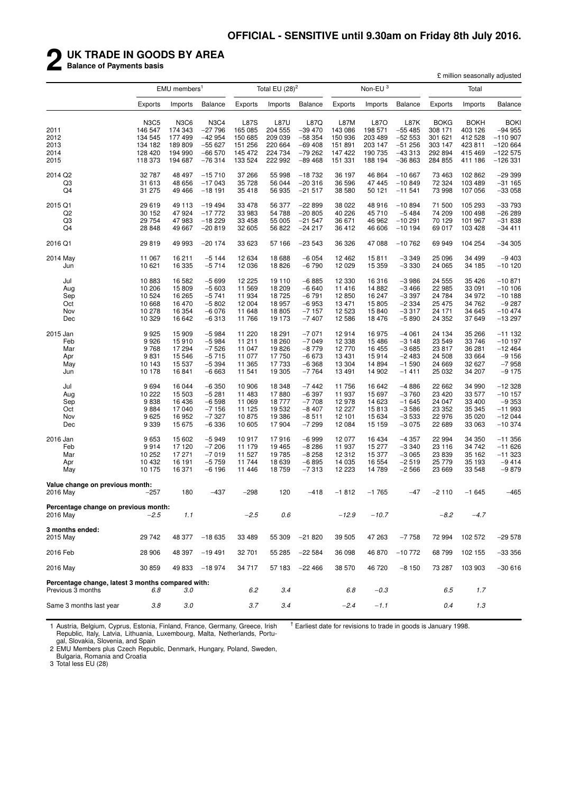## **2 UK TRADE IN GOODS BY AREA**

**Balance of Payments basis**

|                                                                        |             |                          |                |             |                   |          |          |                     |                |             | £ million seasonally adjusted |                |
|------------------------------------------------------------------------|-------------|--------------------------|----------------|-------------|-------------------|----------|----------|---------------------|----------------|-------------|-------------------------------|----------------|
|                                                                        |             | EMU members <sup>1</sup> |                |             | Total EU $(28)^2$ |          |          | Non-EU <sup>3</sup> |                |             | Total                         |                |
|                                                                        | Exports     | Imports                  | <b>Balance</b> | Exports     | Imports           | Balance  | Exports  | Imports             | <b>Balance</b> | Exports     | Imports                       | <b>Balance</b> |
|                                                                        | <b>N3C5</b> | <b>N3C6</b>              | <b>N3C4</b>    | <b>L87S</b> | <b>L87U</b>       | L87Q     | L87M     | L87O                | L87K           | <b>BOKG</b> | <b>BOKH</b>                   | BOKI           |
| 2011                                                                   | 146 547     | 174 343                  | $-27796$       | 165 085     | 204 555           | $-39470$ | 143 086  | 198 571             | $-55485$       | 308 171     | 403 126                       | $-94955$       |
| 2012                                                                   | 134 545     | 177 499                  | $-42954$       | 150 685     | 209 039           | $-58354$ | 150 936  | 203 489             | $-5253$        | 301 621     | 412 528                       | $-110907$      |
| 2013                                                                   | 134 182     | 189 809                  | $-55627$       | 151 256     | 220 664           | $-69408$ | 151 891  | 203 147             | $-51256$       | 303 147     | 423 811                       | $-120664$      |
| 2014                                                                   | 128 420     | 194 990                  | $-66570$       | 145 472     | 224 734           | $-79262$ | 147 422  | 190 735             | $-433313$      | 292 894     | 415 469                       | $-122575$      |
| 2015                                                                   | 118 373     | 194 687                  | $-76314$       | 133 524     | 222 992           | $-89468$ | 151 331  | 188 194             | $-36863$       | 284 855     | 411 186                       | $-126331$      |
| 2014 Q2                                                                | 32 787      | 48 497                   | $-15710$       | 37 266      | 55 998            | $-18732$ | 36 197   | 46 864              | $-10667$       | 73 463      | 102 862                       | $-29399$       |
| Q3                                                                     | 31 613      | 48 656                   | $-17043$       | 35728       | 56 044            | $-20316$ | 36 596   | 47 445              | $-10849$       | 72 324      | 103 489                       | $-31165$       |
| Q <sub>4</sub>                                                         | 31 275      | 49 4 66                  | $-18191$       | 35 418      | 56 935            | $-21517$ | 38 580   | 50 121              | $-11541$       | 73 998      | 107 056                       | $-33058$       |
| 2015 Q1                                                                | 29 619      | 49 113                   | $-19494$       | 33 4 78     | 56 377            | $-22899$ | 38 022   | 48 916              | $-10.894$      | 71 500      | 105 293                       | $-33793$       |
| Q2                                                                     | 30 152      | 47 924                   | $-17772$       | 33 983      | 54 788            | $-20805$ | 40 226   | 45 710              | $-5484$        | 74 209      | 100 498                       | $-26289$       |
| Q3                                                                     | 29 754      | 47983                    | $-18229$       | 33 458      | 55 005            | $-21547$ | 36 671   | 46 962              | $-10291$       | 70 129      | 101 967                       | $-31838$       |
| Q <sub>4</sub>                                                         | 28 848      | 49 667                   | $-20819$       | 32 605      | 56 822            | $-24217$ | 36 412   | 46 606              | $-10194$       | 69 017      | 103 428                       | $-34411$       |
| 2016 Q1                                                                | 29 819      | 49 993                   | $-20174$       | 33 623      | 57 166            | $-23543$ | 36 326   | 47 088              | $-10762$       | 69 949      | 104 254                       | -34 305        |
| 2014 May                                                               | 11 067      | 16 211                   | $-5144$        | 12 634      | 18 688            | $-6054$  | 12 4 6 2 | 15811               | $-3349$        | 25 096      | 34 499                        | $-9403$        |
| Jun                                                                    | 10 621      | 16 335                   | $-5714$        | 12 0 36     | 18826             | $-6790$  | 12 0 29  | 15 359              | $-3330$        | 24 065      | 34 185                        | $-10120$       |
| Jul                                                                    | 10883       | 16 582                   | $-5699$        | 12 2 2 5    | 19 110            | $-6885$  | 12 3 30  | 16 316              | $-3986$        | 24 555      | 35 4 26                       | $-10871$       |
| Aug                                                                    | 10 206      | 15 809                   | $-5603$        | 11 569      | 18 209            | $-6640$  | 11 416   | 14 882              | $-3466$        | 22 985      | 33 091                        | $-10106$       |
| Sep                                                                    | 10 524      | 16 265                   | $-5741$        | 11 934      | 18 725            | $-6791$  | 12 850   | 16 247              | $-3397$        | 24 784      | 34 972                        | $-10188$       |
| Oct                                                                    | 10 668      | 16 470                   | $-5802$        | 12 004      | 18 957            | $-6953$  | 13 471   | 15 805              | $-2334$        | 25 4 7 5    | 34 762                        | $-9287$        |
| Nov                                                                    | 10 278      | 16 354                   | $-6076$        | 11 648      | 18 805            | $-7157$  | 12 5 23  | 15 840              | $-3317$        | 24 171      | 34 645                        | $-10474$       |
| Dec                                                                    | 10 329      | 16 642                   | $-6313$        | 11766       | 19 173            | $-7407$  | 12 5 8 6 | 18 476              | $-5890$        | 24 352      | 37 649                        | $-13297$       |
| 2015 Jan                                                               | 9925        | 15 909                   | $-5984$        | 11 2 20     | 18 291            | $-7071$  | 12914    | 16975               | $-4061$        | 24 134      | 35 266                        | $-11132$       |
| Feb                                                                    | 9926        | 15910                    | $-5984$        | 11 211      | 18 260            | $-7049$  | 12 3 38  | 15 4 86             | $-3148$        | 23 549      | 33 746                        | $-10197$       |
| Mar                                                                    | 9768        | 17 294                   | $-7526$        | 11 047      | 19826             | $-8779$  | 12 770   | 16 455              | $-3685$        | 23 817      | 36 281                        | $-12464$       |
| Apr                                                                    | 9831        | 15 546                   | $-5715$        | 11 077      | 17750             | $-6673$  | 13 431   | 15914               | $-2483$        | 24 508      | 33 664                        | $-9156$        |
| May                                                                    | 10 143      | 15 537                   | $-5394$        | 11 365      | 17733             | $-6368$  | 13 304   | 14 8 94             | $-1590$        | 24 669      | 32 627                        | $-7958$        |
| Jun                                                                    | 10 178      | 16841                    | $-6663$        | 11 541      | 19 305            | $-7764$  | 13 4 91  | 14 902              | $-1411$        | 25 032      | 34 207                        | $-9175$        |
| Jul                                                                    | 9694        | 16 044                   | $-6350$        | 10 906      | 18 348            | $-7442$  | 11756    | 16 642              | $-4886$        | 22 662      | 34 990                        | $-12328$       |
| Aug                                                                    | 10 222      | 15 503                   | $-5281$        | 11 483      | 17880             | $-6397$  | 11 937   | 15 697              | $-3760$        | 23 4 20     | 33 577                        | $-10$ 157      |
| Sep                                                                    | 9838        | 16 436                   | $-6598$        | 11 069      | 18777             | $-7708$  | 12978    | 14 623              | $-1645$        | 24 047      | 33 400                        | $-9353$        |
| Oct                                                                    | 9884        | 17 040                   | $-7156$        | 11 125      | 19 532            | $-8407$  | 12 227   | 15813               | $-3586$        | 23 352      | 35 345                        | $-11993$       |
| Nov                                                                    | 9625        | 16 952                   | $-7327$        | 10875       | 19 386            | $-8511$  | 12 101   | 15 634              | $-3533$        | 22 976      | 35 0 20                       | $-12044$       |
| Dec                                                                    | 9 3 3 9     | 15 675                   | $-6336$        | 10 605      | 17904             | $-7299$  | 12 084   | 15 159              | $-3075$        | 22 689      | 33 063                        | $-10374$       |
| 2016 Jan                                                               | 9653        | 15 602                   | $-5949$        | 10917       | 17916             | $-6999$  | 12 077   | 16 434              | $-4357$        | 22 994      | 34 350                        | -11 356        |
| Feb                                                                    | 9914        | 17 120                   | $-7206$        | 11 179      | 19 4 65           | $-8286$  | 11 937   | 15 277              | $-3340$        | 23 116      | 34 742                        | -11 626        |
| Mar                                                                    | 10 252      | 17 271                   | $-7019$        | 11 527      | 19785             | $-8258$  | 12 3 12  | 15 377              | $-3065$        | 23 839      | 35 162                        | $-11323$       |
| Apr                                                                    | 10 432      | 16 191                   | $-5759$        | 11744       | 18639             | $-6895$  | 14 035   | 16 554              | $-2519$        | 25 7 7 9    | 35 193                        | $-9414$        |
| May                                                                    | 10 175      | 16 371                   | $-6196$        | 11 446      | 18759             | -7313    | 12 2 23  | 14 789              | $-2566$        | 23 669      | 33 548                        | $-9879$        |
| Value change on previous month:                                        |             |                          |                |             |                   |          |          |                     |                |             |                               |                |
| 2016 May                                                               | $-257$      | 180                      | $-437$         | 298         | 120               | $-418$   | $-1812$  | $-1765$             | $-47$          | $-2110$     | $-1645$                       | $-465$         |
| Percentage change on previous month:<br>2016 May                       | $-2.5$      | 1.1                      |                | $-2.5$      | 0.6               |          | $-12.9$  | $-10.7$             |                | -8.2        | $-4.7$                        |                |
| 3 months ended:                                                        |             |                          |                |             |                   |          |          |                     |                |             |                               |                |
| 2015 May                                                               | 29 742      | 48 377                   | $-18635$       | 33 4 89     | 55 309            | $-21820$ | 39 505   | 47 263              | $-7758$        | 72 994      | 102 572                       | $-29578$       |
| 2016 Feb                                                               | 28 906      | 48 397                   | -19 491        | 32 701      | 55 285            | $-22584$ | 36 098   | 46 870              | $-10772$       | 68799       | 102 155                       | $-33356$       |
| 2016 May                                                               | 30 859      | 49 833                   | $-18974$       | 34 717      | 57 183            | $-22466$ | 38 570   | 46 720              | $-8150$        | 73 287      | 103 903                       | $-30616$       |
| Percentage change, latest 3 months compared with:<br>Previous 3 months | 6.8         | 3.0                      |                | 6.2         | 3.4               |          | 6.8      | $-0.3$              |                | 6.5         | 1.7                           |                |
| Same 3 months last year                                                | 3.8         | 3.0                      |                | 3.7         | 3.4               |          | $-2.4$   | $-1.1$              |                | 0.4         | 1.3                           |                |
|                                                                        |             |                          |                |             |                   |          |          |                     |                |             |                               |                |

1 Austria, Belgium, Cyprus, Estonia, Finland, France, Germany, Greece, Irish Republic, Italy, Latvia, Lithuania, Luxembourg, Malta, Netherlands, Portugal, Slovakia, Slovenia, and Spain

 $<sup>†</sup>$  Earliest date for revisions to trade in goods is January 1998.</sup>

2 EMU Members plus Czech Republic, Denmark, Hungary, Poland, Sweden, Bulgaria, Romania and Croatia

3 Total less EU (28)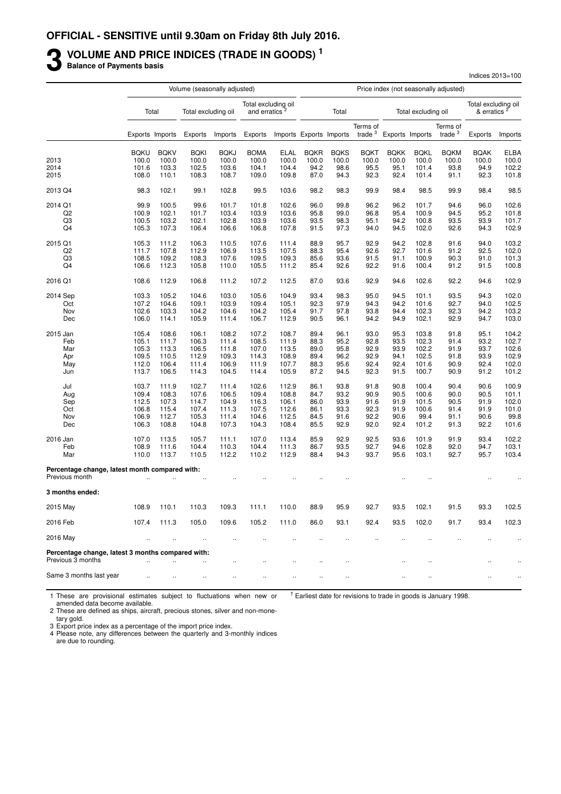## **3** VOLUME AND PRICE INDICES (TRADE IN GOODS)<sup>1</sup><br>Balance of Payments basis

**Balance of Payments basis**

|                                                       |                | Volume (seasonally adjusted) |                     |                |                                                  |                |                         |              | Price index (not seasonally adjusted) |              |                      |                       |                                                |               |
|-------------------------------------------------------|----------------|------------------------------|---------------------|----------------|--------------------------------------------------|----------------|-------------------------|--------------|---------------------------------------|--------------|----------------------|-----------------------|------------------------------------------------|---------------|
|                                                       |                | Total                        | Total excluding oil |                | Total excluding oil<br>and erratics <sup>2</sup> |                |                         | Total        |                                       |              | Total excluding oil  |                       | Total excluding oil<br>& erratics <sup>2</sup> |               |
|                                                       |                | Exports Imports              | Exports             | Imports        | Exports                                          |                | Imports Exports Imports |              | Terms of<br>trade $3$                 |              | Exports Imports      | Terms of<br>trade $3$ | Exports                                        | Imports       |
|                                                       | <b>BQKU</b>    | <b>BQKV</b>                  | <b>BQKI</b>         | <b>BQKJ</b>    | <b>BOMA</b>                                      | <b>ELAL</b>    | <b>BQKR</b>             | <b>BQKS</b>  | <b>BQKT</b>                           | <b>BOKK</b>  | <b>BQKL</b>          | <b>BQKM</b>           | <b>BQAK</b>                                    | <b>ELBA</b>   |
| 2013                                                  | 100.0          | 100.0                        | 100.0               | 100.0          | 100.0                                            | 100.0          | 100.0                   | 100.0        | 100.0                                 | 100.0        | 100.0                | 100.0                 | 100.0                                          | 100.0         |
| 2014                                                  | 101.6          | 103.3                        | 102.5               | 103.6          | 104.1                                            | 104.4          | 94.2                    | 98.6         | 95.5                                  | 95.1         | 101.4                | 93.8                  | 94.9                                           | 102.2         |
| 2015                                                  | 108.0          | 110.1                        | 108.3               | 108.7          | 109.0                                            | 109.8          | 87.0                    | 94.3         | 92.3                                  | 92.4         | 101.4                | 91.1                  | 92.3                                           | 101.8         |
| 2013 Q4                                               | 98.3           | 102.1                        | 99.1                | 102.8          | 99.5                                             | 103.6          | 98.2                    | 98.3         | 99.9                                  | 98.4         | 98.5                 | 99.9                  | 98.4                                           | 98.5          |
| 2014 Q1                                               | 99.9           | 100.5                        | 99.6                | 101.7          | 101.8                                            | 102.6          | 96.0                    | 99.8         | 96.2                                  | 96.2         | 101.7                | 94.6                  | 96.0                                           | 102.6         |
| Q2                                                    | 100.9          | 102.1                        | 101.7               | 103.4          | 103.9                                            | 103.6          | 95.8                    | 99.0         | 96.8                                  | 95.4         | 100.9                | 94.5                  | 95.2                                           | 101.8         |
| Q3                                                    | 100.5          | 103.2                        | 102.1               | 102.8          | 103.9                                            | 103.6          | 93.5                    | 98.3         | 95.1                                  | 94.2         | 100.8                | 93.5                  | 93.9                                           | 101.7         |
| Q4                                                    | 105.3          | 107.3                        | 106.4               | 106.6          | 106.8                                            | 107.8          | 91.5                    | 97.3         | 94.0                                  | 94.5         | 102.0                | 92.6                  | 94.3                                           | 102.9         |
| 2015 Q1                                               | 105.3          | 111.2                        | 106.3               | 110.5          | 107.6                                            | 111.4          | 88.9                    | 95.7         | 92.9                                  | 94.2         | 102.8                | 91.6                  | 94.0                                           | 103.2         |
| Q <sub>2</sub>                                        | 111.7          | 107.8                        | 112.9               | 106.9          | 113.5                                            | 107.5          | 88.3                    | 95.4         | 92.6                                  | 92.7         | 101.6                | 91.2                  | 92.5                                           | 102.0         |
| Q3                                                    | 108.5          | 109.2                        | 108.3               | 107.6          | 109.5                                            | 109.3          | 85.6                    | 93.6         | 91.5                                  | 91.1         | 100.9                | 90.3                  | 91.0                                           | 101.3         |
| Q <sub>4</sub>                                        | 106.6          | 112.3                        | 105.8               | 110.0          | 105.5                                            | 111.2          | 85.4                    | 92.6         | 92.2                                  | 91.6         | 100.4                | 91.2                  | 91.5                                           | 100.8         |
| 2016 Q1                                               | 108.6          | 112.9                        | 106.8               | 111.2          | 107.2                                            | 112.5          | 87.0                    | 93.6         | 92.9                                  | 94.6         | 102.6                | 92.2                  | 94.6                                           | 102.9         |
| 2014 Sep                                              | 103.3          | 105.2                        | 104.6               | 103.0          | 105.6                                            | 104.9          | 93.4                    | 98.3         | 95.0                                  | 94.5         | 101.1                | 93.5                  | 94.3                                           | 102.0         |
| Oct                                                   | 107.2          | 104.6                        | 109.1               | 103.9          | 109.4                                            | 105.1          | 92.3                    | 97.9         | 94.3                                  | 94.2         | 101.6                | 92.7                  | 94.0                                           | 102.5         |
| Nov                                                   | 102.6          | 103.3                        | 104.2               | 104.6          | 104.2                                            | 105.4          | 91.7                    | 97.8         | 93.8                                  | 94.4         | 102.3                | 92.3                  | 94.2                                           | 103.2         |
| Dec                                                   | 106.0          | 114.1                        | 105.9               | 111.4          | 106.7                                            | 112.9          | 90.5                    | 96.1         | 94.2                                  | 94.9         | 102.1                | 92.9                  | 94.7                                           | 103.0         |
| 2015 Jan                                              | 105.4          | 108.6                        | 106.1               | 108.2          | 107.2                                            | 108.7          | 89.4                    | 96.1         | 93.0                                  | 95.3         | 103.8                | 91.8                  | 95.1                                           | 104.2         |
| Feb                                                   | 105.1          | 111.7                        | 106.3               | 111.4          | 108.5                                            | 111.9          | 88.3                    | 95.2         | 92.8                                  | 93.5         | 102.3                | 91.4                  | 93.2                                           | 102.7         |
| Mar                                                   | 105.3          | 113.3                        | 106.5               | 111.8          | 107.0                                            | 113.5          | 89.0                    | 95.8         | 92.9                                  | 93.9         | 102.2                | 91.9                  | 93.7                                           | 102.6         |
| Apr                                                   | 109.5          | 110.5                        | 112.9               | 109.3          | 114.3                                            | 108.9          | 89.4                    | 96.2         | 92.9                                  | 94.1         | 102.5                | 91.8                  | 93.9                                           | 102.9         |
| May                                                   | 112.0          | 106.4                        | 111.4               | 106.9          | 111.9                                            | 107.7          | 88.3                    | 95.6         | 92.4                                  | 92.4         | 101.6                | 90.9                  | 92.4                                           | 102.0         |
| Jun                                                   | 113.7          | 106.5                        | 114.3               | 104.5          | 114.4                                            | 105.9          | 87.2                    | 94.5         | 92.3                                  | 91.5         | 100.7                | 90.9                  | 91.2                                           | 101.2         |
| Jul                                                   | 103.7          | 111.9                        | 102.7               | 111.4          | 102.6                                            | 112.9          | 86.1                    | 93.8         | 91.8                                  | 90.8         | 100.4                | 90.4                  | 90.6                                           | 100.9         |
| Aug                                                   | 109.4          | 108.3                        | 107.6               | 106.5          | 109.4                                            | 108.8          | 84.7                    | 93.2         | 90.9                                  | 90.5         | 100.6                | 90.0                  | 90.5                                           | 101.1         |
| Sep                                                   | 112.5          | 107.3                        | 114.7               | 104.9          | 116.3                                            | 106.1          | 86.0                    | 93.9         | 91.6                                  | 91.9         | 101.5                | 90.5                  | 91.9                                           | 102.0         |
| Oct                                                   | 106.8          | 115.4                        | 107.4               | 111.3          | 107.5                                            | 112.6          | 86.1                    | 93.3         | 92.3                                  | 91.9         | 100.6                | 91.4                  | 91.9                                           | 101.0         |
| Nov<br>Dec                                            | 106.9<br>106.3 | 112.7<br>108.8               | 105.3<br>104.8      | 111.4<br>107.3 | 104.6<br>104.3                                   | 112.5<br>108.4 | 84.5<br>85.5            | 91.6<br>92.9 | 92.2<br>92.0                          | 90.6<br>92.4 | 99.4<br>101.2        | 91.1<br>91.3          | 90.6<br>92.2                                   | 99.8<br>101.6 |
|                                                       |                |                              |                     |                |                                                  |                |                         |              |                                       |              |                      |                       |                                                |               |
| 2016 Jan                                              | 107.0          | 113.5                        | 105.7               | 111.1          | 107.0                                            | 113.4          | 85.9                    | 92.9         | 92.5                                  | 93.6         | 101.9                | 91.9                  | 93.4                                           | 102.2         |
| Feb                                                   | 108.9          | 111.6                        | 104.4               | 110.3          | 104.4                                            | 111.3          | 86.7                    | 93.5         | 92.7                                  | 94.6         | 102.8                | 92.0                  | 94.7                                           | 103.1         |
| Mar<br>Percentage change, latest month compared with: | 110.0          | 113.7                        | 110.5               | 112.2          | 110.2                                            | 112.9          | 88.4                    | 94.3         | 93.7                                  | 95.6         | 103.1                | 92.7                  | 95.7                                           | 103.4         |
| Previous month                                        |                |                              |                     |                |                                                  |                |                         |              |                                       |              |                      |                       |                                                |               |
| 3 months ended:                                       |                |                              |                     |                |                                                  |                |                         |              |                                       |              |                      |                       |                                                |               |
| 2015 May                                              | 108.9          | 110.1                        | 110.3               | 109.3          | 111.1                                            | 110.0          | 88.9                    | 95.9         | 92.7                                  | 93.5         | 102.1                | 91.5                  | 93.3                                           | 102.5         |
| 2016 Feb                                              | 107.4          | 111.3                        | 105.0               | 109.6          | 105.2                                            | 111.0          | 86.0                    | 93.1         | 92.4                                  | 93.5         | 102.0                | 91.7                  | 93.4                                           | 102.3         |
| 2016 May                                              |                |                              |                     |                |                                                  |                |                         |              |                                       |              |                      |                       |                                                | $\cdot$       |
| Percentage change, latest 3 months compared with:     |                |                              |                     |                |                                                  |                |                         |              |                                       |              |                      |                       |                                                |               |
| Previous 3 months                                     | $\sim$         | $\ddot{\phantom{a}}$         |                     | $\ddotsc$      | $\ddot{\phantom{0}}$                             | $\ddotsc$      | $\ddot{\phantom{0}}$    | $\ddotsc$    |                                       | $\ddotsc$    | $\ddot{\phantom{0}}$ |                       | $\ddot{\phantom{a}}$                           | $\ddotsc$     |
| Same 3 months last year                               | $\ddotsc$      | $\ddotsc$                    | $\ddotsc$           | $\ddotsc$      |                                                  | $\cdot$ .      | $\cdot$                 | $\ddotsc$    |                                       |              |                      |                       | $\cdot$                                        | $\ddotsc$     |

Indices 2013=100

1 These are provisional estimates subject to fluctuations when new or  $<sup>†</sup>$  Earliest date for revisions to trade in goods is January 1998.</sup>

amended data become available.

2 These are defined as ships, aircraft, precious stones, silver and non-mone-

tary gold.

3 Export price index as a percentage of the import price index. 4 Please note, any differences between the quarterly and 3-monthly indices

are due to rounding.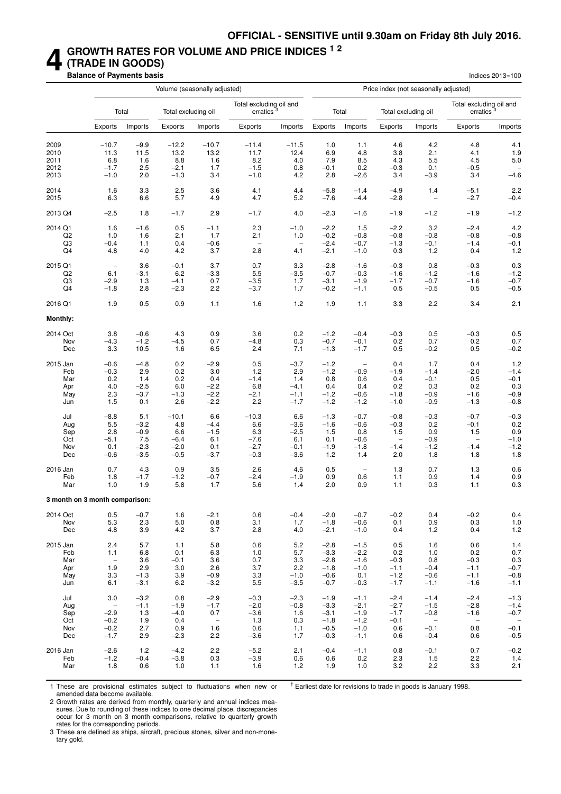### **4 GROWTH RATES FOR VOLUME AND PRICE INDICES 1 2 (TRADE IN GOODS)**

**Balance of Payments basis** Indices 2013=100

|                                | Volume (seasonally adjusted)    |         |                     |                                 |                                                  |                   |         |                          | Price index (not seasonally adjusted) |                                 |                                                  |                          |
|--------------------------------|---------------------------------|---------|---------------------|---------------------------------|--------------------------------------------------|-------------------|---------|--------------------------|---------------------------------------|---------------------------------|--------------------------------------------------|--------------------------|
|                                |                                 | Total   | Total excluding oil |                                 | Total excluding oil and<br>erratics <sup>3</sup> |                   |         | Total                    | Total excluding oil                   |                                 | Total excluding oil and<br>erratics <sup>3</sup> |                          |
|                                | Exports                         | Imports | Exports             | Imports                         | Exports                                          | Imports           | Exports | Imports                  | Exports                               | Imports                         | Exports                                          | Imports                  |
| 2009                           | $-10.7$                         | $-9.9$  | $-12.2$             | $-10.7$                         | $-11.4$                                          | $-11.5$           | 1.0     | 1.1                      | 4.6                                   | 4.2                             | 4.8                                              | 4.1                      |
| 2010                           | 11.3                            | 11.5    | 13.2                | 13.2                            | 11.7                                             | 12.4              | 6.9     | 4.8                      | 3.8                                   | 2.1                             | 4.1                                              | 1.9                      |
| 2011                           | 6.8                             | 1.6     | 8.8                 | 1.6                             | 8.2                                              | 4.0               | 7.9     | 8.5                      | 4.3                                   | 5.5                             | 4.5                                              | 5.0                      |
| 2012                           | $-1.7$                          | 2.5     | $-2.1$              | 1.7                             | $-1.5$                                           | 0.8               | $-0.1$  | 0.2                      | $-0.3$                                | 0.1                             | $-0.5$                                           | $\overline{\phantom{0}}$ |
| 2013                           | $-1.0$                          | 2.0     | $-1.3$              | 3.4                             | $-1.0$                                           | 4.2               | 2.8     | $-2.6$                   | 3.4                                   | $-3.9$                          | 3.4                                              | $-4.6$                   |
| 2014                           | 1.6                             | 3.3     | 2.5                 | 3.6                             | 4.1                                              | 4.4               | $-5.8$  | $-1.4$                   | $-4.9$                                | 1.4                             | $-5.1$                                           | 2.2                      |
| 2015                           | 6.3                             | 6.6     | 5.7                 | 4.9                             | 4.7                                              | 5.2               | $-7.6$  | $-4.4$                   | $-2.8$                                | $\qquad \qquad -$               | $-2.7$                                           | $-0.4$                   |
| 2013 Q4                        | $-2.5$                          | 1.8     | $-1.7$              | 2.9                             | $-1.7$                                           | 4.0               | $-2.3$  | $-1.6$                   | $-1.9$                                | $-1.2$                          | $-1.9$                                           | $-1.2$                   |
| 2014 Q1                        | 1.6                             | $-1.6$  | 0.5                 | $-1.1$                          | 2.3                                              | $-1.0$            | $-2.2$  | 1.5                      | $-2.2$                                | 3.2                             | $-2.4$                                           | 4.2                      |
| Q <sub>2</sub>                 | 1.0                             | 1.6     | 2.1                 | 1.7                             | 2.1                                              | 1.0               | $-0.2$  | $-0.8$                   | $-0.8$                                | $-0.8$                          | $-0.8$                                           | $-0.8$                   |
| Q <sub>3</sub>                 | $-0.4$                          | 1.1     | 0.4                 | $-0.6$                          | $\overline{\phantom{0}}$                         | $\qquad \qquad -$ | $-2.4$  | $-0.7$                   | $-1.3$                                | $-0.1$                          | $-1.4$                                           | $-0.1$                   |
| Q4                             | 4.8                             | 4.0     | 4.2                 | 3.7                             | 2.8                                              | 4.1               | $-2.1$  | $-1.0$                   | 0.3                                   | 1.2                             | 0.4                                              | 1.2                      |
| 2015 Q1                        | $\qquad \qquad -$               | 3.6     | $-0.1$              | 3.7                             | 0.7                                              | 3.3               | $-2.8$  | $-1.6$                   | $-0.3$                                | 0.8                             | $-0.3$                                           | 0.3                      |
| Q <sub>2</sub>                 | 6.1                             | $-3.1$  | 6.2                 | $-3.3$                          | 5.5                                              | $-3.5$            | $-0.7$  | $-0.3$                   | $-1.6$                                | $-1.2$                          | $-1.6$                                           | $-1.2$                   |
| Q3                             | $-2.9$                          | 1.3     | $-4.1$              | 0.7                             | $-3.5$                                           | 1.7               | $-3.1$  | $-1.9$                   | $-1.7$                                | $-0.7$                          | $-1.6$                                           | $-0.7$                   |
| Q4                             | $-1.8$                          | 2.8     | $-2.3$              | 2.2                             | $-3.7$                                           | 1.7               | $-0.2$  | $-1.1$                   | 0.5                                   | $-0.5$                          | 0.5                                              | $-0.5$                   |
| 2016 Q1                        | 1.9                             | 0.5     | 0.9                 | 1.1                             | 1.6                                              | 1.2               | 1.9     | 1.1                      | 3.3                                   | 2.2                             | 3.4                                              | 2.1                      |
| <b>Monthly:</b>                |                                 |         |                     |                                 |                                                  |                   |         |                          |                                       |                                 |                                                  |                          |
| 2014 Oct                       | 3.8                             | $-0.6$  | 4.3                 | 0.9                             | 3.6                                              | 0.2               | $-1.2$  | $-0.4$                   | $-0.3$                                | 0.5                             | $-0.3$                                           | 0.5                      |
| Nov                            | $-4.3$                          | $-1.2$  | $-4.5$              | 0.7                             | $-4.8$                                           | 0.3               | $-0.7$  | $-0.1$                   | 0.2                                   | 0.7                             | 0.2                                              | 0.7                      |
| Dec                            | 3.3                             | 10.5    | 1.6                 | 6.5                             | 2.4                                              | 7.1               | $-1.3$  | $-1.7$                   | 0.5                                   | $-0.2$                          | 0.5                                              | $-0.2$                   |
| 2015 Jan                       | $-0.6$                          | $-4.8$  | 0.2                 | $-2.9$                          | 0.5                                              | $-3.7$            | $-1.2$  | $\overline{\phantom{a}}$ | 0.4                                   | 1.7                             | 0.4                                              | 1.2                      |
| Feb                            | $-0.3$                          | 2.9     | 0.2                 | 3.0                             | 1.2                                              | 2.9               | $-1.2$  | $-0.9$                   | $-1.9$                                | $-1.4$                          | $-2.0$                                           | $-1.4$                   |
| Mar                            | 0.2                             | 1.4     | 0.2                 | 0.4                             | $-1.4$                                           | 1.4               | 0.8     | 0.6                      | 0.4                                   | $-0.1$                          | 0.5                                              | $-0.1$                   |
| Apr                            | 4.0                             | $-2.5$  | 6.0                 | $-2.2$                          | 6.8                                              | $-4.1$            | 0.4     | 0.4                      | 0.2                                   | 0.3                             | 0.2                                              | 0.3                      |
| May                            | 2.3                             | $-3.7$  | $-1.3$              | $-2.2$                          | $-2.1$                                           | $-1.1$            | $-1.2$  | $-0.6$                   | $-1.8$                                | $-0.9$                          | $-1.6$                                           | $-0.9$                   |
| Jun                            | 1.5                             | 0.1     | 2.6                 | $-2.2$                          | 2.2                                              | $-1.7$            | $-1.2$  | $-1.2$                   | $-1.0$                                | $-0.9$                          | $-1.3$                                           | $-0.8$                   |
| Jul                            | $-8.8$                          | 5.1     | $-10.1$             | 6.6                             | $-10.3$                                          | 6.6               | $-1.3$  | $-0.7$                   | $-0.8$                                | $-0.3$                          | $-0.7$                                           | $-0.3$                   |
| Aug                            | 5.5                             | $-3.2$  | 4.8                 | $-4.4$                          | 6.6                                              | $-3.6$            | $-1.6$  | $-0.6$                   | $-0.3$                                | 0.2                             | $-0.1$                                           | 0.2                      |
| Sep                            | 2.8                             | $-0.9$  | 6.6                 | $-1.5$                          | 6.3                                              | $-2.5$            | 1.5     | 0.8                      | 1.5                                   | 0.9                             | 1.5                                              | 0.9                      |
| Oct                            | $-5.1$                          | 7.5     | $-6.4$              | 6.1                             | $-7.6$                                           | 6.1               | 0.1     | $-0.6$                   | $\overline{\phantom{0}}$              | $-0.9$                          | $\overline{\phantom{0}}$                         | $-1.0$                   |
| Nov                            | 0.1                             | $-2.3$  | $-2.0$              | 0.1                             | $-2.7$                                           | $-0.1$            | $-1.9$  | $-1.8$                   | $-1.4$                                | $-1.2$                          | $-1.4$                                           | $-1.2$                   |
| Dec                            | $-0.6$                          | $-3.5$  | $-0.5$              | $-3.7$                          | $-0.3$                                           | $-3.6$            | 1.2     | 1.4                      | 2.0                                   | 1.8                             | 1.8                                              | 1.8                      |
| 2016 Jan                       | 0.7                             | 4.3     | 0.9                 | 3.5                             | 2.6                                              | 4.6               | 0.5     | $\overline{\phantom{a}}$ | 1.3                                   | 0.7                             | 1.3                                              | 0.6                      |
| Feb                            | 1.8                             | $-1.7$  | $-1.2$              | $-0.7$                          | $-2.4$                                           | $-1.9$            | 0.9     | 0.6                      | 1.1                                   | 0.9                             | 1.4                                              | 0.9                      |
| Mar                            | 1.0                             | 1.9     | 5.8                 | 1.7                             | 5.6                                              | 1.4               | 2.0     | 0.9                      | 1.1                                   | 0.3                             | 1.1                                              | 0.3                      |
| 3 month on 3 month comparison: |                                 |         |                     |                                 |                                                  |                   |         |                          |                                       |                                 |                                                  |                          |
| 2014 Oct                       | 0.5                             | $-0.7$  | 1.6                 | $-2.1$                          | 0.6                                              | $-0.4$            | $-2.0$  | $-0.7$                   | $-0.2$                                | 0.4                             | $-0.2$                                           | 0.4                      |
| Nov                            | 5.3                             | 2.3     | 5.0                 | 0.8                             | 3.1                                              | 1.7               | $-1.8$  | $-0.6$                   | 0.1                                   | 0.9                             | 0.3                                              | 1.0                      |
| Dec                            | 4.8                             | 3.9     | 4.2                 | 3.7                             | 2.8                                              | 4.0               | $-2.1$  | $-1.0$                   | 0.4                                   | 1.2                             | 0.4                                              | 1.2                      |
| 2015 Jan                       | 2.4                             | 5.7     | 1.1                 | 5.8                             | 0.6                                              | 5.2               | $-2.8$  | $-1.5$                   | 0.5                                   | 1.6                             | 0.6                                              | 1.4                      |
| Feb                            | 1.1                             | 6.8     | 0.1                 | 6.3                             | 1.0                                              | 5.7               | $-3.3$  | $-2.2$                   | 0.2                                   | 1.0                             | 0.2                                              | 0.7                      |
| Mar                            | $\hspace{0.1mm}-\hspace{0.1mm}$ | 3.6     | $-0.1$              | 3.6                             | 0.7                                              | 3.3               | $-2.8$  | $-1.6$                   | $-0.3$                                | 0.8                             | $-0.3$                                           | 0.3                      |
| Apr                            | 1.9                             | 2.9     | 3.0                 | 2.6                             | 3.7                                              | 2.2               | $-1.8$  | $-1.0$                   | $-1.1$                                | $-0.4$                          | $-1.1$                                           | $-0.7$                   |
| May                            | 3.3                             | $-1.3$  | 3.9                 | $-0.9$                          | 3.3                                              | $-1.0$            | $-0.6$  | 0.1                      | $-1.2$                                | $-0.6$                          | $-1.1$                                           | $-0.8$                   |
| Jun                            | 6.1                             | $-3.1$  | 6.2                 | $-3.2$                          | 5.5                                              | $-3.5$            | $-0.7$  | $-0.3$                   | $-1.7$                                | $-1.1$                          | $-1.6$                                           | $-1.1$                   |
| Jul                            | 3.0                             | $-3.2$  | 0.8                 | $-2.9$                          | $-0.3$                                           | $-2.3$            | $-1.9$  | $-1.1$                   | $-2.4$                                | $-1.4$                          | $-2.4$                                           | $-1.3$                   |
| Aug                            | $\overline{\phantom{a}}$        | $-1.1$  | $-1.9$              | $-1.7$                          | $-2.0$                                           | $-0.8$            | $-3.3$  | $-2.1$                   | $-2.7$                                | $-1.5$                          | $-2.8$                                           | $-1.4$                   |
| Sep                            | $-2.9$                          | 1.3     | $-4.0$              | 0.7                             | $-3.6$                                           | 1.6               | $-3.1$  | $-1.9$                   | $-1.7$                                | $-0.8$                          | $-1.6$                                           | $-0.7$                   |
| Oct                            | $-0.2$                          | 1.9     | 0.4                 | $\hspace{0.1mm}-\hspace{0.1mm}$ | 1.3                                              | 0.3               | $-1.8$  | $-1.2$                   | $-0.1$                                | $\hspace{0.1mm}-\hspace{0.1mm}$ | $\sim$                                           | $\mathcal{L}$            |
| Nov                            | $-0.2$                          | 2.7     | 0.9                 | 1.6                             | 0.6                                              | 1.1               | $-0.5$  | $-1.0$                   | 0.6                                   | $-0.1$                          | 0.8                                              | $-0.1$                   |
| Dec                            | $-1.7$                          | 2.9     | $-2.3$              | 2.2                             | $-3.6$                                           | 1.7               | $-0.3$  | $-1.1$                   | 0.6                                   | $-0.4$                          | 0.6                                              | $-0.5$                   |
| 2016 Jan                       | $-2.6$                          | 1.2     | $-4.2$              | 2.2                             | $-5.2$                                           | 2.1               | $-0.4$  | $-1.1$                   | 0.8                                   | $-0.1$                          | 0.7                                              | $-0.2$                   |
| Feb                            | $-1.2$                          | $-0.4$  | $-3.8$              | 0.3                             | $-3.9$                                           | 0.6               | 0.6     | 0.2                      | 2.3                                   | 1.5                             | 2.2                                              | 1.4                      |
| Mar                            | 1.8                             | 0.6     | 1.0                 | 1.1                             | 1.6                                              | $1.2$             | 1.9     | 1.0                      | 3.2                                   | 2.2                             | 3.3                                              | 2.1                      |

1 These are provisional estimates subject to fluctuations when new or amended data become available.

 $<sup>†</sup>$  Earliest date for revisions to trade in goods is January 1998.</sup>

2 Growth rates are derived from monthly, quarterly and annual indices measures. Due to rounding of these indices to one decimal place, discrepancies occur for 3 month on 3 month comparisons, relative to quarterly growth rates for the corresponding periods.

3 These are defined as ships, aircraft, precious stones, silver and non-monetary gold.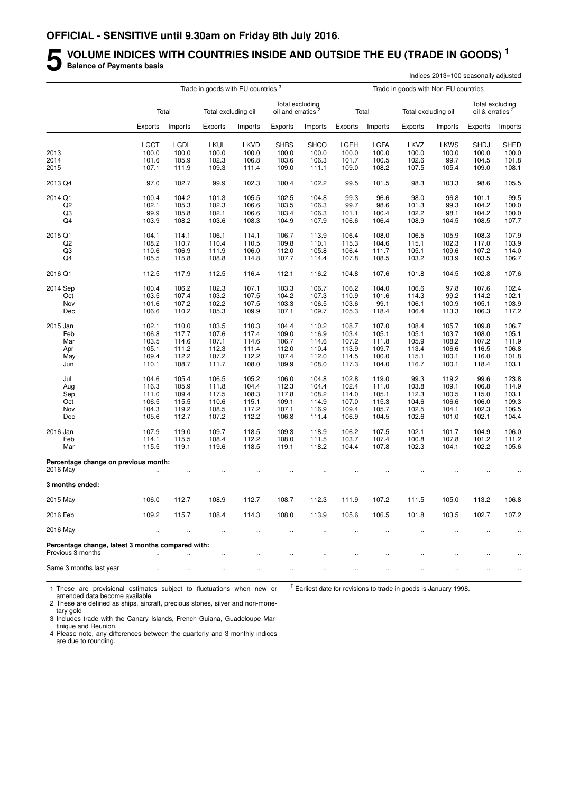## **5** VOLUME INDICES WITH COUNTRIES INSIDE AND OUTSIDE THE EU (TRADE IN GOODS)<sup>1</sup><br>Balance of Payments basis **Balance of Payments basis**

|                                                                        |                |                |                                               |                |                               |                 |                |                |                                      | Indices 2013=100 seasonally adjusted |                             |                 |
|------------------------------------------------------------------------|----------------|----------------|-----------------------------------------------|----------------|-------------------------------|-----------------|----------------|----------------|--------------------------------------|--------------------------------------|-----------------------------|-----------------|
|                                                                        |                |                | Trade in goods with EU countries <sup>3</sup> |                |                               |                 |                |                | Trade in goods with Non-EU countries |                                      |                             |                 |
|                                                                        |                | Total          | Total excluding oil                           |                | oil and erratics <sup>2</sup> | Total excluding |                | Total          | Total excluding oil                  |                                      | oil & erratics <sup>2</sup> | Total excluding |
|                                                                        | Exports        | Imports        | Exports                                       | Imports        | Exports                       | Imports         | Exports        | Imports        | Exports                              | Imports                              | Exports                     | Imports         |
|                                                                        | <b>LGCT</b>    | LGDL           | LKUL                                          | LKVD           | <b>SHBS</b>                   | <b>SHCO</b>     | LGEH           | LGFA           | LKVZ                                 | <b>LKWS</b>                          | <b>SHDJ</b>                 | <b>SHED</b>     |
| 2013                                                                   | 100.0          | 100.0          | 100.0                                         | 100.0          | 100.0                         | 100.0           | 100.0          | 100.0          | 100.0                                | 100.0                                | 100.0                       | 100.0           |
| 2014                                                                   | 101.6          | 105.9          | 102.3                                         | 106.8          | 103.6                         | 106.3           | 101.7          | 100.5          | 102.6                                | 99.7                                 | 104.5                       | 101.8           |
| 2015                                                                   | 107.1          | 111.9          | 109.3                                         | 111.4          | 109.0                         | 111.1           | 109.0          | 108.2          | 107.5                                | 105.4                                | 109.0                       | 108.1           |
| 2013 Q4                                                                | 97.0           | 102.7          | 99.9                                          | 102.3          | 100.4                         | 102.2           | 99.5           | 101.5          | 98.3                                 | 103.3                                | 98.6                        | 105.5           |
| 2014 Q1                                                                | 100.4          | 104.2          | 101.3                                         | 105.5          | 102.5                         | 104.8           | 99.3           | 96.6           | 98.0                                 | 96.8                                 | 101.1                       | 99.5            |
| Q <sub>2</sub>                                                         | 102.1          | 105.3          | 102.3                                         | 106.6          | 103.5                         | 106.3           | 99.7           | 98.6           | 101.3                                | 99.3                                 | 104.2                       | 100.0           |
| Q3                                                                     | 99.9           | 105.8          | 102.1                                         | 106.6          | 103.4                         | 106.3           | 101.1          | 100.4          | 102.2                                | 98.1                                 | 104.2                       | 100.0           |
| Q4                                                                     | 103.9          | 108.2          | 103.6                                         | 108.3          | 104.9                         | 107.9           | 106.6          | 106.4          | 108.9                                | 104.5                                | 108.5                       | 107.7           |
| 2015 Q1                                                                | 104.1          | 114.1          | 106.1                                         | 114.1          | 106.7                         | 113.9           | 106.4          | 108.0          | 106.5                                | 105.9                                | 108.3                       | 107.9           |
| Q2                                                                     | 108.2          | 110.7          | 110.4                                         | 110.5          | 109.8                         | 110.1           | 115.3          | 104.6          | 115.1                                | 102.3                                | 117.0                       | 103.9           |
| Q3                                                                     | 110.6          | 106.9          | 111.9                                         | 106.0          | 112.0                         | 105.8           | 106.4          | 111.7          | 105.1                                | 109.6                                | 107.2                       | 114.0           |
| Q4                                                                     | 105.5          | 115.8          | 108.8                                         | 114.8          | 107.7                         | 114.4           | 107.8          | 108.5          | 103.2                                | 103.9                                | 103.5                       | 106.7           |
| 2016 Q1                                                                | 112.5          | 117.9          | 112.5                                         | 116.4          | 112.1                         | 116.2           | 104.8          | 107.6          | 101.8                                | 104.5                                | 102.8                       | 107.6           |
| 2014 Sep                                                               | 100.4          | 106.2          | 102.3                                         | 107.1          | 103.3                         | 106.7           | 106.2          | 104.0          | 106.6                                | 97.8                                 | 107.6                       | 102.4           |
| Oct                                                                    | 103.5          | 107.4          | 103.2                                         | 107.5          | 104.2                         | 107.3           | 110.9          | 101.6          | 114.3                                | 99.2                                 | 114.2                       | 102.1           |
| Nov                                                                    | 101.6          | 107.2          | 102.2                                         | 107.5          | 103.3                         | 106.5           | 103.6          | 99.1           | 106.1                                | 100.9                                | 105.1                       | 103.9           |
| Dec                                                                    | 106.6          | 110.2          | 105.3                                         | 109.9          | 107.1                         | 109.7           | 105.3          | 118.4          | 106.4                                | 113.3                                | 106.3                       | 117.2           |
| 2015 Jan                                                               | 102.1          | 110.0          | 103.5                                         | 110.3          | 104.4                         | 110.2           | 108.7          | 107.0          | 108.4                                | 105.7                                | 109.8                       | 106.7           |
| Feb                                                                    | 106.8          | 117.7          | 107.6                                         | 117.4          | 109.0                         | 116.9           | 103.4          | 105.1          | 105.1                                | 103.7                                | 108.0                       | 105.1           |
| Mar                                                                    | 103.5          | 114.6          | 107.1                                         | 114.6          | 106.7                         | 114.6           | 107.2          | 111.8          | 105.9                                | 108.2                                | 107.2                       | 111.9           |
| Apr                                                                    | 105.1          | 111.2          | 112.3                                         | 111.4          | 112.0                         | 110.4           | 113.9          | 109.7          | 113.4                                | 106.6                                | 116.5                       | 106.8           |
| May                                                                    | 109.4          | 112.2          | 107.2                                         | 112.2          | 107.4                         | 112.0           | 114.5          | 100.0          | 115.1                                | 100.1                                | 116.0                       | 101.8           |
| Jun                                                                    | 110.1          | 108.7          | 111.7                                         | 108.0          | 109.9                         | 108.0           | 117.3          | 104.0          | 116.7                                | 100.1                                | 118.4                       | 103.1           |
| Jul                                                                    | 104.6          | 105.4          | 106.5                                         | 105.2          | 106.0                         | 104.8           | 102.8          | 119.0          | 99.3                                 | 119.2                                | 99.6                        | 123.8           |
| Aug                                                                    | 116.3          | 105.9          | 111.8                                         | 104.4          | 112.3                         | 104.4           | 102.4          | 111.0          | 103.8                                | 109.1                                | 106.8                       | 114.9           |
| Sep                                                                    | 111.0          | 109.4          | 117.5                                         | 108.3          | 117.8                         | 108.2           | 114.0          | 105.1          | 112.3                                | 100.5                                | 115.0                       | 103.1           |
| Oct                                                                    | 106.5          | 115.5          | 110.6                                         | 115.1          | 109.1                         | 114.9           | 107.0          | 115.3          | 104.6                                | 106.6                                | 106.0                       | 109.3           |
| Nov                                                                    | 104.3          | 119.2          | 108.5                                         | 117.2          | 107.1                         | 116.9           | 109.4          | 105.7          | 102.5                                | 104.1                                | 102.3                       | 106.5           |
| Dec                                                                    | 105.6          | 112.7          | 107.2                                         | 112.2          | 106.8                         | 111.4           | 106.9          | 104.5          | 102.6                                | 101.0                                | 102.1                       | 104.4           |
| 2016 Jan                                                               | 107.9          | 119.0          | 109.7                                         | 118.5          | 109.3                         | 118.9           | 106.2          | 107.5          | 102.1                                | 101.7                                | 104.9                       | 106.0           |
| Feb<br>Mar                                                             | 114.1<br>115.5 | 115.5<br>119.1 | 108.4<br>119.6                                | 112.2<br>118.5 | 108.0<br>119.1                | 111.5<br>118.2  | 103.7<br>104.4 | 107.4<br>107.8 | 100.8<br>102.3                       | 107.8<br>104.1                       | 101.2<br>102.2              | 111.2<br>105.6  |
| Percentage change on previous month:                                   |                |                |                                               |                |                               |                 |                |                |                                      |                                      |                             |                 |
| 2016 May                                                               |                |                |                                               |                |                               |                 |                |                |                                      |                                      |                             |                 |
| 3 months ended:                                                        |                |                |                                               |                |                               |                 |                |                |                                      |                                      |                             |                 |
| 2015 May                                                               | 106.0          | 112.7          | 108.9                                         | 112.7          | 108.7                         | 112.3           | 111.9          | 107.2          | 111.5                                | 105.0                                | 113.2                       | 106.8           |
| 2016 Feb                                                               | 109.2          | 115.7          | 108.4                                         | 114.3          | 108.0                         | 113.9           | 105.6          | 106.5          | 101.8                                | 103.5                                | 102.7                       | 107.2           |
| 2016 May                                                               | $\ddotsc$      | $\ldots$       | $\ddot{\phantom{1}}$                          | $\ddotsc$      | ÷.                            | $\ddotsc$       |                |                | $\ddot{\phantom{a}}$                 |                                      |                             | $\ddotsc$       |
| Percentage change, latest 3 months compared with:<br>Previous 3 months |                |                |                                               |                |                               |                 |                |                |                                      |                                      |                             |                 |
|                                                                        |                | $\ddotsc$      | $\ldots$                                      | $\ldots$       | $\ddotsc$                     | $\ddotsc$       |                |                | $\ddotsc$                            |                                      |                             |                 |
| Same 3 months last year                                                | $\ldots$       | $\ddotsc$      | $\ldots$                                      | $\ddotsc$      | $\ldots$                      | $\ddotsc$       |                |                | $\ldots$                             |                                      | $\ddot{\phantom{0}}$        | $\cdot$         |

1 These are provisional estimates subject to fluctuations when new or amended data become available.

 $<sup>†</sup>$  Earliest date for revisions to trade in goods is January 1998.</sup>

2 These are defined as ships, aircraft, precious stones, silver and non-monetary gold

3 Includes trade with the Canary Islands, French Guiana, Guadeloupe Martinique and Reunion.

4 Please note, any differences between the quarterly and 3-monthly indices are due to rounding.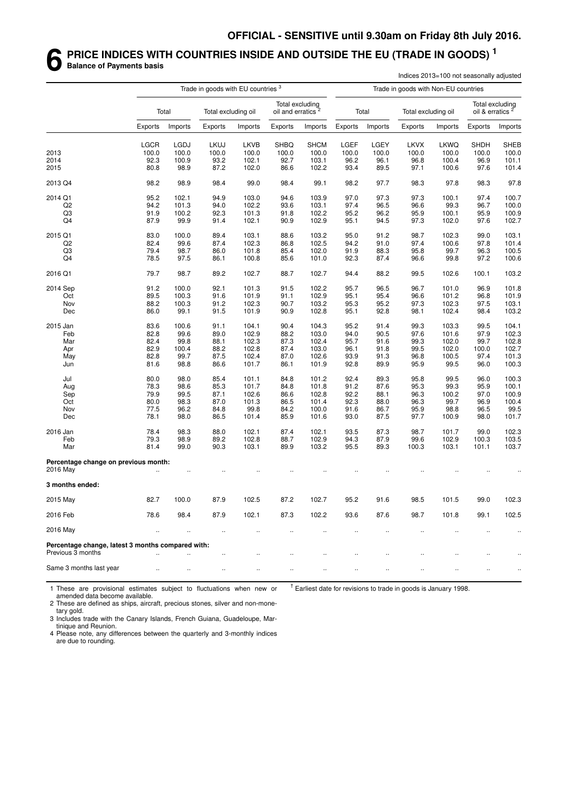#### **6 PRICE INDICES WITH COUNTRIES INSIDE AND OUTSIDE THE EU (TRADE IN GOODS) <sup>1</sup> Balance of Payments basis**

|                                                                        |              |                | Trade in goods with EU countries <sup>3</sup> |             |                                                  |                |              |         | Trade in goods with Non-EU countries | Indices 2013=100 not seasonally adjusted |                             |                 |
|------------------------------------------------------------------------|--------------|----------------|-----------------------------------------------|-------------|--------------------------------------------------|----------------|--------------|---------|--------------------------------------|------------------------------------------|-----------------------------|-----------------|
|                                                                        |              | Total          | Total excluding oil                           |             | Total excluding<br>oil and erratics <sup>2</sup> |                |              | Total   | Total excluding oil                  |                                          | oil & erratics <sup>2</sup> | Total excluding |
|                                                                        | Exports      | Imports        | Exports                                       | Imports     | <b>Exports</b>                                   | Imports        | Exports      | Imports | Exports                              | Imports                                  | Exports                     | Imports         |
|                                                                        | <b>LGCR</b>  | LGDJ           | <b>LKUJ</b>                                   | <b>LKVB</b> | <b>SHBQ</b>                                      | <b>SHCM</b>    | LGEF         | LGEY    | <b>LKVX</b>                          | LKWQ                                     | <b>SHDH</b>                 | <b>SHEB</b>     |
| 2013                                                                   | 100.0        | 100.0          | 100.0                                         | 100.0       | 100.0                                            | 100.0          | 100.0        | 100.0   | 100.0                                | 100.0                                    | 100.0                       | 100.0           |
| 2014                                                                   | 92.3         | 100.9          | 93.2                                          | 102.1       | 92.7                                             | 103.1          | 96.2         | 96.1    | 96.8                                 | 100.4                                    | 96.9                        | 101.1           |
| 2015                                                                   | 80.8         | 98.9           | 87.2                                          | 102.0       | 86.6                                             | 102.2          | 93.4         | 89.5    | 97.1                                 | 100.6                                    | 97.6                        | 101.4           |
| 2013 Q4                                                                | 98.2         | 98.9           | 98.4                                          | 99.0        | 98.4                                             | 99.1           | 98.2         | 97.7    | 98.3                                 | 97.8                                     | 98.3                        | 97.8            |
| 2014 Q1                                                                | 95.2         | 102.1          | 94.9                                          | 103.0       | 94.6                                             | 103.9          | 97.0         | 97.3    | 97.3                                 | 100.1                                    | 97.4                        | 100.7           |
| Q <sub>2</sub>                                                         | 94.2         | 101.3          | 94.0                                          | 102.2       | 93.6                                             | 103.1          | 97.4         | 96.5    | 96.6                                 | 99.3                                     | 96.7                        | 100.0           |
| Q3                                                                     | 91.9         | 100.2          | 92.3                                          | 101.3       | 91.8                                             | 102.2          | 95.2         | 96.2    | 95.9                                 | 100.1                                    | 95.9                        | 100.9           |
| Q4                                                                     | 87.9         | 99.9           | 91.4                                          | 102.1       | 90.9                                             | 102.9          | 95.1         | 94.5    | 97.3                                 | 102.0                                    | 97.6                        | 102.7           |
|                                                                        |              |                |                                               |             |                                                  |                |              |         |                                      |                                          |                             |                 |
| 2015 Q1                                                                | 83.0         | 100.0          | 89.4                                          | 103.1       | 88.6                                             | 103.2          | 95.0         | 91.2    | 98.7                                 | 102.3                                    | 99.0                        | 103.1           |
| Q <sub>2</sub>                                                         | 82.4         | 99.6           | 87.4                                          | 102.3       | 86.8                                             | 102.5          | 94.2         | 91.0    | 97.4                                 | 100.6                                    | 97.8                        | 101.4           |
| Q3                                                                     | 79.4         | 98.7           | 86.0                                          | 101.8       | 85.4                                             | 102.0          | 91.9         | 88.3    | 95.8                                 | 99.7                                     | 96.3                        | 100.5           |
| Q4                                                                     | 78.5         | 97.5           | 86.1                                          | 100.8       | 85.6                                             | 101.0          | 92.3         | 87.4    | 96.6                                 | 99.8                                     | 97.2                        | 100.6           |
| 2016 Q1                                                                | 79.7         | 98.7           | 89.2                                          | 102.7       | 88.7                                             | 102.7          | 94.4         | 88.2    | 99.5                                 | 102.6                                    | 100.1                       | 103.2           |
| 2014 Sep                                                               | 91.2         | 100.0          | 92.1                                          | 101.3       | 91.5                                             | 102.2          | 95.7         | 96.5    | 96.7                                 | 101.0                                    | 96.9                        | 101.8           |
| Oct                                                                    | 89.5         | 100.3          | 91.6                                          | 101.9       | 91.1                                             | 102.9          | 95.1         | 95.4    | 96.6                                 | 101.2                                    | 96.8                        | 101.9           |
| Nov                                                                    | 88.2         | 100.3          | 91.2                                          | 102.3       | 90.7                                             | 103.2          | 95.3         | 95.2    | 97.3                                 | 102.3                                    | 97.5                        | 103.1           |
| Dec                                                                    | 86.0         | 99.1           | 91.5                                          | 101.9       | 90.9                                             | 102.8          | 95.1         | 92.8    | 98.1                                 | 102.4                                    | 98.4                        | 103.2           |
|                                                                        |              |                |                                               |             |                                                  |                |              | 91.4    |                                      |                                          |                             | 104.1           |
| 2015 Jan                                                               | 83.6         | 100.6          | 91.1                                          | 104.1       | 90.4                                             | 104.3          | 95.2         |         | 99.3                                 | 103.3                                    | 99.5                        |                 |
| Feb                                                                    | 82.8         | 99.6           | 89.0                                          | 102.9       | 88.2                                             | 103.0          | 94.0         | 90.5    | 97.6                                 | 101.6                                    | 97.9                        | 102.3           |
| Mar                                                                    | 82.4         | 99.8           | 88.1                                          | 102.3       | 87.3                                             | 102.4          | 95.7         | 91.6    | 99.3                                 | 102.0                                    | 99.7                        | 102.8           |
| Apr                                                                    | 82.9         | 100.4          | 88.2                                          | 102.8       | 87.4                                             | 103.0          | 96.1         | 91.8    | 99.5                                 | 102.0                                    | 100.0                       | 102.7           |
| May                                                                    | 82.8         | 99.7           | 87.5                                          | 102.4       | 87.0                                             | 102.6          | 93.9         | 91.3    | 96.8                                 | 100.5                                    | 97.4                        | 101.3           |
| Jun                                                                    | 81.6         | 98.8           | 86.6                                          | 101.7       | 86.1                                             | 101.9          | 92.8         | 89.9    | 95.9                                 | 99.5                                     | 96.0                        | 100.3           |
| Jul                                                                    | 80.0         | 98.0           | 85.4                                          | 101.1       | 84.8                                             | 101.2          | 92.4         | 89.3    | 95.8                                 | 99.5                                     | 96.0                        | 100.3           |
| Aug                                                                    | 78.3         | 98.6           | 85.3                                          | 101.7       | 84.8                                             | 101.8          | 91.2         | 87.6    | 95.3                                 | 99.3                                     | 95.9                        | 100.1           |
| Sep                                                                    | 79.9         | 99.5           | 87.1                                          | 102.6       | 86.6                                             | 102.8          | 92.2         | 88.1    | 96.3                                 | 100.2                                    | 97.0                        | 100.9           |
| Oct                                                                    | 80.0         | 98.3           | 87.0                                          | 101.3       | 86.5                                             | 101.4          | 92.3         | 88.0    | 96.3                                 | 99.7                                     | 96.9                        | 100.4           |
| Nov                                                                    | 77.5         | 96.2           | 84.8                                          | 99.8        | 84.2                                             |                |              | 86.7    | 95.9                                 | 98.8                                     | 96.5                        | 99.5            |
| Dec                                                                    | 78.1         | 98.0           | 86.5                                          | 101.4       | 85.9                                             | 100.0<br>101.6 | 91.6<br>93.0 | 87.5    | 97.7                                 | 100.9                                    | 98.0                        | 101.7           |
|                                                                        |              |                |                                               |             |                                                  |                |              |         |                                      |                                          |                             |                 |
| 2016 Jan                                                               | 78.4         | 98.3           | 88.0                                          | 102.1       | 87.4                                             | 102.1          | 93.5         | 87.3    | 98.7                                 | 101.7                                    | 99.0                        | 102.3           |
| Feb                                                                    | 79.3         | 98.9           | 89.2                                          | 102.8       | 88.7                                             | 102.9          | 94.3         | 87.9    | 99.6                                 | 102.9                                    | 100.3                       | 103.5           |
| Mar                                                                    | 81.4         | 99.0           | 90.3                                          | 103.1       | 89.9                                             | 103.2          | 95.5         | 89.3    | 100.3                                | 103.1                                    | 101.1                       | 103.7           |
| Percentage change on previous month:<br>2016 May                       |              |                |                                               |             |                                                  |                |              |         |                                      |                                          |                             |                 |
| 3 months ended:                                                        |              |                |                                               |             |                                                  |                |              |         |                                      |                                          |                             |                 |
| 2015 May                                                               | 82.7         | 100.0          | 87.9                                          | 102.5       | 87.2                                             | 102.7          | 95.2         | 91.6    | 98.5                                 | 101.5                                    | 99.0                        | 102.3           |
| 2016 Feb                                                               | 78.6         | 98.4           | 87.9                                          | 102.1       | 87.3                                             | 102.2          | 93.6         | 87.6    | 98.7                                 | 101.8                                    | 99.1                        | 102.5           |
| 2016 May                                                               | $\mathbf{r}$ | $\bar{\Omega}$ | $\ddotsc$                                     | ÷.          | $\ddotsc$                                        |                |              |         | $\ddotsc$                            |                                          |                             | $\ddotsc$       |
| Percentage change, latest 3 months compared with:<br>Previous 3 months |              |                |                                               |             |                                                  |                |              |         |                                      |                                          |                             |                 |
|                                                                        |              |                | Ω,                                            | $\ddotsc$   | $\ddotsc$                                        | $\ddotsc$      |              |         |                                      |                                          |                             |                 |
| Same 3 months last year                                                | $\ldots$     | $\ldots$       |                                               | $\ddotsc$   | $\ldots$                                         | $\ddotsc$      | $\ddotsc$    |         | $\ddotsc$                            |                                          | $\ddot{\phantom{0}}$        | $\cdot$         |

1 These are provisional estimates subject to fluctuations when new or amended data become available.

 $<sup>†</sup>$  Earliest date for revisions to trade in goods is January 1998.</sup>

2 These are defined as ships, aircraft, precious stones, silver and non-monetary gold.

3 Includes trade with the Canary Islands, French Guiana, Guadeloupe, Martinique and Reunion.

4 Please note, any differences between the quarterly and 3-monthly indices are due to rounding.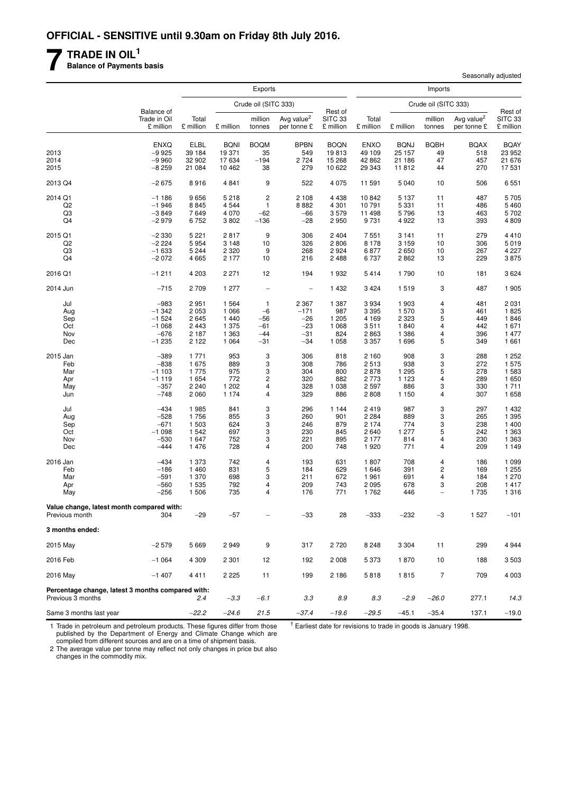## **7 TRADE IN OIL<sup>1</sup>**

**Balance of Payments basis**

|                                                                        |                                         | <b>Exports</b>     |                 |                      |                                       |                                 |                    |                 | Imports                       |                                       |                                 |
|------------------------------------------------------------------------|-----------------------------------------|--------------------|-----------------|----------------------|---------------------------------------|---------------------------------|--------------------|-----------------|-------------------------------|---------------------------------------|---------------------------------|
|                                                                        |                                         |                    |                 | Crude oil (SITC 333) |                                       |                                 |                    |                 | Crude oil (SITC 333)          |                                       |                                 |
|                                                                        | Balance of<br>Trade in Oil<br>£ million | Total<br>£ million | £ million       | million<br>tonnes    | Avg value <sup>2</sup><br>per tonne £ | Rest of<br>SITC 33<br>£ million | Total<br>£ million | £ million       | million<br>tonnes             | Avg value <sup>2</sup><br>per tonne £ | Rest of<br>SITC 33<br>£ million |
|                                                                        | <b>ENXQ</b>                             | ELBL               | <b>BQNI</b>     | <b>BOQM</b>          | <b>BPBN</b>                           | <b>BOQN</b>                     | <b>ENXO</b>        | <b>BQNJ</b>     | <b>BQBH</b>                   | <b>BQAX</b>                           | <b>BQAY</b>                     |
| 2013                                                                   | $-9925$                                 | 39 184             | 19 371          | 35                   | 549                                   | 19813                           | 49 109             | 25 157          | 49                            | 518                                   | 23 952                          |
| 2014                                                                   | $-9960$                                 | 32 902             | 17 634          | $-194$               | 2 7 2 4                               | 15 268                          | 42 862             | 21 186          | 47                            | 457                                   | 21 676                          |
| 2015                                                                   | $-8259$                                 | 21 084             | 10 462          | 38                   | 279                                   | 10 622                          | 29 343             | 11812           | 44                            | 270                                   | 17 531                          |
| 2013 Q4                                                                | $-2675$                                 | 8916               | 4 8 4 1         | 9                    | 522                                   | 4 0 7 5                         | 11 591             | 5 0 4 0         | 10                            | 506                                   | 6551                            |
| 2014 Q1                                                                | $-1186$                                 | 9656               | 5 2 1 8         | $\overline{c}$       | 2 1 0 8                               | 4 4 3 8                         | 10842              | 5 1 3 7         | 11                            | 487                                   | 5705                            |
| Q <sub>2</sub>                                                         | $-1946$                                 | 8845               | 4 5 4 4         | $\mathbf{1}$         | 8882                                  | 4 3 0 1                         | 10791              | 5 3 3 1         | 11                            | 486                                   | 5 4 6 0                         |
| Q3<br>Q4                                                               | $-3849$<br>$-2979$                      | 7649<br>6752       | 4 0 7 0<br>3802 | $-62$<br>$-136$      | $-66$<br>$-28$                        | 3579<br>2950                    | 11 498<br>9731     | 5796<br>4 9 2 2 | 13<br>13                      | 463<br>393                            | 5702<br>4809                    |
|                                                                        |                                         |                    |                 |                      |                                       |                                 |                    |                 |                               |                                       |                                 |
| 2015 Q1                                                                | $-2330$                                 | 5 2 2 1            | 2817            | 9                    | 306                                   | 2 4 0 4                         | 7551               | 3 1 4 1         | 11                            | 279                                   | 4 4 1 0                         |
| Q <sub>2</sub>                                                         | $-2224$                                 | 5954               | 3 1 4 8         | 10                   | 326                                   | 2806                            | 8 1 7 8            | 3 1 5 9         | 10                            | 306                                   | 5019                            |
| Q3                                                                     | $-1633$                                 | 5 2 4 4            | 2 3 2 0         | 9                    | 268                                   | 2924                            | 6877               | 2650            | 10                            | 267                                   | 4 2 2 7                         |
| Q4                                                                     | $-2072$                                 | 4665               | 2 177           | 10                   | 216                                   | 2 4 8 8                         | 6737               | 2862            | 13                            | 229                                   | 3875                            |
| 2016 Q1                                                                | $-1211$                                 | 4 2 0 3            | 2 2 7 1         | 12                   | 194                                   | 1932                            | 5414               | 1790            | 10                            | 181                                   | 3624                            |
| 2014 Jun                                                               | $-715$                                  | 2709               | 1 277           | $\qquad \qquad -$    | $\qquad \qquad -$                     | 1 4 3 2                         | 3 4 2 4            | 1519            | 3                             | 487                                   | 1 905                           |
| Jul                                                                    | $-983$                                  | 2951               | 1 5 6 4         | $\mathbf{1}$         | 2 3 6 7                               | 1 3 8 7                         | 3934               | 1 903           | 4                             | 481                                   | 2 0 3 1                         |
| Aug                                                                    | $-1342$                                 | 2 0 5 3            | 1 0 6 6         | $-6$                 | $-171$                                | 987                             | 3 3 9 5            | 1 570           | 3                             | 461                                   | 1825                            |
| Sep                                                                    | $-1524$                                 | 2645               | 1 4 4 0         | $-56$                | $-26$                                 | 1 205                           | 4 1 6 9            | 2 3 2 3         | 5                             | 449                                   | 1846                            |
| Oct                                                                    | $-1068$                                 | 2 4 4 3            | 1 375           | $-61$                | $-23$                                 | 1 0 6 8                         | 3511               | 1840            | 4                             | 442                                   | 1671                            |
| Nov                                                                    | $-676$                                  | 2 1 8 7            | 1 3 6 3         | $-44$                | $-31$                                 | 824                             | 2863               | 1 3 8 6         | 4                             | 396                                   | 1 477                           |
| Dec                                                                    | $-1235$                                 | 2 1 2 2            | 1 0 6 4         | $-31$                | $-34$                                 | 1 0 5 8                         | 3 3 5 7            | 1696            | 5                             | 349                                   | 1 661                           |
| 2015 Jan                                                               | $-389$                                  | 1 7 7 1            | 953             | 3                    | 306                                   | 818                             | 2 1 6 0            | 908             | 3                             | 288                                   | 1 252                           |
| Feb                                                                    | $-838$                                  | 1675               | 889             | 3                    | 308                                   | 786                             | 2513               | 938             | 3                             | 272                                   | 1 575                           |
| Mar                                                                    | $-1103$                                 | 1775               | 975             | 3                    | 304                                   | 800                             | 2878               | 1 2 9 5         | 5                             | 278                                   | 1 583                           |
| Apr                                                                    | $-1119$                                 | 1654               | 772             | $\mathsf{2}\,$       | 320                                   | 882                             | 2773               | 1 1 2 3         | 4                             | 289                                   | 1650                            |
| May                                                                    | $-357$                                  | 2 2 4 0            | 1 202           | 4                    | 328                                   | 1 0 38                          | 2597               | 886             | 3                             | 330                                   | 1711                            |
| Jun                                                                    | $-748$                                  | 2060               | 1 1 7 4         | $\overline{4}$       | 329                                   | 886                             | 2808               | 1 1 5 0         | 4                             | 307                                   | 1658                            |
| Jul                                                                    | $-434$                                  | 1985               | 841             | 3                    | 296                                   | 1 1 4 4                         | 2419               | 987             | 3                             | 297                                   | 1 4 3 2                         |
| Aug                                                                    | $-528$                                  | 1756               | 855             | 3                    | 260                                   | 901                             | 2 2 8 4            | 889             | 3                             | 265                                   | 1 3 9 5                         |
| Sep                                                                    | $-671$                                  | 1503               | 624             | 3                    | 246                                   | 879                             | 2 1 7 4            | 774             | 3                             | 238                                   | 1 400                           |
| Oct<br>Nov                                                             | $-1098$<br>$-530$                       | 1542<br>1647       | 697<br>752      | 3<br>3               | 230<br>221                            | 845<br>895                      | 2640<br>2 1 7 7    | 1 277<br>814    | 5<br>4                        | 242<br>230                            | 1 3 6 3<br>1 3 6 3              |
| Dec                                                                    | $-444$                                  | 1476               | 728             | 4                    | 200                                   | 748                             | 1920               | 771             | 4                             | 209                                   | 1 1 4 9                         |
|                                                                        |                                         |                    |                 |                      |                                       |                                 |                    |                 |                               |                                       |                                 |
| 2016 Jan                                                               | $-434$                                  | 1 373              | 742             | 4                    | 193                                   | 631                             | 1807               | 708             | 4                             | 186                                   | 1 0 9 9                         |
| Feb                                                                    | $-186$                                  | 1 4 6 0            | 831             | 5                    | 184                                   | 629                             | 1646               | 391             | 2                             | 169                                   | 1 255                           |
| Mar                                                                    | $-591$                                  | 1 370              | 698             | 3                    | 211                                   | 672                             | 1961               | 691             | 4                             | 184                                   | 1 270                           |
| Apr<br>May                                                             | $-560$<br>$-256$                        | 1535<br>1506       | 792<br>735      | 4<br>4               | 209<br>176                            | 743<br>771                      | 2095<br>1762       | 678<br>446      | 3<br>$\overline{\phantom{0}}$ | 208<br>1 7 3 5                        | 1 4 1 7<br>1 3 1 6              |
|                                                                        |                                         |                    |                 |                      |                                       |                                 |                    |                 |                               |                                       |                                 |
| Value change, latest month compared with:<br>Previous month            | 304                                     | $-29$              | $-57$           |                      | $-33$                                 | 28                              | $-333$             | $-232$          | $-3$                          | 1527                                  | $-101$                          |
| 3 months ended:                                                        |                                         |                    |                 |                      |                                       |                                 |                    |                 |                               |                                       |                                 |
| 2015 May                                                               | $-2579$                                 | 5669               | 2949            | 9                    | 317                                   | 2720                            | 8 2 4 8            | 3 3 0 4         | 11                            | 299                                   | 4944                            |
| 2016 Feb                                                               | $-1064$                                 | 4 3 0 9            | 2 3 0 1         | 12                   | 192                                   | 2 0 0 8                         | 5373               | 1870            | 10                            | 188                                   | 3 5 0 3                         |
| 2016 May                                                               | $-1407$                                 | 4411               | 2 2 2 5         | 11                   | 199                                   | 2 1 8 6                         | 5818               | 1815            | $\overline{7}$                | 709                                   | 4 0 0 3                         |
| Percentage change, latest 3 months compared with:<br>Previous 3 months |                                         | 2.4                | $-3.3$          | $-6.1$               | 3.3                                   | 8.9                             | 8.3                | $-2.9$          | $-26.0$                       | 277.1                                 | 14.3                            |
| Same 3 months last year                                                |                                         | $-22.2$            | $-24.6$         | 21.5                 | $-37.4$                               | $-19.6$                         | $-29.5$            | $-45.1$         | $-35.4$                       | 137.1                                 | $-19.0$                         |

1 Trade in petroleum and petroleum products. These figures differ from those published by the Department of Energy and Climate Change which are compiled from different sources and are on a time of shipment basis.

 $<sup>†</sup>$  Earliest date for revisions to trade in goods is January 1998.</sup>

Seasonally adjusted

2 The average value per tonne may reflect not only changes in price but also changes in the commodity mix.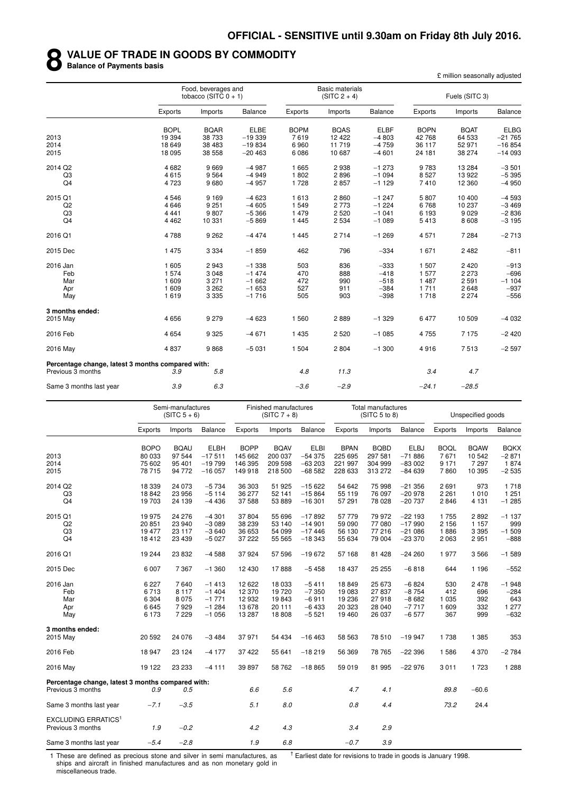#### **8 VALUE OF TRADE IN GOODS BY COMMODITY**

**Balance of Payments basis**

£ million seasonally adjusted

|                                                   | Food, beverages and<br>tobacco (SITC $0 + 1$ ) |             |             |             | <b>Basic materials</b><br>$(SITC 2 + 4)$ |                |             | Fuels (SITC 3) |                |
|---------------------------------------------------|------------------------------------------------|-------------|-------------|-------------|------------------------------------------|----------------|-------------|----------------|----------------|
|                                                   | Exports                                        | Imports     | Balance     | Exports     | Imports                                  | <b>Balance</b> | Exports     | Imports        | <b>Balance</b> |
|                                                   | <b>BOPL</b>                                    | <b>BQAR</b> | <b>ELBE</b> | <b>BOPM</b> | <b>BQAS</b>                              | <b>ELBF</b>    | <b>BOPN</b> | <b>BQAT</b>    | <b>ELBG</b>    |
| 2013                                              | 19 3 94                                        | 38 733      | $-19339$    | 7619        | 12 4 22                                  | $-4803$        | 42 768      | 64 533         | $-21765$       |
| 2014                                              | 18 649                                         | 38 483      | $-19834$    | 6960        | 11719                                    | $-4759$        | 36 117      | 52 971         | $-16854$       |
| 2015                                              | 18 0 95                                        | 38 558      | $-20463$    | 6 0 8 6     | 10 687                                   | $-4601$        | 24 181      | 38 274         | $-14093$       |
| 2014 Q2                                           | 4682                                           | 9669        | $-4987$     | 1665        | 2938                                     | $-1273$        | 9 7 8 3     | 13 2 84        | $-3501$        |
| Q3                                                | 4615                                           | 9564        | $-4949$     | 1802        | 2896                                     | $-1094$        | 8527        | 13922          | $-5395$        |
| Q4                                                | 4723                                           | 9680        | $-4957$     | 1728        | 2857                                     | $-1129$        | 7410        | 12 3 60        | $-4950$        |
| 2015 Q1                                           | 4546                                           | 9 1 6 9     | $-4623$     | 1613        | 2860                                     | $-1247$        | 5807        | 10 400         | $-4593$        |
| Q2                                                | 4646                                           | 9 2 5 1     | $-4605$     | 1 5 4 9     | 2 7 7 3                                  | $-1224$        | 6768        | 10 237         | $-3469$        |
| Q3                                                | 4 4 4 1                                        | 9807        | $-5366$     | 1 4 7 9     | 2 5 2 0                                  | $-1041$        | 6 1 9 3     | 9029           | $-2836$        |
| Q <sub>4</sub>                                    | 4 4 6 2                                        | 10 331      | $-5869$     | 1 4 4 5     | 2 5 3 4                                  | $-1089$        | 5413        | 8608           | $-3195$        |
| 2016 Q1                                           | 4788                                           | 9 2 6 2     | $-4474$     | 1 4 4 5     | 2 7 1 4                                  | $-1269$        | 4 5 7 1     | 7 2 8 4        | $-2713$        |
| 2015 Dec                                          | 1 4 7 5                                        | 3 3 3 4     | $-1859$     | 462         | 796                                      | $-334$         | 1671        | 2482           | $-811$         |
| 2016 Jan                                          | 1605                                           | 2943        | $-1338$     | 503         | 836                                      | $-333$         | 1 507       | 2420           | $-913$         |
| Feb                                               | 1574                                           | 3 0 4 8     | $-1474$     | 470         | 888                                      | $-418$         | 1577        | 2 2 7 3        | $-696$         |
| Mar                                               | 1 609                                          | 3 2 7 1     | $-1662$     | 472         | 990                                      | $-518$         | 1487        | 2591           | $-1104$        |
| Apr                                               | 1 609                                          | 3 2 6 2     | $-1653$     | 527         | 911                                      | $-384$         | 1 7 1 1     | 2648           | $-937$         |
| May                                               | 1619                                           | 3 3 3 5     | $-1716$     | 505         | 903                                      | $-398$         | 1718        | 2 2 7 4        | $-556$         |
| 3 months ended:                                   |                                                |             |             |             |                                          |                |             |                |                |
| 2015 May                                          | 4656                                           | 9 2 7 9     | $-4623$     | 1 560       | 2889                                     | $-1329$        | 6477        | 10 509         | $-4032$        |
| 2016 Feb                                          | 4654                                           | 9 3 2 5     | $-4671$     | 1 4 3 5     | 2 5 20                                   | $-1085$        | 4755        | 7 1 7 5        | $-2420$        |
| 2016 May                                          | 4837                                           | 9868        | $-5031$     | 1 504       | 2804                                     | $-1300$        | 4916        | 7513           | $-2597$        |
| Percentage change, latest 3 months compared with: |                                                |             |             |             |                                          |                |             |                |                |
| Previous 3 months                                 | 3.9                                            | 5.8         |             | 4.8         | 11.3                                     |                | 3.4         | 4.7            |                |
| Same 3 months last year                           | 3.9                                            | 6.3         |             | $-3.6$      | $-2.9$                                   |                | $-24.1$     | $-28.5$        |                |

|                                                            | Semi-manufactures<br>$(SITC 5 + 6)$ |             |             | Finished manufactures<br>$(SITC 7 + 8)$ |             |             | <b>Total manufactures</b><br>(SITC 5 to 8) |             |             | Unspecified goods |             |                |
|------------------------------------------------------------|-------------------------------------|-------------|-------------|-----------------------------------------|-------------|-------------|--------------------------------------------|-------------|-------------|-------------------|-------------|----------------|
|                                                            | Exports                             | Imports     | Balance     | Exports                                 | Imports     | Balance     | Exports                                    | Imports     | Balance     | Exports           | Imports     | <b>Balance</b> |
|                                                            | <b>BOPO</b>                         | <b>BQAU</b> | <b>ELBH</b> | <b>BOPP</b>                             | <b>BQAV</b> | <b>ELBI</b> | <b>BPAN</b>                                | <b>BQBD</b> | <b>ELBJ</b> | <b>BOQL</b>       | <b>BQAW</b> | <b>BQKX</b>    |
| 2013                                                       | 80 033                              | 97 544      | $-17511$    | 145 662                                 | 200 037     | $-54375$    | 225 695                                    | 297 581     | $-71886$    | 7671              | 10 542      | $-2871$        |
| 2014                                                       | 75 602                              | 95 401      | $-19799$    | 146 395                                 | 209 598     | $-63203$    | 221 997                                    | 304 999     | $-83002$    | 9 1 7 1           | 7 2 9 7     | 1874           |
| 2015                                                       | 78 715                              | 94 772      | $-16057$    | 149 918                                 | 218 500     | $-68582$    | 228 633                                    | 313 272     | $-84639$    | 7860              | 10 395      | $-2535$        |
| 2014 Q2                                                    | 18 339                              | 24 073      | $-5734$     | 36 303                                  | 51 925      | $-15622$    | 54 642                                     | 75 998      | $-21356$    | 2691              | 973         | 1718           |
| Q <sub>3</sub>                                             | 18842                               | 23 956      | $-5114$     | 36 277                                  | 52 141      | $-15864$    | 55 119                                     | 76 097      | $-20978$    | 2 2 6 1           | 1010        | 1 2 5 1        |
| Q <sub>4</sub>                                             | 19703                               | 24 139      | $-4436$     | 37 588                                  | 53 889      | $-16301$    | 57 291                                     | 78 0 28     | $-20737$    | 2846              | 4 1 3 1     | $-1285$        |
| 2015 Q1                                                    | 19975                               | 24 276      | $-4301$     | 37 804                                  | 55 696      | $-17892$    | 57779                                      | 79 972      | $-22193$    | 1755              | 2892        | $-1137$        |
| Q2                                                         | 20851                               | 23 940      | $-3089$     | 38 239                                  | 53 140      | $-14901$    | 59 090                                     | 77 080      | $-17990$    | 2 1 5 6           | 1 1 5 7     | 999            |
| Q <sub>3</sub>                                             | 19 477                              | 23 117      | $-3640$     | 36 653                                  | 54 099      | $-17446$    | 56 130                                     | 77 216      | $-21086$    | 1886              | 3 3 9 5     | $-1509$        |
| Q4                                                         | 18412                               | 23 4 39     | $-5027$     | 37 222                                  | 55 565      | $-18343$    | 55 634                                     | 79 004      | $-23370$    | 2 0 6 3           | 2951        | $-888$         |
| 2016 Q1                                                    | 19 244                              | 23 832      | $-4588$     | 37924                                   | 57 596      | $-19672$    | 57 168                                     | 81 4 28     | $-24260$    | 1977              | 3566        | $-1589$        |
| 2015 Dec                                                   | 6 0 0 7                             | 7 3 6 7     | $-1.360$    | 12 4 30                                 | 17888       | $-5458$     | 18 437                                     | 25 25 5     | $-6818$     | 644               | 1 1 9 6     | $-552$         |
| 2016 Jan                                                   | 6 2 2 7                             | 7640        | $-1413$     | 12 622                                  | 18 033      | $-5411$     | 18849                                      | 25 673      | $-6824$     | 530               | 2478        | $-1948$        |
| Feb                                                        | 6713                                | 8 1 1 7     | $-1404$     | 12 370                                  | 19720       | $-7350$     | 19 083                                     | 27837       | $-8754$     | 412               | 696         | $-284$         |
| Mar                                                        | 6 3 0 4                             | 8 0 7 5     | $-1771$     | 12 932                                  | 19843       | $-6911$     | 19 236                                     | 27918       | $-8682$     | 1 0 3 5           | 392         | 643            |
| Apr                                                        | 6645                                | 7929        | $-1284$     | 13 678                                  | 20 111      | $-6433$     | 20 323                                     | 28 040      | $-7717$     | 1 609             | 332         | 1 277          |
| May                                                        | 6 1 7 3                             | 7 2 2 9     | $-1056$     | 13 287                                  | 18 808      | $-5521$     | 19 4 60                                    | 26 037      | $-6577$     | 367               | 999         | $-632$         |
| 3 months ended:                                            |                                     |             |             |                                         |             |             |                                            |             |             |                   |             |                |
| 2015 May                                                   | 20 592                              | 24 076      | $-3484$     | 37 971                                  | 54 434      | $-16463$    | 58 563                                     | 78510       | $-19947$    | 1738              | 1 3 8 5     | 353            |
| 2016 Feb                                                   | 18 947                              | 23 124      | $-4177$     | 37 422                                  | 55 641      | $-18219$    | 56 369                                     | 78 765      | $-22396$    | 1586              | 4 3 7 0     | $-2784$        |
| 2016 May                                                   | 19 122                              | 23 233      | $-4111$     | 39 897                                  | 58 762      | $-18865$    | 59 019                                     | 81 995      | $-22976$    | 3011              | 1723        | 1 2 8 8        |
| Percentage change, latest 3 months compared with:          |                                     |             |             |                                         |             |             |                                            |             |             |                   |             |                |
| Previous 3 months                                          | 0.9                                 | 0.5         |             | 6.6                                     | 5.6         |             | 4.7                                        | 4.1         |             | 89.8              | $-60.6$     |                |
| Same 3 months last year                                    | $-7.1$                              | $-3.5$      |             | 5.1                                     | 8.0         |             | 0.8                                        | 4.4         |             | 73.2              | 24.4        |                |
| <b>EXCLUDING ERRATICS<sup>1</sup></b><br>Previous 3 months | 1.9                                 | $-0.2$      |             | 4.2                                     | 4.3         |             | 3.4                                        | 2.9         |             |                   |             |                |
| Same 3 months last year                                    | $-5.4$                              | $-2.8$      |             | 1.9                                     | 6.8         |             | $-0.7$                                     | 3.9         |             |                   |             |                |

1 These are defined as precious stone and silver in semi manufactures, as ships and aircraft in finished manufactures and as non monetary gold in miscellaneous trade.

 $<sup>†</sup>$  Earliest date for revisions to trade in goods is January 1998.</sup>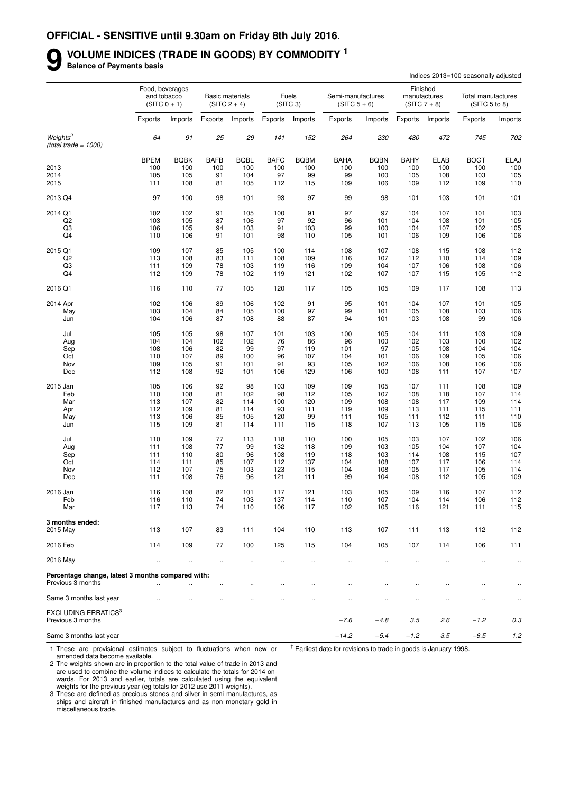#### **9 VOLUME INDICES (TRADE IN GOODS) BY COMMODITY <sup>1</sup>**

**Balance of Payments basis**

|                                                                        |                      |                               |                      |                                          |             |                               |                                     |                      |                      |                                | Indices 2013=100 seasonally adjusted |             |
|------------------------------------------------------------------------|----------------------|-------------------------------|----------------------|------------------------------------------|-------------|-------------------------------|-------------------------------------|----------------------|----------------------|--------------------------------|--------------------------------------|-------------|
|                                                                        |                      | Food, beverages               |                      |                                          |             |                               |                                     |                      |                      | Finished                       |                                      |             |
|                                                                        |                      | and tobacco<br>$(SITC 0 + 1)$ |                      | <b>Basic materials</b><br>$(SITC 2 + 4)$ |             | Fuels<br>(SITC <sub>3</sub> ) | Semi-manufactures<br>$(SITC 5 + 6)$ |                      |                      | manufactures<br>$(SITC 7 + 8)$ | Total manufactures<br>(SITC 5 to 8)  |             |
|                                                                        | Exports              | Imports                       | Exports              | Imports                                  | Exports     | Imports                       | Exports                             | Imports              | Exports              | Imports                        | Exports                              | Imports     |
| Weights <sup>2</sup><br>(total trade = $1000$ )                        | 64                   | 91                            | 25                   | 29                                       | 141         | 152                           | 264                                 | 230                  | 480                  | 472                            | 745                                  | 702         |
|                                                                        | <b>BPEM</b>          | <b>BQBK</b>                   | <b>BAFB</b>          | <b>BQBL</b>                              | <b>BAFC</b> | <b>BQBM</b>                   | <b>BAHA</b>                         | <b>BQBN</b>          | <b>BAHY</b>          | <b>ELAB</b>                    | <b>BOGT</b>                          | <b>ELAJ</b> |
| 2013                                                                   | 100                  | 100                           | 100                  | 100                                      | 100         | 100                           | 100                                 | 100                  | 100                  | 100                            | 100                                  | 100         |
| 2014                                                                   | 105                  | 105                           | 91                   | 104                                      | 97          | 99                            | 99                                  | 100                  | 105                  | 108                            | 103                                  | 105         |
| 2015                                                                   | 111                  | 108                           | 81                   | 105                                      | 112         | 115                           | 109                                 | 106                  | 109                  | 112                            | 109                                  | 110         |
| 2013 Q4                                                                | 97                   | 100                           | 98                   | 101                                      | 93          | 97                            | 99                                  | 98                   | 101                  | 103                            | 101                                  | 101         |
| 2014 Q1                                                                | 102                  | 102                           | 91                   | 105                                      | 100         | 91                            | 97                                  | 97                   | 104                  | 107                            | 101                                  | 103         |
| Q2                                                                     | 103                  | 105                           | 87                   | 106                                      | 97          | 92                            | 96                                  | 101                  | 104                  | 108                            | 101                                  | 105         |
| Q3                                                                     | 106                  | 105                           | 94                   | 103                                      | 91          | 103                           | 99                                  | 100                  | 104                  | 107                            | 102                                  | 105         |
| Q4                                                                     | 110                  | 106                           | 91                   | 101                                      | 98          | 110                           | 105                                 | 101                  | 106                  | 109                            | 106                                  | 106         |
| 2015 Q1                                                                | 109                  | 107                           | 85                   | 105                                      | 100         | 114                           | 108                                 | 107                  | 108                  | 115                            | 108                                  | 112         |
| Q <sub>2</sub>                                                         | 113                  | 108                           | 83                   | 111                                      | 108         | 109                           | 116                                 | 107                  | 112                  | 110                            | 114                                  | 109         |
| Q3                                                                     | 111                  | 109                           | 78                   | 103                                      | 119         | 116                           | 109                                 | 104                  | 107                  | 106                            | 108                                  | 106         |
| Q4                                                                     | 112                  | 109                           | 78                   | 102                                      | 119         | 121                           | 102                                 | 107                  | 107                  | 115                            | 105                                  | 112         |
| 2016 Q1                                                                | 116                  | 110                           | 77                   | 105                                      | 120         | 117                           | 105                                 | 105                  | 109                  | 117                            | 108                                  | 113         |
| 2014 Apr                                                               | 102                  | 106                           | 89                   | 106                                      | 102         | 91                            | 95                                  | 101                  | 104                  | 107                            | 101                                  | 105         |
| May                                                                    | 103                  | 104                           | 84                   | 105                                      | 100         | 97                            | 99                                  | 101                  | 105                  | 108                            | 103                                  | 106         |
| Jun                                                                    | 104                  | 106                           | 87                   | 108                                      | 88          | 87                            | 94                                  | 101                  | 103                  | 108                            | 99                                   | 106         |
| Jul                                                                    | 105                  | 105                           | 98                   | 107                                      | 101         | 103                           | 100                                 | 105                  | 104                  | 111                            | 103                                  | 109         |
| Aug                                                                    | 104                  | 104                           | 102                  | 102                                      | 76          | 86                            | 96                                  | 100                  | 102                  | 103                            | 100                                  | 102         |
| Sep                                                                    | 108                  | 106                           | 82                   | 99                                       | 97          | 119                           | 101                                 | 97                   | 105                  | 108                            | 104                                  | 104         |
| Oct                                                                    | 110                  | 107                           | 89                   | 100                                      | 96          | 107                           | 104                                 | 101                  | 106                  | 109                            | 105                                  | 106         |
| Nov                                                                    | 109                  | 105                           | 91                   | 101                                      | 91          | 93                            | 105                                 | 102                  | 106                  | 108                            | 106                                  | 106         |
| Dec                                                                    | 112                  | 108                           | 92                   | 101                                      | 106         | 129                           | 106                                 | 100                  | 108                  | 111                            | 107                                  | 107         |
| 2015 Jan                                                               | 105                  | 106                           | 92                   | 98                                       | 103         | 109                           | 109                                 | 105                  | 107                  | 111                            | 108                                  | 109         |
| Feb                                                                    | 110                  | 108                           | 81                   | 102                                      | 98          | 112                           | 105                                 | 107                  | 108                  | 118                            | 107                                  | 114         |
| Mar                                                                    | 113                  | 107                           | 82                   | 114                                      | 100         | 120                           | 109                                 | 108                  | 108                  | 117                            | 109                                  | 114         |
| Apr                                                                    | 112                  | 109                           | 81                   | 114                                      | 93          | 111                           | 119                                 | 109                  | 113                  | 111                            | 115                                  | 111         |
| May                                                                    | 113                  | 106                           | 85                   | 105                                      | 120         | 99                            | 111                                 | 105                  | 111                  | 112                            | 111                                  | 110         |
| Jun                                                                    | 115                  | 109                           | 81                   | 114                                      | 111         | 115                           | 118                                 | 107                  | 113                  | 105                            | 115                                  | 106         |
| Jul                                                                    | 110                  | 109                           | 77                   | 113                                      | 118         | 110                           | 100                                 | 105                  | 103                  | 107                            | 102                                  | 106         |
| Aug                                                                    | 111                  | 108                           | 77                   | 99                                       | 132         | 118                           | 109                                 | 103                  | 105                  | 104                            | 107                                  | 104         |
| Sep                                                                    | 111                  | 110                           | 80                   | 96                                       | 108         | 119                           | 118                                 | 103                  | 114                  | 108                            | 115                                  | 107         |
| Oct                                                                    | 114                  | 111                           | 85                   | 107                                      | 112         | 137                           | 104                                 | 108                  | 107                  | 117                            | 106                                  | 114         |
| Nov<br>Dec                                                             | 112<br>111           | 107<br>108                    | 75<br>76             | 103<br>96                                | 123<br>121  | 115<br>111                    | 104<br>99                           | 108<br>104           | 105<br>108           | 117<br>112                     | 105<br>105                           | 114<br>109  |
|                                                                        |                      |                               |                      |                                          |             |                               |                                     |                      |                      |                                |                                      |             |
| 2016 Jan                                                               | 116                  | 108                           | 82                   | 101                                      | 117         | 121                           | 103                                 | 105                  | 109                  | 116                            | 107                                  | 112         |
| Feb                                                                    | 116                  | 110                           | 74                   | 103                                      | 137         | 114                           | 110                                 | 107                  | 104                  | 114                            | 106                                  | 112         |
| Mar                                                                    | 117                  | 113                           | 74                   | 110                                      | 106         | 117                           | 102                                 | 105                  | 116                  | 121                            | 111                                  | 115         |
| 3 months ended:<br>2015 May                                            | 113                  | 107                           | 83                   | 111                                      | 104         | 110                           | 113                                 | 107                  | 111                  | 113                            | 112                                  | 112         |
| 2016 Feb                                                               | 114                  | 109                           | 77                   | 100                                      | 125         | 115                           | 104                                 | 105                  | 107                  | 114                            | 106                                  | 111         |
|                                                                        |                      |                               |                      |                                          |             |                               |                                     |                      |                      |                                |                                      |             |
| 2016 May                                                               | $\ddotsc$            | $\ddot{\phantom{1}}$          | $\ddotsc$            | $\cdot$ .                                | $\ldots$    | $\ldots$                      | $\ldots$                            | $\cdot$ .            | $\cdot$              | $\ldots$                       | $\ldots$                             | $\ddotsc$   |
| Percentage change, latest 3 months compared with:<br>Previous 3 months | $\ddot{\phantom{a}}$ |                               | $\ddot{\phantom{1}}$ | $\ddotsc$                                | $\ddotsc$   | $\ddot{\phantom{a}}$          | $\ddotsc$                           | $\cdot$              | $\ddot{\phantom{a}}$ | $\ddot{\phantom{a}}$           | $\ddot{\phantom{a}}$                 |             |
| Same 3 months last year                                                |                      |                               |                      |                                          |             |                               | $\ddotsc$                           | $\ddot{\phantom{a}}$ | $\ldots$             | $\ddotsc$                      | $\ldots$                             | $\ldots$    |
| <b>EXCLUDING ERRATICS3</b>                                             |                      |                               |                      |                                          |             |                               |                                     |                      |                      |                                |                                      |             |
| Previous 3 months                                                      |                      |                               |                      |                                          |             |                               | $-7.6$                              | $-4.8$               | 3.5                  | 2.6                            | $-1.2$                               | 0.3         |
| Same 3 months last year                                                |                      |                               |                      |                                          |             |                               | $-14.2$                             | $-5.4$               | $-1.2$               | 3.5                            | $-6.5$                               | 1.2         |

1 These are provisional estimates subject to fluctuations when new or amended data become available.

 $<sup>†</sup>$  Earliest date for revisions to trade in goods is January 1998.</sup>

2 The weights shown are in proportion to the total value of trade in 2013 and are used to combine the volume indices to calculate the totals for 2014 onwards. For 2013 and earlier, totals are calculated using the equivalent weights for the previous year (eg totals for 2012 use 2011 weights).

3 These are defined as precious stones and silver in semi manufactures, as ships and aircraft in finished manufactures and as non monetary gold in miscellaneous trade.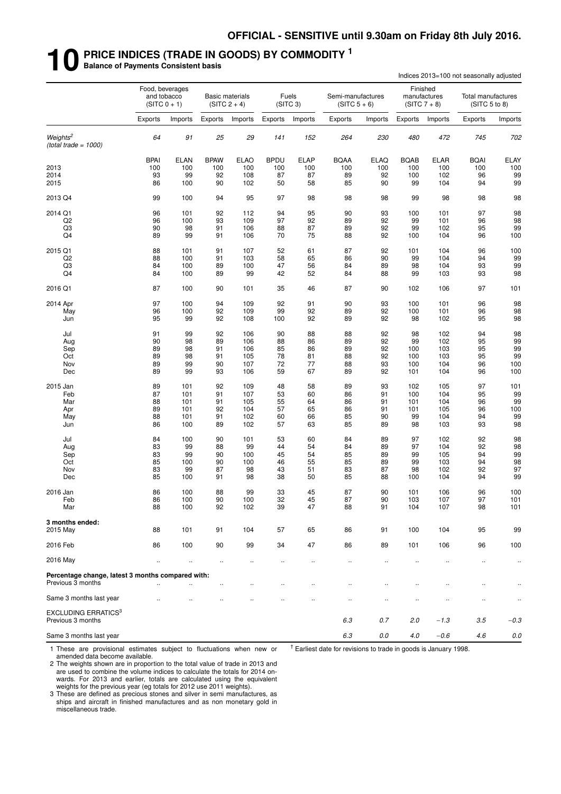## **10 PRICE INDICES (TRADE IN GOODS) BY COMMODITY <sup>1</sup> Balance of Payments Consistent basis**

|                                                                        |                                                  |             |             |                                          |                      |                               |                                     |             |             |                                            | Indices 2013=100 not seasonally adjusted |                      |
|------------------------------------------------------------------------|--------------------------------------------------|-------------|-------------|------------------------------------------|----------------------|-------------------------------|-------------------------------------|-------------|-------------|--------------------------------------------|------------------------------------------|----------------------|
|                                                                        | Food, beverages<br>and tobacco<br>$(SITC 0 + 1)$ |             |             | <b>Basic materials</b><br>$(SITC 2 + 4)$ |                      | Fuels<br>(SITC <sub>3</sub> ) | Semi-manufactures<br>$(SITC 5 + 6)$ |             |             | Finished<br>manufactures<br>$(SITC 7 + 8)$ | Total manufactures<br>(SITC 5 to 8)      |                      |
|                                                                        | Exports                                          | Imports     | Exports     | Imports                                  | Exports              | Imports                       | Exports                             | Imports     | Exports     | Imports                                    | Exports                                  | Imports              |
| Weights <sup>2</sup><br>(total trade = $1000$ )                        | 64                                               | 91          | 25          | 29                                       | 141                  | 152                           | 264                                 | 230         | 480         | 472                                        | 745                                      | 702                  |
|                                                                        | <b>BPAI</b>                                      | <b>ELAN</b> | <b>BPAW</b> | <b>ELAO</b>                              | <b>BPDU</b>          | <b>ELAP</b>                   | <b>BQAA</b>                         | <b>ELAQ</b> | <b>BQAB</b> | <b>ELAR</b>                                | <b>BQAI</b>                              | ELAY                 |
| 2013                                                                   | 100                                              | 100         | 100         | 100                                      | 100                  | 100                           | 100                                 | 100         | 100         | 100                                        | 100                                      | 100                  |
| 2014                                                                   | 93                                               | 99          | 92          | 108                                      | 87                   | 87                            | 89                                  | 92          | 100         | 102                                        | 96                                       | 99                   |
| 2015                                                                   | 86                                               | 100         | 90          | 102                                      | 50                   | 58                            | 85                                  | 90          | 99          | 104                                        | 94                                       | 99                   |
| 2013 Q4                                                                | 99                                               | 100         | 94          | 95                                       | 97                   | 98                            | 98                                  | 98          | 99          | 98                                         | 98                                       | 98                   |
| 2014 Q1                                                                | 96                                               | 101         | 92          | 112                                      | 94                   | 95                            | 90                                  | 93          | 100         | 101                                        | 97                                       | 98                   |
| Q <sub>2</sub>                                                         | 96                                               | 100         | 93          | 109                                      | 97                   | 92                            | 89                                  | 92          | 99          | 101                                        | 96                                       | 98                   |
| Q3<br>Q4                                                               | 90<br>89                                         | 98<br>99    | 91<br>91    | 106<br>106                               | 88<br>70             | 87<br>75                      | 89                                  | 92<br>92    | 99<br>100   | 102<br>104                                 | 95<br>96                                 | 99                   |
|                                                                        |                                                  |             |             |                                          |                      |                               | 88                                  |             |             |                                            |                                          | 100                  |
| 2015 Q1                                                                | 88                                               | 101         | 91          | 107                                      | 52                   | 61                            | 87                                  | 92          | 101         | 104                                        | 96                                       | 100                  |
| Q <sub>2</sub>                                                         | 88                                               | 100         | 91          | 103                                      | 58                   | 65                            | 86                                  | 90          | 99          | 104                                        | 94                                       | 99                   |
| Q <sub>3</sub><br>Q <sub>4</sub>                                       | 84<br>84                                         | 100<br>100  | 89<br>89    | 100<br>99                                | 47<br>42             | 56<br>52                      | 84<br>84                            | 89<br>88    | 98<br>99    | 104<br>103                                 | 93<br>93                                 | 99<br>98             |
| 2016 Q1                                                                | 87                                               | 100         | 90          | 101                                      | 35                   | 46                            | 87                                  | 90          | 102         | 106                                        | 97                                       | 101                  |
|                                                                        |                                                  |             |             |                                          |                      |                               |                                     |             |             |                                            |                                          |                      |
| 2014 Apr                                                               | 97<br>96                                         | 100<br>100  | 94<br>92    | 109<br>109                               | 92<br>99             | 91<br>92                      | 90<br>89                            | 93<br>92    | 100         | 101<br>101                                 | 96<br>96                                 | 98<br>98             |
| May<br>Jun                                                             | 95                                               | 99          | 92          | 108                                      | 100                  | 92                            | 89                                  | 92          | 100<br>98   | 102                                        | 95                                       | 98                   |
| Jul                                                                    | 91                                               | 99          | 92          | 106                                      | 90                   | 88                            | 88                                  | 92          | 98          | 102                                        | 94                                       | 98                   |
| Aug                                                                    | 90                                               | 98          | 89          | 106                                      | 88                   | 86                            | 89                                  | 92          | 99          | 102                                        | 95                                       | 99                   |
| Sep                                                                    | 89                                               | 98          | 91          | 106                                      | 85                   | 86                            | 89                                  | 92          | 100         | 103                                        | 95                                       | 99                   |
| Oct                                                                    | 89                                               | 98          | 91          | 105                                      | 78                   | 81                            | 88                                  | 92          | 100         | 103                                        | 95                                       | 99                   |
| Nov<br>Dec                                                             | 89<br>89                                         | 99<br>99    | 90<br>93    | 107<br>106                               | 72<br>59             | 77<br>67                      | 88<br>89                            | 93<br>92    | 100<br>101  | 104<br>104                                 | 96<br>96                                 | 100<br>100           |
| 2015 Jan                                                               | 89                                               | 101         | 92          | 109                                      | 48                   | 58                            | 89                                  | 93          | 102         | 105                                        | 97                                       | 101                  |
| Feb                                                                    | 87                                               | 101         | 91          | 107                                      | 53                   | 60                            | 86                                  | 91          | 100         | 104                                        | 95                                       | 99                   |
| Mar                                                                    | 88                                               | 101         | 91          | 105                                      | 55                   | 64                            | 86                                  | 91          | 101         | 104                                        | 96                                       | 99                   |
| Apr                                                                    | 89                                               | 101         | 92          | 104                                      | 57                   | 65                            | 86                                  | 91          | 101         | 105                                        | 96                                       | 100                  |
| May                                                                    | 88                                               | 101         | 91          | 102                                      | 60                   | 66                            | 85                                  | 90          | 99          | 104                                        | 94                                       | 99                   |
| Jun                                                                    | 86                                               | 100         | 89          | 102                                      | 57                   | 63                            | 85                                  | 89          | 98          | 103                                        | 93                                       | 98                   |
| Jul                                                                    | 84                                               | 100         | 90          | 101                                      | 53                   | 60                            | 84                                  | 89          | 97          | 102                                        | 92                                       | 98                   |
| Aug                                                                    | 83                                               | 99          | 88          | 99                                       | 44                   | 54                            | 84                                  | 89          | 97          | 104                                        | 92                                       | 98                   |
| Sep<br>Oct                                                             | 83<br>85                                         | 99<br>100   | 90<br>90    | 100<br>100                               | 45<br>46             | 54<br>55                      | 85<br>85                            | 89<br>89    | 99<br>99    | 105<br>103                                 | 94<br>94                                 | 99<br>98             |
| Nov                                                                    | 83                                               | 99          | 87          | 98                                       | 43                   | 51                            | 83                                  | 87          | 98          | 102                                        | 92                                       | 97                   |
| Dec                                                                    | 85                                               | 100         | 91          | 98                                       | 38                   | 50                            | 85                                  | 88          | 100         | 104                                        | 94                                       | 99                   |
| 2016 Jan                                                               | 86                                               | 100         | 88          | 99                                       | 33                   | 45                            | 87                                  | 90          | 101         | 106                                        | 96                                       | 100                  |
| Feb                                                                    | 86                                               | 100         | 90          | 100                                      | 32                   | 45                            | 87                                  | 90          | 103         | 107                                        | 97                                       | 101                  |
| Mar                                                                    | 88                                               | 100         | 92          | 102                                      | 39                   | 47                            | 88                                  | 91          | 104         | 107                                        | 98                                       | 101                  |
| 3 months ended:<br>2015 May                                            | 88                                               | 101         | 91          | 104                                      | 57                   | 65                            | 86                                  | 91          | 100         | 104                                        | 95                                       | 99                   |
| 2016 Feb                                                               | 86                                               | 100         | 90          | 99                                       | 34                   | 47                            | 86                                  | 89          | 101         | 106                                        | 96                                       | 100                  |
| 2016 May                                                               | $\ddotsc$                                        | $\cdot$     | $\ldots$    | $\cdot$                                  | $\cdot$ .            | $\ddot{\phantom{0}}$          | $\ddotsc$                           | $\ldots$    | $\ddotsc$   | $\ddot{\phantom{a}}$                       | $\ldots$                                 | $\ddot{\phantom{1}}$ |
|                                                                        |                                                  |             |             |                                          |                      |                               |                                     |             |             |                                            |                                          |                      |
| Percentage change, latest 3 months compared with:<br>Previous 3 months | $\ddot{\phantom{a}}$                             |             |             | $\ddot{\phantom{0}}$                     | $\ddot{\phantom{0}}$ |                               |                                     |             |             |                                            | $\ddot{\phantom{0}}$                     |                      |
| Same 3 months last year                                                |                                                  |             |             |                                          |                      |                               | Ω,                                  | Ω,          | $\cdot$ .   | ٠.                                         | $\ddot{\phantom{0}}$                     | $\cdot$ .            |
| <b>EXCLUDING ERRATICS3</b><br>Previous 3 months                        |                                                  |             |             |                                          |                      |                               | 6.3                                 | 0.7         | 2.0         | $-1.3$                                     | 3.5                                      | $-0.3$               |
| Same 3 months last year                                                |                                                  |             |             |                                          |                      |                               | $6.3\,$                             | 0.0         | $4.0\,$     | $-0.6$                                     | 4.6                                      | $0.0\,$              |

1 These are provisional estimates subject to fluctuations when new or amended data become available.

 $<sup>†</sup>$  Earliest date for revisions to trade in goods is January 1998.</sup>

2 The weights shown are in proportion to the total value of trade in 2013 and are used to combine the volume indices to calculate the totals for 2014 onwards. For 2013 and earlier, totals are calculated using the equivalent weights for the previous year (eg totals for 2012 use 2011 weights).

3 These are defined as precious stones and silver in semi manufactures, as ships and aircraft in finished manufactures and as non monetary gold in miscellaneous trade.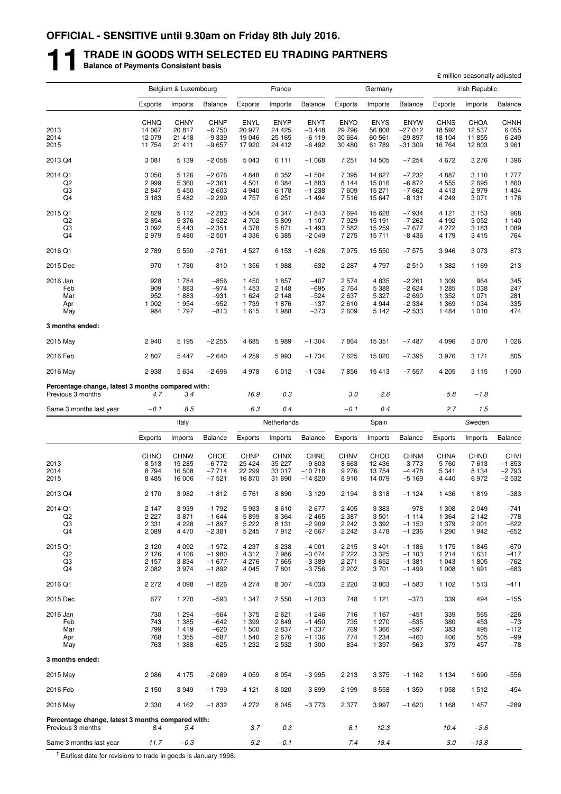## **11 TRADE IN GOODS WITH SELECTED EU TRADING PARTNERS Balance of Payments Consistent basis**

|                                                                        |                     |                       |                    |                        |                       |                        |                        |                        |                        |                     | £ million seasonally adjusted |                    |
|------------------------------------------------------------------------|---------------------|-----------------------|--------------------|------------------------|-----------------------|------------------------|------------------------|------------------------|------------------------|---------------------|-------------------------------|--------------------|
|                                                                        |                     | Belgium & Luxembourg  |                    |                        | France                |                        |                        | Germany                |                        |                     | Irish Republic                |                    |
|                                                                        | Exports             | Imports               | Balance            | Exports                | Imports               | <b>Balance</b>         | Exports                | Imports                | <b>Balance</b>         | Exports             | Imports                       | Balance            |
|                                                                        | <b>CHNQ</b>         | <b>CHNY</b>           | <b>CHNF</b>        | ENYL                   | <b>ENYP</b>           | <b>ENYT</b>            | <b>ENYO</b>            | <b>ENYS</b>            | <b>ENYW</b>            | <b>CHNS</b>         | CHOA                          | <b>CHNH</b>        |
| 2013                                                                   | 14 067              | 20817                 | $-6750$            | 20 977                 | 24 4 25               | $-3448$                | 29 796                 | 56 808                 | $-27012$               | 18 592              | 12 537                        | 6 0 5 5            |
| 2014                                                                   | 12 079              | 21 4 18               | $-9339$            | 19 046                 | 25 165                | $-6119$                | 30 664                 | 60 561                 | $-29897$               | 18 104              | 11 855                        | 6 2 4 9            |
| 2015                                                                   | 11 754              | 21 411                | $-9657$            | 17920                  | 24 412                | $-6492$                | 30 480                 | 61 789                 | $-31309$               | 16764               | 12 803                        | 3 9 6 1            |
| 2013 Q4                                                                | 3 0 8 1             | 5 1 3 9               | $-2058$            | 5 0 4 3                | 6 1 1 1               | $-1068$                | 7 2 5 1                | 14 505                 | $-7254$                | 4672                | 3 2 7 6                       | 1 3 9 6            |
| 2014 Q1                                                                | 3 0 5 0             | 5 1 2 6<br>5 3 6 0    | $-2076$            | 4848                   | 6 3 5 2               | $-1504$                | 7 3 9 5<br>8 1 4 4     | 14 627                 | $-7232$                | 4887                | 3 1 1 0                       | 1 7 7 7<br>1860    |
| Q <sub>2</sub><br>Q3                                                   | 2999<br>2847        | 5 4 5 0               | $-2361$<br>$-2603$ | 4 5 0 1<br>4 9 4 0     | 6 3 8 4<br>6 1 7 8    | $-1883$<br>$-1238$     | 7609                   | 15 016<br>15 271       | $-6872$<br>$-7662$     | 4555<br>4413        | 2695<br>2979                  | 1 4 3 4            |
| Q4                                                                     | 3 1 8 3             | 5 4 8 2               | $-2299$            | 4 7 5 7                | 6 2 5 1               | $-1494$                | 7516                   | 15 647                 | $-8131$                | 4 2 4 9             | 3 0 7 1                       | 1 1 7 8            |
| 2015 Q1                                                                | 2829                | 5 1 1 2               | $-2283$            | 4 5 0 4                | 6 3 4 7               | $-1843$                | 7694                   | 15 628                 | $-7934$                | 4 1 2 1             | 3 1 5 3                       | 968                |
| Q2<br>Q3                                                               | 2854                | 5 3 7 6<br>5443       | $-2522$            | 4 702                  | 5 8 0 9               | $-1107$<br>$-1493$     | 7929                   | 15 191                 | $-7262$                | 4 1 9 2<br>4 2 7 2  | 3 0 5 2                       | 1 1 4 0<br>1 0 8 9 |
| Q4                                                                     | 3 0 9 2<br>2979     | 5 4 8 0               | $-2351$<br>$-2501$ | 4 3 7 8<br>4 3 3 6     | 5871<br>6 3 8 5       | $-2049$                | 7582<br>7 2 7 5        | 15 259<br>15711        | $-7677$<br>$-8436$     | 4 1 7 9             | 3 1 8 3<br>3415               | 764                |
|                                                                        |                     |                       |                    |                        |                       |                        |                        |                        |                        | 3946                |                               | 873                |
| 2016 Q1                                                                | 2789                | 5 5 5 0               | $-2761$            | 4 5 27                 | 6 1 5 3               | $-1626$                | 7975                   | 15 550                 | $-7575$                |                     | 3 0 7 3                       |                    |
| 2015 Dec                                                               | 970                 | 1780                  | $-810$             | 1 3 5 6                | 1988                  | $-632$                 | 2 2 8 7                | 4 7 9 7                | $-2510$                | 1 3 8 2             | 1 1 6 9                       | 213                |
| 2016 Jan                                                               | 928                 | 1784                  | $-856$             | 1 4 5 0                | 1857                  | $-407$                 | 2574                   | 4835                   | $-2261$                | 1 309               | 964                           | 345                |
| Feb<br>Mar                                                             | 909<br>952          | 1883<br>1883          | $-974$<br>$-931$   | 1 4 5 3<br>1 6 2 4     | 2 1 4 8<br>2 1 4 8    | $-695$<br>$-524$       | 2 7 6 4<br>2637        | 5 3 8 8<br>5 3 2 7     | $-2624$<br>$-2690$     | 1 2 8 5<br>1 3 5 2  | 1 0 3 8<br>1 0 7 1            | 247<br>281         |
| Apr                                                                    | 1 0 0 2             | 1954                  | $-952$             | 1739                   | 1876                  | $-137$                 | 2610                   | 4 9 4 4                | $-2334$                | 1 3 6 9             | 1 0 3 4                       | 335                |
| May                                                                    | 984                 | 1797                  | $-813$             | 1615                   | 1988                  | $-373$                 | 2609                   | 5 1 4 2                | $-2533$                | 1484                | 1 0 1 0                       | 474                |
| 3 months ended:                                                        |                     |                       |                    |                        |                       |                        |                        |                        |                        |                     |                               |                    |
| 2015 May                                                               | 2940                | 5 1 9 5               | $-2255$            | 4685                   | 5989                  | $-1304$                | 7864                   | 15 351                 | $-7487$                | 4 0 9 6             | 3 0 7 0                       | 1 0 2 6            |
| 2016 Feb                                                               | 2807                | 5 4 4 7               | $-2640$            | 4 2 5 9                | 5993                  | $-1734$                | 7625                   | 15 0 20                | $-7395$                | 3976                | 3 1 7 1                       | 805                |
| 2016 May                                                               | 2938                | 5 6 3 4               | $-2696$            | 4978                   | 6012                  | $-1034$                | 7856                   | 15413                  | $-7557$                | 4 2 0 5             | 3 1 1 5                       | 1 0 9 0            |
| Percentage change, latest 3 months compared with:<br>Previous 3 months | 4.7                 | 3.4                   |                    | 16.9                   | 0.3                   |                        | 3.0                    | 2.6                    |                        | 5.8                 | $-1.8$                        |                    |
| Same 3 months last year                                                | $-0.1$              | 8.5                   |                    | 6.3                    | 0.4                   |                        | $-0.1$                 | 0.4                    |                        | 2.7                 | 1.5                           |                    |
|                                                                        |                     | Italy                 |                    |                        | Netherlands           |                        |                        | Spain                  |                        |                     | Sweden                        |                    |
|                                                                        | Exports             | Imports               | Balance            | Exports                | Imports               | <b>Balance</b>         | Exports                | Imports                | <b>Balance</b>         | Exports             | Imports                       | Balance            |
|                                                                        |                     |                       |                    |                        |                       |                        |                        |                        |                        |                     |                               |                    |
| 2013                                                                   | <b>CHNO</b><br>8513 | <b>CHNW</b><br>15 285 | CHOE<br>$-6772$    | <b>CHNP</b><br>25 4 24 | <b>CHNX</b><br>35 227 | <b>CHNE</b><br>$-9803$ | <b>CHNV</b><br>8 6 6 3 | <b>CHOD</b><br>12 4 36 | <b>CHNM</b><br>$-3773$ | <b>CHNA</b><br>5760 | <b>CHND</b><br>7613           | CHVI<br>$-1853$    |
| 2014                                                                   | 8794                | 16 508                | $-7714$            | 22 299                 | 33 017                | $-10718$               | 9 2 7 6                | 13 754                 | $-4478$                | 5 3 4 1             | 8 1 3 4                       | $-2793$            |
| 2015                                                                   | 8 4 8 5             | 16 006                | $-7521$            | 16870                  | 31 690                | $-14820$               | 8910                   | 14 079                 | $-5169$                | 4 4 4 0             | 6972                          | $-2532$            |
| 2013 Q4                                                                | 2 170               | 3 9 8 2               | $-1812$            | 5761                   | 8890                  | $-3129$                | 2 1 9 4                | 3 3 1 8                | $-1124$                | 1436                | 1819                          | -383               |
| 2014 Q1                                                                | 2 147               | 3939                  | $-1792$            | 5933                   | 8610                  | $-2677$                | 2405                   | 3 3 8 3                | $-978$                 | 1 308               | 2 0 4 9                       | $-741$             |
| Q2                                                                     | 2 2 2 7             | 3871                  | $-1644$            | 5899                   | 8 3 6 4               | $-2465$                | 2 3 8 7                | 3501                   | $-1114$                | 1 3 6 4             | 2 1 4 2                       | $-778$             |
| Q3                                                                     | 2 3 3 1             | 4 2 2 8               | $-1897$            | 5 2 2 2                | 8 1 3 1               | $-2909$                | 2 2 4 2                | 3 3 9 2                | $-1150$                | 1 3 7 9             | 2 0 0 1                       | $-622$             |
| Q4                                                                     | 2 0 8 9             | 4 4 7 0               | $-2381$            | 5 2 4 5                | 7912                  | $-2667$                | 2 2 4 2                | 3478                   | $-1236$                | 1 2 9 0             | 1942                          | $-652$             |
| 2015 Q1                                                                | 2 1 2 0             | 4 0 9 2               | $-1972$            | 4 2 3 7                | 8 2 3 8               | $-4001$                | 2215                   | 3 4 0 1                | $-1186$                | 1 1 7 5             | 1845                          | $-670$             |
| Q <sub>2</sub><br>Q3                                                   | 2 1 2 6<br>2 1 5 7  | 4 106<br>3834         | $-1980$<br>$-1677$ | 4 3 1 2<br>4 2 7 6     | 7986<br>7665          | $-3674$<br>$-3389$     | 2 2 2 2<br>2 2 7 1     | 3 3 2 5<br>3652        | $-1103$<br>$-1.381$    | 1214<br>1 0 4 3     | 1 631<br>1805                 | $-417$<br>$-762$   |
| Q4                                                                     | 2 0 8 2             | 3974                  | $-1892$            | 4 0 4 5                | 7801                  | $-3756$                | 2 2 0 2                | 3701                   | $-1499$                | 1 0 0 8             | 1691                          | $-683$             |
| 2016 Q1                                                                | 2 2 7 2             | 4 0 9 8               | $-1826$            | 4 2 7 4                | 8 3 0 7               | $-4033$                | 2 2 2 0                | 3803                   | $-1583$                | 1 1 0 2             | 1513                          | $-411$             |
| 2015 Dec                                                               | 677                 | 1 270                 | $-593$             | 1 3 4 7                | 2 5 5 0               | $-1203$                | 748                    | 1 1 2 1                | $-373$                 | 339                 | 494                           | $-155$             |
| 2016 Jan                                                               | 730                 | 1 2 9 4               | $-564$             | 1 375                  | 2621                  | $-1246$                | 716                    | 1 1 6 7                | $-451$                 | 339                 | 565                           | $-226$             |
| Feb                                                                    | 743                 | 1 3 8 5               | $-642$             | 1 3 9 9                | 2849                  | $-1450$                | 735                    | 1 270                  | $-535$                 | 380                 | 453                           | $-73$              |
| Mar                                                                    | 799                 | 1419                  | $-620$             | 1 500                  | 2837                  | $-1337$                | 769                    | 1 3 6 6                | $-597$                 | 383                 | 495                           | $-112$             |
| Apr<br>May                                                             | 768<br>763          | 1 3 5 5<br>1 3 8 8    | $-587$<br>$-625$   | 1 540<br>1 2 3 2       | 2676<br>2 5 3 2       | $-1136$<br>$-1300$     | 774<br>834             | 1 2 3 4<br>1 3 9 7     | $-460$<br>$-563$       | 406<br>379          | 505<br>457                    | $-99$<br>$-78$     |
| 3 months ended:                                                        |                     |                       |                    |                        |                       |                        |                        |                        |                        |                     |                               |                    |
| 2015 May                                                               | 2086                | 4 1 7 5               | $-2089$            | 4 0 5 9                | 8 0 5 4               | $-3995$                | 2213                   | 3 3 7 5                | $-1162$                | 1 1 3 4             | 1690                          | $-556$             |
| 2016 Feb                                                               | 2 1 5 0             | 3949                  | $-1799$            | 4 1 2 1                | 8 0 2 0               | $-3899$                | 2 1 9 9                | 3 5 5 8                | $-1359$                | 1 0 5 8             | 1512                          | $-454$             |
|                                                                        |                     |                       |                    |                        |                       |                        |                        |                        |                        |                     |                               |                    |
| 2016 May                                                               | 2 3 3 0             | 4 1 6 2               | $-1832$            | 4 2 7 2                | 8 0 4 5               | $-3773$                | 2 3 7 7                | 3997                   | $-1620$                | 1 1 6 8             | 1457                          | $-289$             |
| Percentage change, latest 3 months compared with:<br>Previous 3 months | 8.4                 | 5.4                   |                    | 3.7                    | 0.3                   |                        | 8.1                    | 12.3                   |                        | 10.4                | $-3.6$                        |                    |
| Same 3 months last year                                                | 11.7                | $-0.3$                |                    | 5.2                    | $-0.1$                |                        | 7.4                    | 18.4                   |                        | 3.0                 | $-13.8$                       |                    |

 $<sup>†</sup>$  Earliest date for revisions to trade in goods is January 1998.</sup>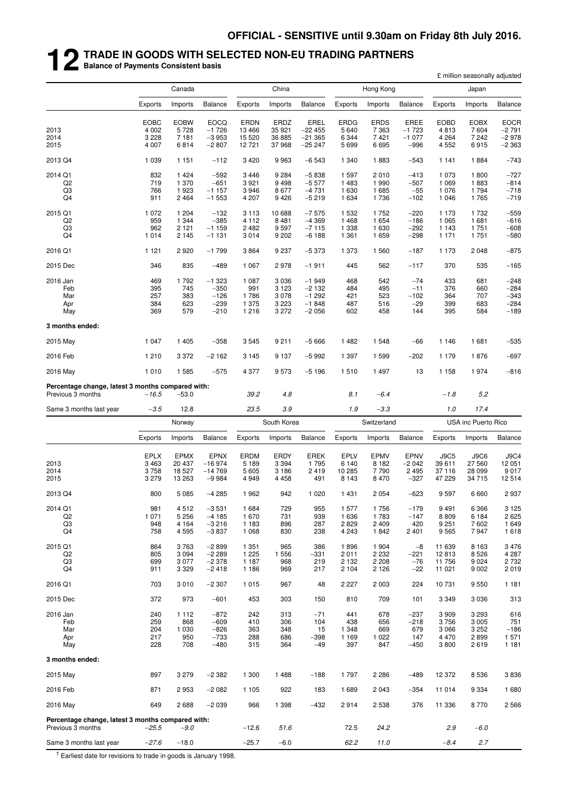## **12 TRADE IN GOODS WITH SELECTED NON-EU TRADING PARTNERS Balance of Payments Consistent basis**

|                                                                        |             |                    |                    |                    |                    |                    |                    |                    |                  |                 | £ million seasonally adjusted |                  |
|------------------------------------------------------------------------|-------------|--------------------|--------------------|--------------------|--------------------|--------------------|--------------------|--------------------|------------------|-----------------|-------------------------------|------------------|
|                                                                        |             | Canada             |                    |                    | China              |                    |                    | Hong Kong          |                  |                 | Japan                         |                  |
|                                                                        | Exports     | Imports            | <b>Balance</b>     | Exports            | Imports            | <b>Balance</b>     | Exports            | Imports            | <b>Balance</b>   | Exports         | Imports                       | Balance          |
|                                                                        | <b>EOBC</b> | <b>EOBW</b>        | <b>EOCQ</b>        | <b>ERDN</b>        | ERDZ               | EREL               | <b>ERDG</b>        | <b>ERDS</b>        | <b>EREE</b>      | <b>EOBD</b>     | <b>EOBX</b>                   | <b>EOCR</b>      |
| 2013                                                                   | 4 0 0 2     | 5728               | $-1726$            | 13 4 66            | 35 921             | $-22455$           | 5640               | 7 3 6 3            | $-1723$          | 4813            | 7604                          | $-2791$          |
| 2014                                                                   | 3 2 2 8     | 7 181              | $-3953$            | 15 5 20            | 36 885             | $-21365$           | 6 3 4 4            | 7421               | $-1077$          | 4 2 6 4         | 7 2 4 2                       | $-2978$          |
| 2015                                                                   | 4 0 0 7     | 6814               | $-2807$            | 12 721             | 37968              | $-25247$           | 5699               | 6695               | $-996$           | 4 5 5 2         | 6915                          | $-2363$          |
| 2013 Q4                                                                | 1 0 3 9     | 1 1 5 1            | $-112$             | 3 4 2 0            | 9963               | $-6543$            | 1 340              | 1883               | $-543$           | 1 1 4 1         | 1884                          | $-743$           |
| 2014 Q1                                                                | 832         | 1424               | $-592$             | 3 4 4 6            | 9 2 8 4            | $-5838$            | 1597               | 2010               | $-413$           | 1073            | 1800                          | $-727$           |
| Q <sub>2</sub>                                                         | 719         | 1 370              | $-651$             | 3921               | 9498               | $-5577$            | 1483               | 1 9 9 0            | $-507$           | 1 0 6 9         | 1883                          | $-814$           |
| Q3<br>Q <sub>4</sub>                                                   | 766<br>911  | 1923<br>2 4 6 4    | $-1157$<br>$-1553$ | 3946<br>4 207      | 8677<br>9426       | $-4731$<br>$-5219$ | 1630<br>1 6 3 4    | 1685<br>1736       | $-55$<br>$-102$  | 1076<br>1 0 4 6 | 1794<br>1765                  | $-718$<br>$-719$ |
| 2015 Q1                                                                | 1 0 7 2     | 1 204              | $-132$             | 3 1 1 3            | 10 688             | $-7575$            | 1 5 3 2            | 1752               | $-220$           | 1 1 7 3         | 1732                          | $-559$           |
| Q <sub>2</sub>                                                         | 959         | 1 3 4 4            | $-385$             | 4 1 1 2            | 8 4 8 1            | $-4369$            | 1468               | 1 654              | $-186$           | 1 0 6 5         | 1681                          | $-616$           |
| Q3                                                                     | 962         | 2 1 2 1            | $-1159$            | 2482               | 9597               | $-7115$            | 1 3 3 8            | 1 630              | $-292$           | 1 1 4 3         | 1751                          | $-608$           |
| Q <sub>4</sub>                                                         | 1 0 1 4     | 2 1 4 5            | $-1131$            | 3014               | 9 2 0 2            | $-6188$            | 1 3 6 1            | 1659               | $-298$           | 1 1 7 1         | 1751                          | $-580$           |
| 2016 Q1                                                                | 1 1 2 1     | 2920               | $-1799$            | 3864               | 9 2 3 7            | $-5373$            | 1 373              | 1 560              | $-187$           | 1 1 7 3         | 2 0 4 8                       | $-875$           |
| 2015 Dec                                                               | 346         | 835                | $-489$             | 1 0 6 7            | 2978               | $-1911$            | 445                | 562                | $-117$           | 370             | 535                           | $-165$           |
| 2016 Jan                                                               | 469         | 1792               | $-1323$            | 1 0 8 7            | 3 0 3 6            | $-1949$            | 468                | 542                | $-74$            | 433             | 681                           | $-248$           |
| Feb                                                                    | 395         | 745                | $-350$             | 991                | 3 1 2 3            | $-2132$            | 484                | 495                | $-11$            | 376             | 660                           | $-284$           |
| Mar                                                                    | 257         | 383                | $-126$             | 1786               | 3 0 7 8            | $-1292$            | 421                | 523                | $-102$           | 364             | 707                           | $-343$           |
| Apr<br>May                                                             | 384<br>369  | 623<br>579         | $-239$<br>$-210$   | 1 375<br>1 2 1 6   | 3 2 2 3<br>3 2 7 2 | $-1848$<br>$-2056$ | 487<br>602         | 516<br>458         | $-29$<br>144     | 399<br>395      | 683<br>584                    | $-284$<br>$-189$ |
|                                                                        |             |                    |                    |                    |                    |                    |                    |                    |                  |                 |                               |                  |
| 3 months ended:                                                        |             |                    |                    |                    |                    |                    |                    |                    |                  |                 |                               |                  |
| 2015 May                                                               | 1 0 4 7     | 1 4 0 5            | $-358$             | 3545               | 9 2 1 1            | $-5666$            | 1482               | 1 5 4 8            | $-66$            | 1 1 4 6         | 1681                          | $-535$           |
| 2016 Feb                                                               | 1 2 1 0     | 3 3 7 2            | $-2162$            | 3 1 4 5            | 9 1 3 7            | $-5992$            | 1 3 9 7            | 1 5 9 9            | $-202$           | 1 1 7 9         | 1876                          | $-697$           |
| 2016 May                                                               | 1 0 1 0     | 1 5 8 5            | $-575$             | 4 3 7 7            | 9573               | $-5196$            | 1510               | 1497               | 13               | 1 1 5 8         | 1974                          | $-816$           |
| Percentage change, latest 3 months compared with:<br>Previous 3 months | -16.5       | $-53.0$            |                    | 39.2               | 4.8                |                    | 8.1                | $-6.4$             |                  | $-1.8$          | 5.2                           |                  |
| Same 3 months last year                                                | $-3.5$      | 12.8               |                    | 23.5               | 3.9                |                    | 1.9                | $-3.3$             |                  | 1.0             | 17.4                          |                  |
|                                                                        |             | Norway             |                    |                    | South Korea        |                    |                    | Switzerland        |                  |                 | USA inc Puerto Rico           |                  |
|                                                                        | Exports     | Imports            | <b>Balance</b>     | Exports            | Imports            | <b>Balance</b>     | Exports            | Imports            | <b>Balance</b>   | Exports         | Imports                       | <b>Balance</b>   |
|                                                                        | <b>EPLX</b> | <b>EPMX</b>        | <b>EPNX</b>        | ERDM               | <b>ERDY</b>        | <b>EREK</b>        | EPLV               | <b>EPMV</b>        | EPNV             | J9C5            | J9C6                          | <b>J9C4</b>      |
| 2013                                                                   | 3 4 6 3     | 20 437             | $-16974$           | 5 1 8 9            | 3 3 9 4            | 1795               | 6 140              | 8 1 8 2            | $-2042$          | 39 611          | 27 560                        | 12 051           |
| 2014                                                                   | 3758        | 18 527             | $-14769$           | 5 6 0 5            | 3 1 8 6            | 2419               | 10 285             | 7790               | 2 4 9 5          | 37116           | 28 099                        | 9017             |
| 2015                                                                   | 3 2 7 9     | 13 263             | $-9984$            | 4 9 4 9            | 4 4 5 8            | 491                | 8 1 4 3            | 8 4 7 0            | $-327$           | 47 229          | 34 715                        | 12 514           |
| 2013 Q4                                                                | 800         | 5 0 8 5            | $-4285$            | 1962               | 942                | 1 0 2 0            | 1431               | 2 0 5 4            | $-623$           | 9597            | 6 6 6 0                       | 2937             |
| 2014 Q1                                                                | 981         | 4512               | $-3531$            | 1 684              | 729                | 955                | 1 577              | 1756               | $-179$           | 9491            | 6 3 6 6                       | 3 1 2 5          |
| Q <sub>2</sub>                                                         | 1 0 7 1     | 5 2 5 6            | $-4185$            | 1670               | 731                | 939                | 1636               | 1783               | $-147$           | 8809            | 6 1 8 4                       | 2 6 2 5          |
| Q <sub>3</sub>                                                         | 948         | 4 1 6 4            | $-3216$            | 1 1 8 3            | 896                | 287                | 2829               | 2 4 0 9            | 420              | 9 2 5 1         | 7602                          | 1 649            |
| Q <sub>4</sub>                                                         | 758         | 4 5 9 5            | $-3837$            | 1 0 6 8            | 830                | 238                | 4 2 4 3            | 1842               | 2 4 0 1          | 9565            | 7947                          | 1618             |
| 2015 Q1                                                                | 864         | 3763               | $-2899$            | 1 3 5 1            | 965                | 386                | 1896               | 1 904              | $-8$             | 11 639          | 8 1 6 3                       | 3 4 7 6          |
| Q <sub>2</sub>                                                         | 805         | 3 0 9 4            | $-2289$            | 1 2 2 5            | 1 556              | $-331$             | 2011               | 2 2 3 2            | $-221$           | 12813           | 8526                          | 4 2 8 7          |
| Q3<br>Q4                                                               | 699<br>911  | 3 0 7 7<br>3 3 2 9 | $-2378$<br>$-2418$ | 1 1 8 7<br>1 1 8 6 | 968<br>969         | 219<br>217         | 2 1 3 2<br>2 1 0 4 | 2 2 0 8<br>2 1 2 6 | $-76$<br>$-22$   | 11756<br>11 021 | 9 0 24<br>9 0 0 2             | 2 7 3 2<br>2019  |
| 2016 Q1                                                                | 703         | 3 0 1 0            | $-2307$            | 1 0 1 5            | 967                | 48                 | 2 2 2 7            | 2 0 0 3            | 224              | 10731           | 9 5 5 0                       | 1 1 8 1          |
| 2015 Dec                                                               | 372         | 973                | $-601$             | 453                | 303                | 150                | 810                | 709                | 101              | 3 3 4 9         | 3 0 3 6                       | 313              |
|                                                                        | 240         |                    |                    |                    |                    |                    |                    |                    |                  |                 |                               |                  |
| 2016 Jan<br>Feb                                                        | 259         | 1 1 1 2<br>868     | $-872$<br>$-609$   | 242<br>410         | 313<br>306         | $-71$<br>104       | 441<br>438         | 678<br>656         | $-237$<br>$-218$ | 3909<br>3756    | 3 2 9 3<br>3 0 0 5            | 616<br>751       |
| Mar                                                                    | 204         | 1 0 3 0            | $-826$             | 363                | 348                | 15                 | 1 3 4 8            | 669                | 679              | 3066            | 3 2 5 2                       | $-186$           |
| Apr                                                                    | 217         | 950                | $-733$             | 288                | 686                | $-398$             | 1 1 6 9            | 1 0 2 2            | 147              | 4470            | 2899                          | 1 571            |
| May                                                                    | 228         | 708                | $-480$             | 315                | 364                | $-49$              | 397                | 847                | $-450$           | 3800            | 2619                          | 1 1 8 1          |
| 3 months ended:                                                        |             |                    |                    |                    |                    |                    |                    |                    |                  |                 |                               |                  |
| 2015 May                                                               | 897         | 3 2 7 9            | $-2382$            | 1 300              | 1488               | $-188$             | 1797               | 2 2 8 6            | $-489$           | 12 372          | 8 5 3 6                       | 3836             |
| 2016 Feb                                                               | 871         | 2953               | $-2082$            | 1 1 0 5            | 922                | 183                | 1689               | 2 0 4 3            | $-354$           | 11 014          | 9 3 3 4                       | 1680             |

2016 May 649 2 688 −2 039 966 1 398 −432 2 914 2 538 376 11 336 8 770 2 566

**Percentage change, latest 3 months compared with:**<br>Previous 3 months  $-25.5$   $-9.0$ Previous 3 months −*25.5* −*9.0* −12.6 *51.6* 72.5 *24.2 2.9* −*6.0* Same 3 months last year −*27.6* −18.0 −25.7 −6.0 *62.2 11.0* −*8.4 2.7*

 $<sup>†</sup>$  Earliest date for revisions to trade in goods is January 1998.</sup>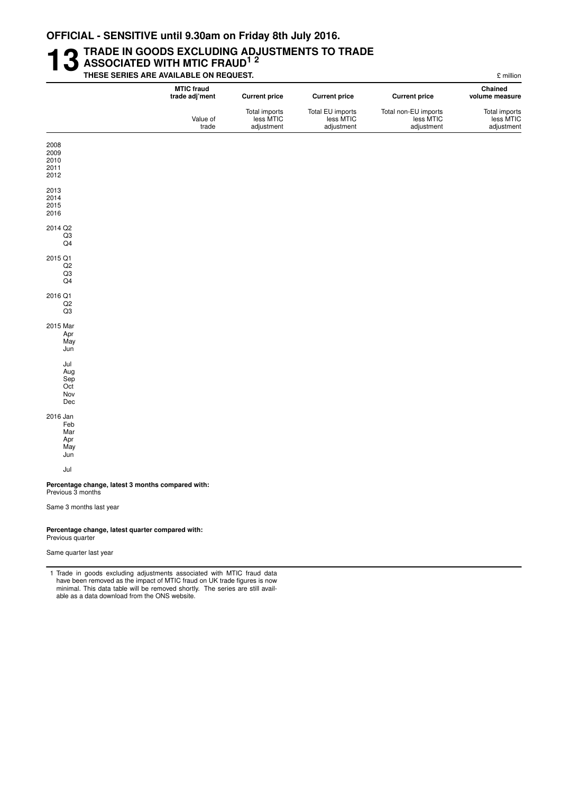### **13** TRADE IN GOODS EXCLUDING ADJUSTMENTS TO TRADE<br>THESE SERIES ARE AVAILABLE ON REQUEST. **ASSOCIATED WITH MTIC FRAUD1 2 THESE SERIES ARE AVAILABLE ON REQUEST.** £ million

|                                                                        | <b>MTIC fraud</b><br>trade adj'ment | <b>Current price</b>                     | <b>Current price</b>                        | <b>Current price</b>                            | Chained<br>volume measure                |
|------------------------------------------------------------------------|-------------------------------------|------------------------------------------|---------------------------------------------|-------------------------------------------------|------------------------------------------|
|                                                                        | Value of<br>trade                   | Total imports<br>less MTIC<br>adjustment | Total EU imports<br>less MTIC<br>adjustment | Total non-EU imports<br>less MTIC<br>adjustment | Total imports<br>less MTIC<br>adjustment |
| 2008                                                                   |                                     |                                          |                                             |                                                 |                                          |
| 2009                                                                   |                                     |                                          |                                             |                                                 |                                          |
| 2010<br>2011                                                           |                                     |                                          |                                             |                                                 |                                          |
| 2012                                                                   |                                     |                                          |                                             |                                                 |                                          |
| 2013                                                                   |                                     |                                          |                                             |                                                 |                                          |
| 2014                                                                   |                                     |                                          |                                             |                                                 |                                          |
| 2015<br>2016                                                           |                                     |                                          |                                             |                                                 |                                          |
| 2014 Q2                                                                |                                     |                                          |                                             |                                                 |                                          |
| Q3                                                                     |                                     |                                          |                                             |                                                 |                                          |
| Q <sub>4</sub>                                                         |                                     |                                          |                                             |                                                 |                                          |
| 2015 Q1                                                                |                                     |                                          |                                             |                                                 |                                          |
| Q <sub>2</sub>                                                         |                                     |                                          |                                             |                                                 |                                          |
| Q3<br>Q <sub>4</sub>                                                   |                                     |                                          |                                             |                                                 |                                          |
| 2016 Q1                                                                |                                     |                                          |                                             |                                                 |                                          |
| Q2                                                                     |                                     |                                          |                                             |                                                 |                                          |
| Q3                                                                     |                                     |                                          |                                             |                                                 |                                          |
| 2015 Mar                                                               |                                     |                                          |                                             |                                                 |                                          |
| Apr                                                                    |                                     |                                          |                                             |                                                 |                                          |
| May<br>Jun                                                             |                                     |                                          |                                             |                                                 |                                          |
|                                                                        |                                     |                                          |                                             |                                                 |                                          |
| Jul                                                                    |                                     |                                          |                                             |                                                 |                                          |
| Aug<br>Sep                                                             |                                     |                                          |                                             |                                                 |                                          |
| Oct                                                                    |                                     |                                          |                                             |                                                 |                                          |
| Nov                                                                    |                                     |                                          |                                             |                                                 |                                          |
| Dec                                                                    |                                     |                                          |                                             |                                                 |                                          |
| 2016 Jan                                                               |                                     |                                          |                                             |                                                 |                                          |
| Feb                                                                    |                                     |                                          |                                             |                                                 |                                          |
| Mar<br>Apr                                                             |                                     |                                          |                                             |                                                 |                                          |
| May                                                                    |                                     |                                          |                                             |                                                 |                                          |
| Jun                                                                    |                                     |                                          |                                             |                                                 |                                          |
| Jul                                                                    |                                     |                                          |                                             |                                                 |                                          |
| Percentage change, latest 3 months compared with:<br>Previous 3 months |                                     |                                          |                                             |                                                 |                                          |
| Same 3 months last year                                                |                                     |                                          |                                             |                                                 |                                          |
|                                                                        |                                     |                                          |                                             |                                                 |                                          |

#### Percentage change, latest quarter compared with: Previous quarter

Same quarter last year

1 Trade in goods excluding adjustments associated with MTIC fraud data have been removed as the impact of MTIC fraud on UK trade figures is now minimal. This data table will be removed shortly. The series are still available as a data download from the ONS website.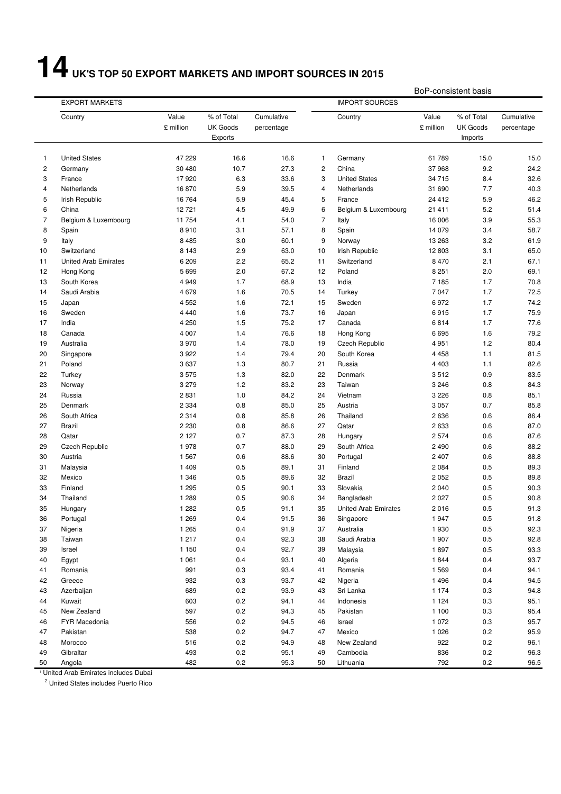# **14 UK'S TOP 50 EXPORT MARKETS AND IMPORT SOURCES IN 2015**

BoP-consistent basis

|    |                             |                    |                                          |                          |                |                             | וטע<br>טופאט וושאפופווריט |                                          |                          |  |
|----|-----------------------------|--------------------|------------------------------------------|--------------------------|----------------|-----------------------------|---------------------------|------------------------------------------|--------------------------|--|
|    | <b>EXPORT MARKETS</b>       |                    |                                          | <b>IMPORT SOURCES</b>    |                |                             |                           |                                          |                          |  |
|    | Country                     | Value<br>£ million | % of Total<br><b>UK Goods</b><br>Exports | Cumulative<br>percentage |                | Country                     | Value<br>£ million        | % of Total<br><b>UK Goods</b><br>Imports | Cumulative<br>percentage |  |
| 1  | <b>United States</b>        | 47 229             | 16.6                                     | 16.6                     | $\mathbf{1}$   | Germany                     | 61789                     | 15.0                                     | 15.0                     |  |
| 2  | Germany                     | 30 480             | 10.7                                     | 27.3                     | $\overline{c}$ | China                       | 37968                     | 9.2                                      | 24.2                     |  |
| 3  | France                      | 17920              | 6.3                                      | 33.6                     | 3              | <b>United States</b>        | 34 715                    | 8.4                                      | 32.6                     |  |
| 4  | Netherlands                 | 16870              | 5.9                                      | 39.5                     | $\overline{4}$ | Netherlands                 | 31 690                    | 7.7                                      | 40.3                     |  |
| 5  | Irish Republic              | 16764              | 5.9                                      | 45.4                     | 5              | France                      | 24 412                    | 5.9                                      | 46.2                     |  |
| 6  | China                       | 12721              | 4.5                                      | 49.9                     | 6              | Belgium & Luxembourg        | 21 411                    | 5.2                                      | 51.4                     |  |
| 7  | Belgium & Luxembourg        | 11754              | 4.1                                      | 54.0                     | $\overline{7}$ | Italy                       | 16 006                    | 3.9                                      | 55.3                     |  |
| 8  | Spain                       | 8910               | 3.1                                      | 57.1                     | 8              | Spain                       | 14 0 79                   | 3.4                                      | 58.7                     |  |
| 9  | Italy                       | 8 4 8 5            | 3.0                                      | 60.1                     | 9              | Norway                      | 13 263                    | 3.2                                      | 61.9                     |  |
| 10 | Switzerland                 | 8 1 4 3            | 2.9                                      | 63.0                     | 10             | Irish Republic              | 12 803                    | 3.1                                      | 65.0                     |  |
| 11 | <b>United Arab Emirates</b> | 6 2 0 9            | 2.2                                      | 65.2                     | 11             | Switzerland                 | 8 4 7 0                   | 2.1                                      | 67.1                     |  |
| 12 | Hong Kong                   | 5699               | 2.0                                      | 67.2                     | 12             | Poland                      | 8 2 5 1                   | 2.0                                      | 69.1                     |  |
| 13 | South Korea                 | 4 9 4 9            | 1.7                                      | 68.9                     | 13             | India                       | 7 1 8 5                   | 1.7                                      | 70.8                     |  |
| 14 | Saudi Arabia                | 4679               | 1.6                                      | 70.5                     | 14             | Turkey                      | 7047                      | 1.7                                      | 72.5                     |  |
| 15 | Japan                       | 4 5 5 2            | 1.6                                      | 72.1                     | 15             | Sweden                      | 6972                      | 1.7                                      | 74.2                     |  |
| 16 | Sweden                      | 4 4 4 0            | 1.6                                      | 73.7                     | 16             | Japan                       | 6915                      | 1.7                                      | 75.9                     |  |
| 17 | India                       | 4 2 5 0            | 1.5                                      | 75.2                     | 17             | Canada                      | 6814                      | 1.7                                      | 77.6                     |  |
| 18 | Canada                      | 4 0 0 7            | 1.4                                      | 76.6                     | 18             | Hong Kong                   | 6695                      | 1.6                                      | 79.2                     |  |
| 19 | Australia                   | 3970               | 1.4                                      | 78.0                     | 19             | <b>Czech Republic</b>       | 4 9 5 1                   | 1.2                                      | 80.4                     |  |
| 20 | Singapore                   | 3922               | 1.4                                      | 79.4                     | 20             | South Korea                 | 4 4 5 8                   | 1.1                                      | 81.5                     |  |
| 21 | Poland                      | 3637               | 1.3                                      | 80.7                     | 21             | Russia                      | 4 4 0 3                   | 1.1                                      | 82.6                     |  |
| 22 | Turkey                      | 3575               | 1.3                                      | 82.0                     | 22             | Denmark                     | 3512                      | 0.9                                      | 83.5                     |  |
| 23 | Norway                      | 3 2 7 9            | 1.2                                      | 83.2                     | 23             | Taiwan                      | 3 2 4 6                   | 0.8                                      | 84.3                     |  |
| 24 | Russia                      | 2831               | 1.0                                      | 84.2                     | 24             | Vietnam                     | 3 2 2 6                   | 0.8                                      | 85.1                     |  |
| 25 | Denmark                     | 2 3 3 4            | 0.8                                      | 85.0                     | 25             | Austria                     | 3 0 5 7                   | 0.7                                      | 85.8                     |  |
| 26 | South Africa                | 2 3 1 4            | 0.8                                      | 85.8                     | 26             | Thailand                    | 2636                      | 0.6                                      | 86.4                     |  |
| 27 | Brazil                      | 2 2 3 0            | 0.8                                      | 86.6                     | 27             | Qatar                       | 2633                      | 0.6                                      | 87.0                     |  |
| 28 | Qatar                       | 2 1 2 7            | 0.7                                      | 87.3                     | 28             | Hungary                     | 2574                      | 0.6                                      | 87.6                     |  |
| 29 | <b>Czech Republic</b>       | 1978               | 0.7                                      | 88.0                     | 29             | South Africa                | 2 4 9 0                   | 0.6                                      | 88.2                     |  |
| 30 | Austria                     | 1 5 6 7            | 0.6                                      | 88.6                     | 30             | Portugal                    | 2 4 0 7                   | 0.6                                      | 88.8                     |  |
| 31 | Malaysia                    | 1 4 0 9            | 0.5                                      | 89.1                     | 31             | Finland                     | 2084                      | 0.5                                      | 89.3                     |  |
| 32 | Mexico                      | 1 3 4 6            | 0.5                                      | 89.6                     | 32             | <b>Brazil</b>               | 2052                      | 0.5                                      | 89.8                     |  |
| 33 | Finland                     | 1 2 9 5            | 0.5                                      | 90.1                     | 33             | Slovakia                    | 2 0 4 0                   | 0.5                                      | 90.3                     |  |
| 34 | Thailand                    | 1 2 8 9            | 0.5                                      | 90.6                     | 34             | Bangladesh                  | 2 0 2 7                   | 0.5                                      | 90.8                     |  |
| 35 | Hungary                     | 1 2 8 2            | 0.5                                      | 91.1                     | 35             | <b>United Arab Emirates</b> | 2016                      | 0.5                                      | 91.3                     |  |
| 36 | Portugal                    | 1 2 6 9            | 0.4                                      | 91.5                     | 36             | Singapore                   | 1947                      | 0.5                                      | 91.8                     |  |
| 37 | Nigeria                     | 1 2 6 5            | 0.4                                      | 91.9                     | 37             | Australia                   | 1930                      | $0.5\,$                                  | 92.3                     |  |
| 38 | Taiwan                      | 1 2 1 7            | $0.4\,$                                  | 92.3                     | 38             | Saudi Arabia                | 1907                      | 0.5                                      | 92.8                     |  |
| 39 | Israel                      | 1 1 5 0            | 0.4                                      | 92.7                     | 39             | Malaysia                    | 1897                      | 0.5                                      | 93.3                     |  |
| 40 | Egypt                       | 1 0 6 1            | 0.4                                      | 93.1                     | 40             | Algeria                     | 1844                      | 0.4                                      | 93.7                     |  |
| 41 | Romania                     | 991                | 0.3                                      | 93.4                     | 41             | Romania                     | 1569                      | 0.4                                      | 94.1                     |  |
| 42 | Greece                      | 932                | 0.3                                      | 93.7                     | 42             | Nigeria                     | 1496                      | 0.4                                      | 94.5                     |  |
| 43 | Azerbaijan                  | 689                | 0.2                                      | 93.9                     | 43             | Sri Lanka                   | 1 1 7 4                   | 0.3                                      | 94.8                     |  |
| 44 | Kuwait                      | 603                | $0.2\,$                                  | 94.1                     | 44             | Indonesia                   | 1 1 2 4                   | 0.3                                      | 95.1                     |  |
| 45 | New Zealand                 | 597                | $0.2\,$                                  | 94.3                     | 45             | Pakistan                    | 1 100                     | 0.3                                      | 95.4                     |  |
| 46 | FYR Macedonia               | 556                | $0.2\,$                                  | 94.5                     | 46             | Israel                      | 1 0 7 2                   | 0.3                                      | 95.7                     |  |
| 47 | Pakistan                    | 538                | $0.2\,$                                  | 94.7                     | 47             | Mexico                      | 1 0 2 6                   | 0.2                                      | 95.9                     |  |
| 48 | Morocco                     | 516                | $0.2\,$                                  | 94.9                     | 48             | New Zealand                 | 922                       | 0.2                                      | 96.1                     |  |
| 49 | Gibraltar                   | 493                | 0.2                                      | 95.1                     | 49             | Cambodia                    | 836                       | 0.2                                      | 96.3                     |  |
| 50 | Angola                      | 482                | 0.2                                      | 95.3                     | 50             | Lithuania                   | 792                       | 0.2                                      | 96.5                     |  |

1 United Arab Emirates includes Dubai

<sup>2</sup> United States includes Puerto Rico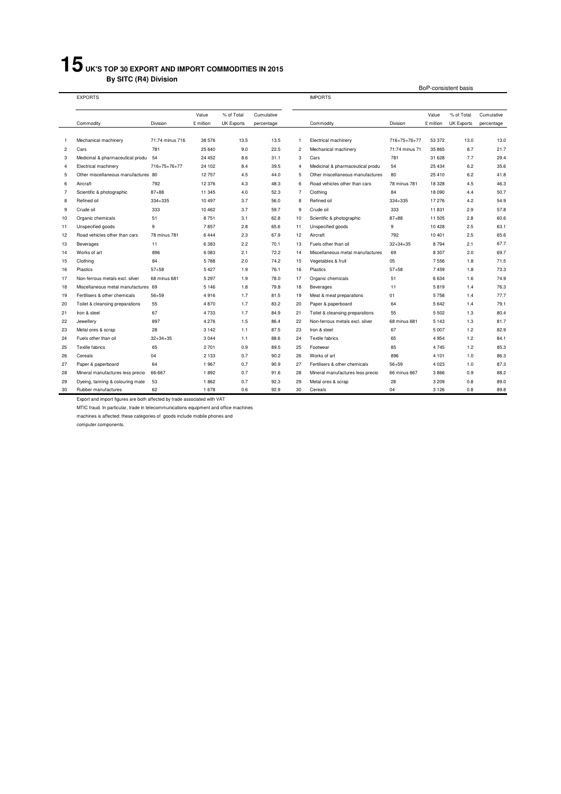## **UK'S TOP 30 EXPORT AND IMPORT COMMODITIES IN 2015 By SITC (R4) Division**

|                | <b>EXPORTS</b>                      |                 |           |                   |            | <b>IMPORTS</b> |                                  |                |           |                   |            |
|----------------|-------------------------------------|-----------------|-----------|-------------------|------------|----------------|----------------------------------|----------------|-----------|-------------------|------------|
|                |                                     |                 | Value     | % of Total        | Cumulative |                |                                  |                | Value     | % of Total        | Cumulative |
|                | Commodity                           | Division        | £ million | <b>UK Exports</b> | percentage |                | Commodity                        | Division       | £ million | <b>UK Exports</b> | percentage |
|                |                                     |                 |           |                   |            |                |                                  |                |           |                   |            |
| -1             | Mechanical machinery                | 71:74 minus 716 | 38 576    | 13.5              | 13.5       | 1              | Electrical machinery             | 716+75+76+77   | 53 372    | 13.0              | 13.0       |
| $\overline{c}$ | Cars                                | 781             | 25 640    | 9.0               | 22.5       | $\overline{2}$ | Mechanical machinery             | 71:74 minus 71 | 35 865    | 8.7               | 21.7       |
| 3              | Medicinal & pharmaceutical produ    | 54              | 24 452    | 8.6               | 31.1       | 3              | Cars                             | 781            | 31 628    | 7.7               | 29.4       |
| 4              | Electrical machinery                | 716+75+76+77    | 24 102    | 8.4               | 39.5       | 4              | Medicinal & pharmaceutical produ | 54             | 25 4 34   | 6.2               | 35.6       |
| 5              | Other miscellaneous manufactures 80 |                 | 12757     | 4.5               | 44.0       | 5              | Other miscellaneous manufactures | 80             | 25 4 10   | 6.2               | 41.8       |
| 6              | Aircraft                            | 792             | 12 376    | 4.3               | 48.3       | 6              | Road vehicles other than cars    | 78 minus 781   | 18 3 28   | 4.5               | 46.3       |
| 7              | Scientific & photographic           | $87 + 88$       | 11 345    | 4.0               | 52.3       | $\overline{7}$ | Clothing                         | 84             | 18 090    | 4.4               | 50.7       |
| 8              | Refined oil                         | 334+335         | 10 497    | 3.7               | 56.0       | 8              | Refined oil                      | 334+335        | 17 276    | 4.2               | 54.9       |
| 9              | Crude oil                           | 333             | 10 462    | 3.7               | 59.7       | 9              | Crude oil                        | 333            | 11831     | 2.9               | 57.8       |
| 10             | Organic chemicals                   | 51              | 8751      | 3.1               | 62.8       | 10             | Scientific & photographic        | $87 + 88$      | 11 505    | 2.8               | 60.6       |
| 11             | Unspecified goods                   | 9               | 7857      | 2.8               | 65.6       | 11             | Unspecified goods                | 9              | 10428     | 2.5               | 63.1       |
| 12             | Road vehicles other than cars       | 78 minus 781    | 6444      | 2.3               | 67.9       | 12             | Aircraft                         | 792            | 10 401    | 2.5               | 65.6       |
| 13             | Beverages                           | 11              | 6383      | 2.2               | 70.1       | 13             | Fuels other than oil             | $32 + 34 + 35$ | 8794      | 2.1               | 67.7       |
| 14             | Works of art                        | 896             | 6 0 8 3   | 2.1               | 72.2       | 14             | Miscellaneous metal manufactures | 69             | 8 3 0 7   | 2.0               | 69.7       |
| 15             | Clothing                            | 84              | 5788      | 2.0               | 74.2       | 15             | Vegetables & fruit               | 05             | 7556      | 1.8               | 71.5       |
| 16             | Plastics                            | $57 + 58$       | 5 4 2 7   | 1.9               | 76.1       | 16             | Plastics                         | $57 + 58$      | 7459      | 1.8               | 73.3       |
| 17             | Non-ferrous metals excl. silver     | 68 minus 681    | 5 2 9 7   | 1.9               | 78.0       | 17             | Organic chemicals                | 51             | 6634      | 1.6               | 74.9       |
| 18             | Miscellaneous metal manufactures 69 |                 | 5 1 4 6   | 1.8               | 79.8       | 18             | Beverages                        | 11             | 5819      | 1.4               | 76.3       |
| 19             | Fertilisers & other chemicals       | $56 + 59$       | 4916      | 1.7               | 81.5       | 19             | Meat & meat preparations         | 01             | 5758      | 1.4               | 77.7       |
| 20             | Toilet & cleansing preparations     | 55              | 4870      | 1.7               | 83.2       | 20             | Paper & paperboard               | 64             | 5642      | 1.4               | 79.1       |
| 21             | Iron & steel                        | 67              | 4733      | 1.7               | 84.9       | 21             | Toilet & cleansing preparations  | 55             | 5 5 0 2   | 1.3               | 80.4       |
| 22             | Jewellery                           | 897             | 4276      | 1.5               | 86.4       | 22             | Non-ferrous metals excl. silver  | 68 minus 681   | 5 1 4 3   | 1.3               | 81.7       |
| 23             | Metal ores & scrap                  | 28              | 3 1 4 2   | 1.1               | 87.5       | 23             | Iron & steel                     | 67             | 5 0 0 7   | 1.2               | 82.9       |
| 24             | Fuels other than oil                | $32 + 34 + 35$  | 3044      | 1.1               | 88.6       | 24             | Textile fabrics                  | 65             | 4 9 5 4   | 1.2               | 84.1       |
| 25             | Textile fabrics                     | 65              | 2701      | 0.9               | 89.5       | 25             | Footwear                         | 85             | 4745      | 1.2               | 85.3       |
| 26             | Cereals                             | 04              | 2 1 3 3   | 0.7               | 90.2       | 26             | Works of art                     | 896            | 4 1 0 1   | 1.0               | 86.3       |
| 27             | Paper & paperboard                  | 64              | 1967      | 0.7               | 90.9       | 27             | Fertilisers & other chemicals    | $56 + 59$      | 4 0 2 3   | 1.0               | 87.3       |
| 28             | Mineral manufactures less precio    | 66-667          | 1892      | 0.7               | 91.6       | 28             | Mineral manufactures less precio | 66 minus 667   | 3866      | 0.9               | 88.2       |
| 29             | Dyeing, tanning & colouring mate    | 53              | 1862      | 0.7               | 92.3       | 29             | Metal ores & scrap               | 28             | 3 2 0 9   | 0.8               | 89.0       |
| 30             | Rubber manufactures                 | 62              | 1678      | 0.6               | 92.9       | 30             | Cereals                          | 04             | 3 1 2 6   | 0.8               | 89.8       |

BoP-consistent basis

Export and import figures are both affected by trade associated with VAT MTIC fraud. In particular, trade in telecommunications equipment and office machines

machines is affected: these categories of goods include mobile phones and

computer components.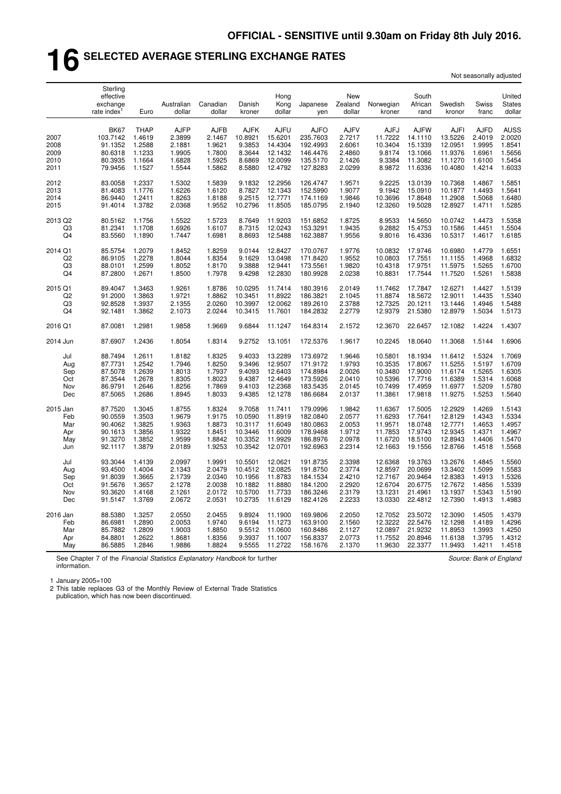## **16 SELECTED AVERAGE STERLING EXCHANGE RATES**

| Not seasonally adjusted |  |
|-------------------------|--|
|-------------------------|--|

|                                      | Sterling<br>effective<br>exchange<br>rate index <sup>1</sup>        | Euro                                                          | Australian<br>dollar                                          | Canadian<br>dollar                                            | Danish<br>kroner                                               | Hong<br>Kong<br>dollar                                             | Japanese<br>yen                                                         | New<br>Zealand<br>dollar                                      | Norwegian<br>kroner                                             | South<br>African<br>rand                                           | Swedish<br>kronor                                                  | Swiss<br>franc                                                | United<br><b>States</b><br>dollar                             |
|--------------------------------------|---------------------------------------------------------------------|---------------------------------------------------------------|---------------------------------------------------------------|---------------------------------------------------------------|----------------------------------------------------------------|--------------------------------------------------------------------|-------------------------------------------------------------------------|---------------------------------------------------------------|-----------------------------------------------------------------|--------------------------------------------------------------------|--------------------------------------------------------------------|---------------------------------------------------------------|---------------------------------------------------------------|
| 2007<br>2008<br>2009<br>2010<br>2011 | <b>BK67</b><br>103.7142<br>91.1352<br>80.6318<br>80.3935<br>79.9456 | <b>THAP</b><br>1.4619<br>1.2588<br>1.1233<br>1.1664<br>1.1527 | <b>AJFP</b><br>2.3899<br>2.1881<br>1.9905<br>1.6828<br>1.5544 | <b>AJFB</b><br>2.1467<br>1.9621<br>1.7800<br>1.5925<br>1.5862 | <b>AJFK</b><br>10.8921<br>9.3853<br>8.3644<br>8.6869<br>8.5880 | <b>AJFU</b><br>15.6201<br>14.4304<br>12.1432<br>12.0099<br>12.4792 | <b>AJFO</b><br>235.7603<br>192.4993<br>146.4476<br>135.5170<br>127.8283 | <b>AJFV</b><br>2.7217<br>2.6061<br>2.4860<br>2.1426<br>2.0299 | <b>AJFJ</b><br>11.7222<br>10.3404<br>9.8174<br>9.3384<br>8.9872 | <b>AJFW</b><br>14.1110<br>15.1339<br>13.1066<br>11.3082<br>11.6336 | <b>AJFI</b><br>13.5226<br>12.0951<br>11.9376<br>11.1270<br>10.4080 | <b>AJFD</b><br>2.4019<br>1.9995<br>1.6961<br>1.6100<br>1.4214 | <b>AUSS</b><br>2.0020<br>1.8541<br>1.5656<br>1.5454<br>1.6033 |
| 2012                                 | 83.0058                                                             | 1.2337                                                        | 1.5302                                                        | 1.5839                                                        | 9.1832                                                         | 12.2956                                                            | 126.4747                                                                | 1.9571                                                        | 9.2225                                                          | 13.0139                                                            | 10.7368                                                            | 1.4867                                                        | 1.5851                                                        |
| 2013                                 | 81.4083                                                             | 1.1776                                                        | 1.6226                                                        | 1.6120                                                        | 8.7827                                                         | 12.1343                                                            | 152.5990                                                                | 1.9077                                                        | 9.1942                                                          | 15.0910                                                            | 10.1877                                                            | 1.4493                                                        | 1.5641                                                        |
| 2014                                 | 86.9440                                                             | 1.2411                                                        | 1.8263                                                        | 1.8188                                                        | 9.2515                                                         | 12.7771                                                            | 174.1169                                                                | 1.9846                                                        | 10.3696                                                         | 17.8648                                                            | 11.2908                                                            | 1.5068                                                        | 1.6480                                                        |
| 2015                                 | 91.4014                                                             | 1.3782                                                        | 2.0368                                                        | 1.9552                                                        | 10.2796                                                        | 11.8505                                                            | 185.0795                                                                | 2.1940                                                        | 12.3260                                                         | 19.5028                                                            | 12.8927                                                            | 1.4711                                                        | 1.5285                                                        |
| 2013 Q2                              | 80.5162                                                             | 1.1756                                                        | 1.5522                                                        | 1.5723                                                        | 8.7649                                                         | 11.9203                                                            | 151.6852                                                                | 1.8725                                                        | 8.9533                                                          | 14.5650                                                            | 10.0742                                                            | 1.4473                                                        | 1.5358                                                        |
| Q3                                   | 81.2341                                                             | 1.1708                                                        | 1.6926                                                        | 1.6107                                                        | 8.7315                                                         | 12.0243                                                            | 153.3291                                                                | 1.9435                                                        | 9.2882                                                          | 15.4753                                                            | 10.1586                                                            | 1.4451                                                        | 1.5504                                                        |
| Q <sub>4</sub>                       | 83.5560                                                             | 1.1890                                                        | 1.7447                                                        | 1.6981                                                        | 8.8693                                                         | 12.5488                                                            | 162.3887                                                                | 1.9556                                                        | 9.8016                                                          | 16.4336                                                            | 10.5317                                                            | 1.4617                                                        | 1.6185                                                        |
| 2014 Q1                              | 85.5754                                                             | 1.2079                                                        | 1.8452                                                        | 1.8259                                                        | 9.0144                                                         | 12.8427                                                            | 170.0767                                                                | 1.9776                                                        | 10.0832                                                         | 17.9746                                                            | 10.6980                                                            | 1.4779                                                        | 1.6551                                                        |
| Q2                                   | 86.9105                                                             | 1.2278                                                        | 1.8044                                                        | 1.8354                                                        | 9.1629                                                         | 13.0498                                                            | 171.8420                                                                | 1.9552                                                        | 10.0803                                                         | 17.7551                                                            | 11.1155                                                            | 1.4968                                                        | 1.6832                                                        |
| Q3                                   | 88.0101                                                             | 1.2599                                                        | 1.8052                                                        | 1.8170                                                        | 9.3888                                                         | 12.9441                                                            | 173.5561                                                                | 1.9820                                                        | 10.4318                                                         | 17.9751                                                            | 11.5975                                                            | 1.5265                                                        | 1.6700                                                        |
| Q <sub>4</sub>                       | 87.2800                                                             | 1.2671                                                        | 1.8500                                                        | 1.7978                                                        | 9.4298                                                         | 12.2830                                                            | 180.9928                                                                | 2.0238                                                        | 10.8831                                                         | 17.7544                                                            | 11.7520                                                            | 1.5261                                                        | 1.5838                                                        |
| 2015 Q1                              | 89.4047                                                             | 1.3463                                                        | 1.9261                                                        | 1.8786                                                        | 10.0295                                                        | 11.7414                                                            | 180.3916                                                                | 2.0149                                                        | 11.7462                                                         | 17.7847                                                            | 12.6271                                                            | 1.4427                                                        | 1.5139                                                        |
| Q2                                   | 91.2000                                                             | 1.3863                                                        | 1.9721                                                        | 1.8862                                                        | 10.3451                                                        | 11.8922                                                            | 186.3821                                                                | 2.1045                                                        | 11.8874                                                         | 18.5672                                                            | 12.9011                                                            | 1.4435                                                        | 1.5340                                                        |
| Q <sub>3</sub>                       | 92.8528                                                             | 1.3937                                                        | 2.1355                                                        | 2.0260                                                        | 10.3997                                                        | 12.0062                                                            | 189.2610                                                                | 2.3788                                                        | 12.7325                                                         | 20.1211                                                            | 13.1446                                                            | 1.4946                                                        | 1.5488                                                        |
| Q <sub>4</sub>                       | 92.1481                                                             | 1.3862                                                        | 2.1073                                                        | 2.0244                                                        | 10.3415                                                        | 11.7601                                                            | 184.2832                                                                | 2.2779                                                        | 12.9379                                                         | 21.5380                                                            | 12.8979                                                            | 1.5034                                                        | 1.5173                                                        |
| 2016 Q1                              | 87.0081                                                             | 1.2981                                                        | 1.9858                                                        | 1.9669                                                        | 9.6844                                                         | 11.1247                                                            | 164.8314                                                                | 2.1572                                                        | 12.3670                                                         | 22.6457                                                            | 12.1082                                                            | 1.4224                                                        | 1.4307                                                        |
| 2014 Jun                             | 87.6907                                                             | 1.2436                                                        | 1.8054                                                        | 1.8314                                                        | 9.2752                                                         | 13.1051                                                            | 172.5376                                                                | 1.9617                                                        | 10.2245                                                         | 18.0640                                                            | 11.3068                                                            | 1.5144                                                        | 1.6906                                                        |
| Jul                                  | 88.7494                                                             | 1.2611                                                        | 1.8182                                                        | 1.8325                                                        | 9.4033                                                         | 13.2289                                                            | 173.6972                                                                | 1.9646                                                        | 10.5801                                                         | 18.1934                                                            | 11.6412                                                            | 1.5324                                                        | 1.7069                                                        |
| Aug                                  | 87.7731                                                             | 1.2542                                                        | 1.7946                                                        | 1.8250                                                        | 9.3496                                                         | 12.9507                                                            | 171.9172                                                                | 1.9793                                                        | 10.3535                                                         | 17.8067                                                            | 11.5255                                                            | 1.5197                                                        | 1.6709                                                        |
| Sep                                  | 87.5078                                                             | 1.2639                                                        | 1.8013                                                        | 1.7937                                                        | 9.4093                                                         | 12.6403                                                            | 174.8984                                                                | 2.0026                                                        | 10.3480                                                         | 17.9000                                                            | 11.6174                                                            | 1.5265                                                        | 1.6305                                                        |
| Oct                                  | 87.3544                                                             | 1.2678                                                        | 1.8305                                                        | 1.8023                                                        | 9.4387                                                         | 12.4649                                                            | 173.5926                                                                | 2.0410                                                        | 10.5396                                                         | 17.7716                                                            | 11.6389                                                            | 1.5314                                                        | 1.6068                                                        |
| Nov                                  | 86.9791                                                             | 1.2646                                                        | 1.8256                                                        | 1.7869                                                        | 9.4103                                                         | 12.2368                                                            | 183.5435                                                                | 2.0145                                                        | 10.7499                                                         | 17.4959                                                            | 11.6977                                                            | 1.5209                                                        | 1.5780                                                        |
| Dec                                  | 87.5065                                                             | 1.2686                                                        | 1.8945                                                        | 1.8033                                                        | 9.4385                                                         | 12.1278                                                            | 186.6684                                                                | 2.0137                                                        | 11.3861                                                         | 17.9818                                                            | 11.9275                                                            | 1.5253                                                        | 1.5640                                                        |
| 2015 Jan                             | 87.7520                                                             | 1.3045                                                        | 1.8755                                                        | 1.8324                                                        | 9.7058                                                         | 11.7411                                                            | 179.0996                                                                | 1.9842                                                        | 11.6367                                                         | 17.5005                                                            | 12.2929                                                            | 1.4269                                                        | 1.5143                                                        |
| Feb                                  | 90.0559                                                             | 1.3503                                                        | 1.9679                                                        | 1.9175                                                        | 10.0590                                                        | 11.8919                                                            | 182.0840                                                                | 2.0577                                                        | 11.6293                                                         | 17.7641                                                            | 12.8129                                                            | 1.4343                                                        | 1.5334                                                        |
| Mar                                  | 90.4062                                                             | 1.3825                                                        | 1.9363                                                        | 1.8873                                                        | 10.3117                                                        | 11.6049                                                            | 180.0863                                                                | 2.0053                                                        | 11.9571                                                         | 18.0748                                                            | 12.7771                                                            | 1.4653                                                        | 1.4957                                                        |
| Apr                                  | 90.1613                                                             | 1.3856                                                        | 1.9322                                                        | 1.8451                                                        | 10.3446                                                        | 11.6009                                                            | 178.9468                                                                | 1.9712                                                        | 11.7853                                                         | 17.9743                                                            | 12.9345                                                            | 1.4371                                                        | 1.4967                                                        |
| May                                  | 91.3270                                                             | 1.3852                                                        | 1.9599                                                        | 1.8842                                                        | 10.3352                                                        | 11.9929                                                            | 186.8976                                                                | 2.0978                                                        | 11.6720                                                         | 18.5100                                                            | 12.8943                                                            | 1.4406                                                        | 1.5470                                                        |
| Jun                                  | 92.1117                                                             | 1.3879                                                        | 2.0189                                                        | 1.9253                                                        | 10.3542                                                        | 12.0701                                                            | 192.6963                                                                | 2.2314                                                        | 12.1663                                                         | 19.1556                                                            | 12.8766                                                            | 1.4518                                                        | 1.5568                                                        |
| Jul                                  | 93.3044                                                             | 1.4139                                                        | 2.0997                                                        | 1.9991                                                        | 10.5501                                                        | 12.0621                                                            | 191.8735                                                                | 2.3398                                                        | 12.6368                                                         | 19.3763                                                            | 13.2676                                                            | 1.4845                                                        | 1.5560                                                        |
| Aug                                  | 93.4500                                                             | 1.4004                                                        | 2.1343                                                        | 2.0479                                                        | 10.4512                                                        | 12.0825                                                            | 191.8750                                                                | 2.3774                                                        | 12.8597                                                         | 20.0699                                                            | 13.3402                                                            | 1.5099                                                        | 1.5583                                                        |
| Sep                                  | 91.8039                                                             | 1.3665                                                        | 2.1739                                                        | 2.0340                                                        | 10.1956                                                        | 11.8783                                                            | 184.1534                                                                | 2.4210                                                        | 12.7167                                                         | 20.9464                                                            | 12.8383                                                            | 1.4913                                                        | 1.5326                                                        |
| Oct                                  | 91.5676                                                             | 1.3657                                                        | 2.1278                                                        | 2.0038                                                        | 10.1882                                                        | 11.8880                                                            | 184.1200                                                                | 2.2920                                                        | 12.6704                                                         | 20.6775                                                            | 12.7672                                                            | 1.4856                                                        | 1.5339                                                        |
| Nov                                  | 93.3620                                                             | 1.4168                                                        | 2.1261                                                        | 2.0172                                                        | 10.5700                                                        | 11.7733                                                            | 186.3246                                                                | 2.3179                                                        | 13.1231                                                         | 21.4961                                                            | 13.1937                                                            | 1.5343                                                        | 1.5190                                                        |
| Dec                                  | 91.5147                                                             | 1.3769                                                        | 2.0672                                                        | 2.0531                                                        | 10.2735                                                        | 11.6129                                                            | 182.4126                                                                | 2.2233                                                        | 13.0330                                                         | 22.4812                                                            | 12.7390                                                            | 1.4913                                                        | 1.4983                                                        |
| 2016 Jan                             | 88.5380                                                             | 1.3257                                                        | 2.0550                                                        | 2.0455                                                        | 9.8924                                                         | 11.1900                                                            | 169.9806                                                                | 2.2050                                                        | 12.7052                                                         | 23.5072                                                            | 12.3090                                                            | 1.4505                                                        | 1.4379                                                        |
| Feb                                  | 86.6981                                                             | 1.2890                                                        | 2.0053                                                        | 1.9740                                                        | 9.6194                                                         | 11.1273                                                            | 163.9100                                                                | 2.1560                                                        | 12.3222                                                         | 22.5476                                                            | 12.1298                                                            | 1.4189                                                        | 1.4296                                                        |
| Mar                                  | 85.7882                                                             | 1.2809                                                        | 1.9003                                                        | 1.8850                                                        | 9.5512                                                         | 11.0600                                                            | 160.8486                                                                | 2.1127                                                        | 12.0897                                                         | 21.9232                                                            | 11.8953                                                            | 1.3993                                                        | 1.4250                                                        |
| Apr                                  | 84.8801                                                             | 1.2622                                                        | 1.8681                                                        | 1.8356                                                        | 9.3937                                                         | 11.1007                                                            | 156.8337                                                                | 2.0773                                                        | 11.7552                                                         | 20.8946                                                            | 11.6138                                                            | 1.3795                                                        | 1.4312                                                        |
| May                                  | 86.5885                                                             | 1.2846                                                        | 1.9886                                                        | 1.8824                                                        | 9.5555                                                         | 11.2722                                                            | 158.1676                                                                | 2.1370                                                        | 11.9630                                                         | 22.3377                                                            | 11.9493                                                            | 1.4211                                                        | 1.4518                                                        |

See Chapter 7 of the *Financial Statistics Explanatory Handbook* for further information.

*Source: Bank of England*

1 January 2005=100

2 This table replaces G3 of the Monthly Review of External Trade Statistics publication, which has now been discontinued.